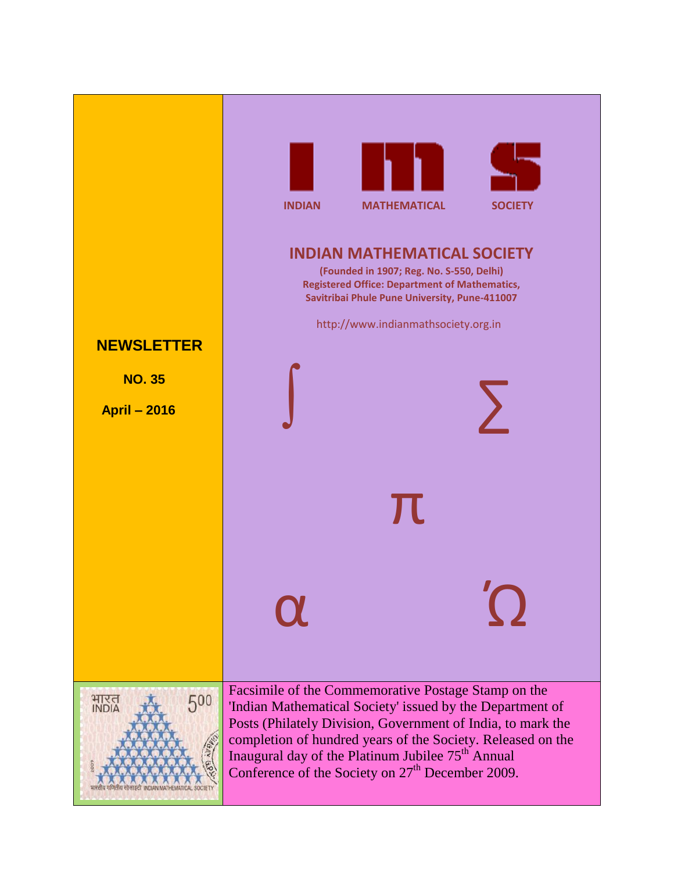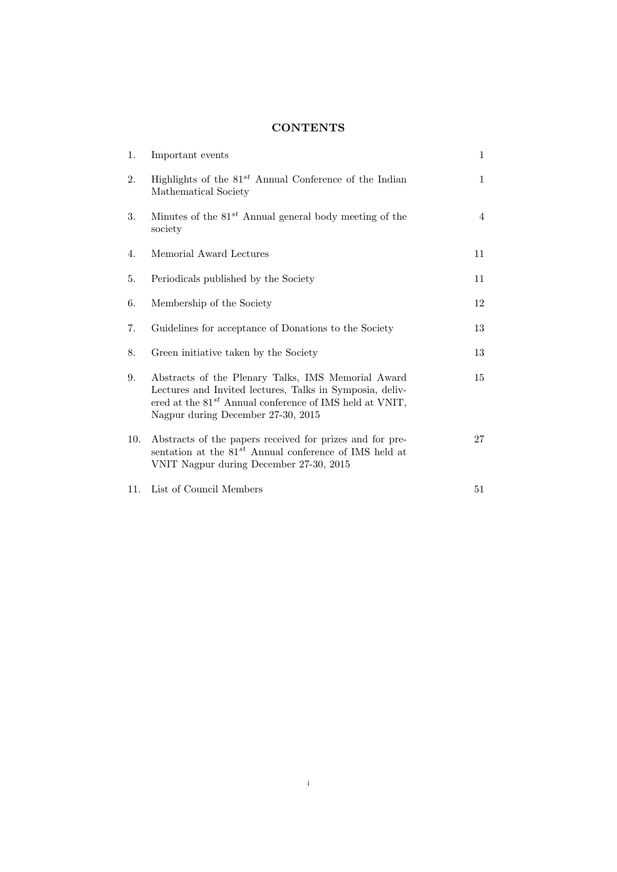# **CONTENTS**

| 1.  | Important events                                                                                                                                                                                                     | 1            |
|-----|----------------------------------------------------------------------------------------------------------------------------------------------------------------------------------------------------------------------|--------------|
| 2.  | Highlights of the $81^{st}$ Annual Conference of the Indian<br>Mathematical Society                                                                                                                                  | $\mathbf{1}$ |
| 3.  | Minutes of the $81^{st}$ Annual general body meeting of the<br>society                                                                                                                                               | 4            |
| 4.  | Memorial Award Lectures                                                                                                                                                                                              | 11           |
| 5.  | Periodicals published by the Society                                                                                                                                                                                 | 11           |
| 6.  | Membership of the Society                                                                                                                                                                                            | 12           |
| 7.  | Guidelines for acceptance of Donations to the Society                                                                                                                                                                | 13           |
| 8.  | Green initiative taken by the Society                                                                                                                                                                                | 13           |
| 9.  | Abstracts of the Plenary Talks, IMS Memorial Award<br>Lectures and Invited lectures, Talks in Symposia, deliv-<br>ered at the $81^{st}$ Annual conference of IMS held at VNIT,<br>Nagpur during December 27-30, 2015 | 15           |
| 10. | Abstracts of the papers received for prizes and for pre-<br>sentation at the $81^{st}$ Annual conference of IMS held at<br>VNIT Nagpur during December 27-30, 2015                                                   | 27           |
| 11. | List of Council Members                                                                                                                                                                                              | 51           |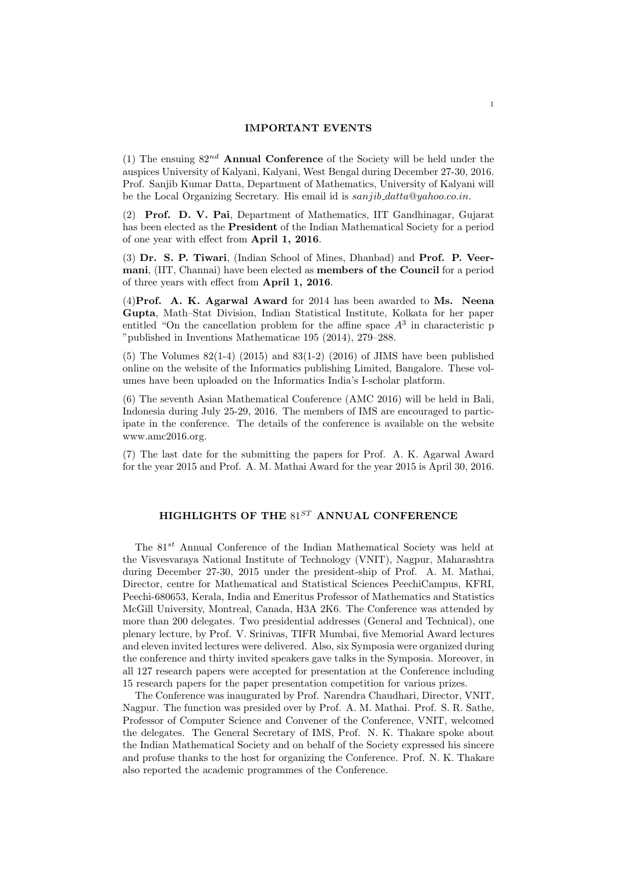#### **IMPORTANT EVENTS**

(1) The ensuing 82*nd* **Annual Conference** of the Society will be held under the auspices University of Kalyani, Kalyani, West Bengal during December 27-30, 2016. Prof. Sanjib Kumar Datta, Department of Mathematics, University of Kalyani will be the Local Organizing Secretary. His email id is *sanjib datta*@*yahoo.co.in*.

(2) **Prof. D. V. Pai**, Department of Mathematics, IIT Gandhinagar, Gujarat has been elected as the **President** of the Indian Mathematical Society for a period of one year with effect from **April 1, 2016**.

(3) **Dr. S. P. Tiwari**, (Indian School of Mines, Dhanbad) and **Prof. P. Veermani**, (IIT, Channai) have been elected as **members of the Council** for a period of three years with effect from **April 1, 2016**.

(4)**Prof. A. K. Agarwal Award** for 2014 has been awarded to **Ms. Neena Gupta**, Math–Stat Division, Indian Statistical Institute, Kolkata for her paper entitled "On the cancellation problem for the affine space  $A<sup>3</sup>$  in characteristic p "published in Inventions Mathematicae 195 (2014), 279–288.

(5) The Volumes  $82(1-4)$   $(2015)$  and  $83(1-2)$   $(2016)$  of JIMS have been published online on the website of the Informatics publishing Limited, Bangalore. These volumes have been uploaded on the Informatics India's I-scholar platform.

(6) The seventh Asian Mathematical Conference (AMC 2016) will be held in Bali, Indonesia during July 25-29, 2016. The members of IMS are encouraged to participate in the conference. The details of the conference is available on the website www.amc2016.org.

(7) The last date for the submitting the papers for Prof. A. K. Agarwal Award for the year 2015 and Prof. A. M. Mathai Award for the year 2015 is April 30, 2016.

# **HIGHLIGHTS OF THE** 81*ST* **ANNUAL CONFERENCE**

The 81*st* Annual Conference of the Indian Mathematical Society was held at the Visvesvaraya National Institute of Technology (VNIT), Nagpur, Maharashtra during December 27-30, 2015 under the president-ship of Prof. A. M. Mathai, Director, centre for Mathematical and Statistical Sciences PeechiCampus, KFRI, Peechi-680653, Kerala, India and Emeritus Professor of Mathematics and Statistics McGill University, Montreal, Canada, H3A 2K6. The Conference was attended by more than 200 delegates. Two presidential addresses (General and Technical), one plenary lecture, by Prof. V. Srinivas, TIFR Mumbai, five Memorial Award lectures and eleven invited lectures were delivered. Also, six Symposia were organized during the conference and thirty invited speakers gave talks in the Symposia. Moreover, in all 127 research papers were accepted for presentation at the Conference including 15 research papers for the paper presentation competition for various prizes.

The Conference was inaugurated by Prof. Narendra Chaudhari, Director, VNIT, Nagpur. The function was presided over by Prof. A. M. Mathai. Prof. S. R. Sathe, Professor of Computer Science and Convener of the Conference, VNIT, welcomed the delegates. The General Secretary of IMS, Prof. N. K. Thakare spoke about the Indian Mathematical Society and on behalf of the Society expressed his sincere and profuse thanks to the host for organizing the Conference. Prof. N. K. Thakare also reported the academic programmes of the Conference.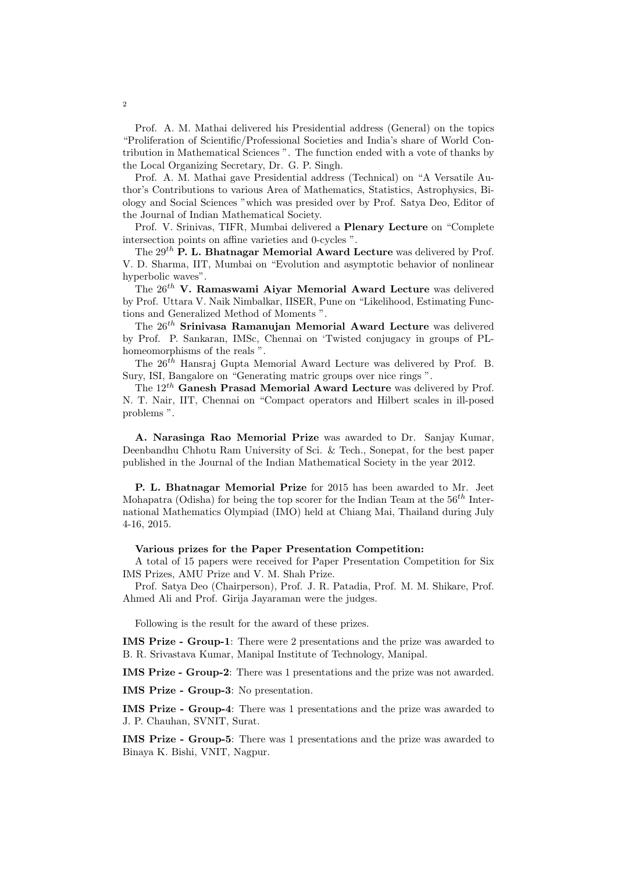Prof. A. M. Mathai delivered his Presidential address (General) on the topics "Proliferation of Scientific/Professional Societies and India's share of World Contribution in Mathematical Sciences ". The function ended with a vote of thanks by the Local Organizing Secretary, Dr. G. P. Singh.

Prof. A. M. Mathai gave Presidential address (Technical) on "A Versatile Author's Contributions to various Area of Mathematics, Statistics, Astrophysics, Biology and Social Sciences "which was presided over by Prof. Satya Deo, Editor of the Journal of Indian Mathematical Society.

Prof. V. Srinivas, TIFR, Mumbai delivered a **Plenary Lecture** on "Complete intersection points on affine varieties and 0-cycles ".

The 29*th* **P. L. Bhatnagar Memorial Award Lecture** was delivered by Prof. V. D. Sharma, IIT, Mumbai on "Evolution and asymptotic behavior of nonlinear hyperbolic waves".

The 26*th* **V. Ramaswami Aiyar Memorial Award Lecture** was delivered by Prof. Uttara V. Naik Nimbalkar, IISER, Pune on "Likelihood, Estimating Functions and Generalized Method of Moments ".

The 26*th* **Srinivasa Ramanujan Memorial Award Lecture** was delivered by Prof. P. Sankaran, IMSc, Chennai on 'Twisted conjugacy in groups of PLhomeomorphisms of the reals ".

The 26*th* Hansraj Gupta Memorial Award Lecture was delivered by Prof. B. Sury, ISI, Bangalore on "Generating matric groups over nice rings ".

The 12*th* **Ganesh Prasad Memorial Award Lecture** was delivered by Prof. N. T. Nair, IIT, Chennai on "Compact operators and Hilbert scales in ill-posed problems ".

**A. Narasinga Rao Memorial Prize** was awarded to Dr. Sanjay Kumar, Deenbandhu Chhotu Ram University of Sci. & Tech., Sonepat, for the best paper published in the Journal of the Indian Mathematical Society in the year 2012.

**P. L. Bhatnagar Memorial Prize** for 2015 has been awarded to Mr. Jeet Mohapatra (Odisha) for being the top scorer for the Indian Team at the 56*th* International Mathematics Olympiad (IMO) held at Chiang Mai, Thailand during July 4-16, 2015.

#### **Various prizes for the Paper Presentation Competition:**

A total of 15 papers were received for Paper Presentation Competition for Six IMS Prizes, AMU Prize and V. M. Shah Prize.

Prof. Satya Deo (Chairperson), Prof. J. R. Patadia, Prof. M. M. Shikare, Prof. Ahmed Ali and Prof. Girija Jayaraman were the judges.

Following is the result for the award of these prizes.

**IMS Prize - Group-1**: There were 2 presentations and the prize was awarded to B. R. Srivastava Kumar, Manipal Institute of Technology, Manipal.

**IMS Prize - Group-2**: There was 1 presentations and the prize was not awarded.

**IMS Prize - Group-3**: No presentation.

**IMS Prize - Group-4**: There was 1 presentations and the prize was awarded to J. P. Chauhan, SVNIT, Surat.

**IMS Prize - Group-5**: There was 1 presentations and the prize was awarded to Binaya K. Bishi, VNIT, Nagpur.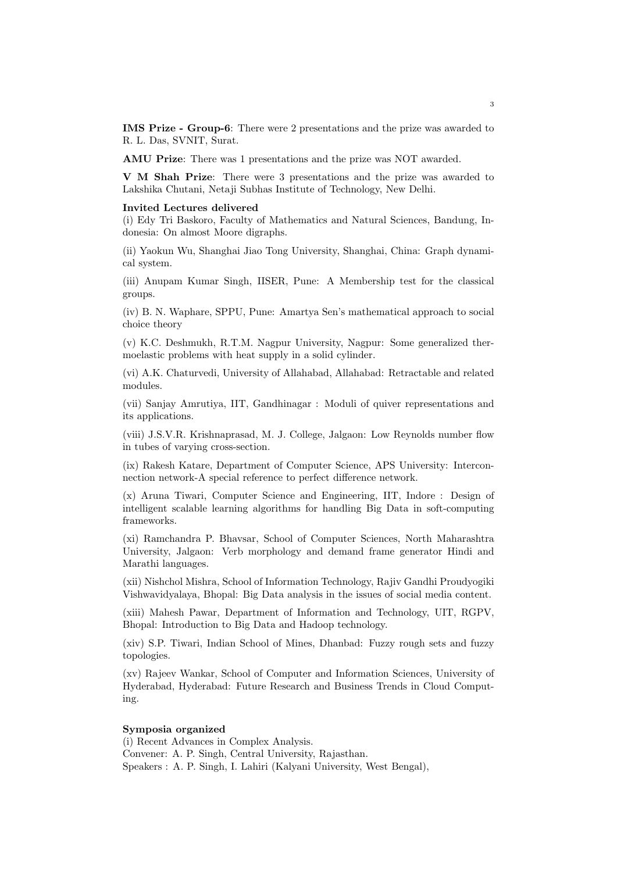**IMS Prize - Group-6**: There were 2 presentations and the prize was awarded to R. L. Das, SVNIT, Surat.

**AMU Prize**: There was 1 presentations and the prize was NOT awarded.

**V M Shah Prize**: There were 3 presentations and the prize was awarded to Lakshika Chutani, Netaji Subhas Institute of Technology, New Delhi.

#### **Invited Lectures delivered**

(i) Edy Tri Baskoro, Faculty of Mathematics and Natural Sciences, Bandung, Indonesia: On almost Moore digraphs.

(ii) Yaokun Wu, Shanghai Jiao Tong University, Shanghai, China: Graph dynamical system.

(iii) Anupam Kumar Singh, IISER, Pune: A Membership test for the classical groups.

(iv) B. N. Waphare, SPPU, Pune: Amartya Sen's mathematical approach to social choice theory

(v) K.C. Deshmukh, R.T.M. Nagpur University, Nagpur: Some generalized thermoelastic problems with heat supply in a solid cylinder.

(vi) A.K. Chaturvedi, University of Allahabad, Allahabad: Retractable and related modules.

(vii) Sanjay Amrutiya, IIT, Gandhinagar : Moduli of quiver representations and its applications.

(viii) J.S.V.R. Krishnaprasad, M. J. College, Jalgaon: Low Reynolds number flow in tubes of varying cross-section.

(ix) Rakesh Katare, Department of Computer Science, APS University: Interconnection network-A special reference to perfect difference network.

(x) Aruna Tiwari, Computer Science and Engineering, IIT, Indore : Design of intelligent scalable learning algorithms for handling Big Data in soft-computing frameworks.

(xi) Ramchandra P. Bhavsar, School of Computer Sciences, North Maharashtra University, Jalgaon: Verb morphology and demand frame generator Hindi and Marathi languages.

(xii) Nishchol Mishra, School of Information Technology, Rajiv Gandhi Proudyogiki Vishwavidyalaya, Bhopal: Big Data analysis in the issues of social media content.

(xiii) Mahesh Pawar, Department of Information and Technology, UIT, RGPV, Bhopal: Introduction to Big Data and Hadoop technology.

(xiv) S.P. Tiwari, Indian School of Mines, Dhanbad: Fuzzy rough sets and fuzzy topologies.

(xv) Rajeev Wankar, School of Computer and Information Sciences, University of Hyderabad, Hyderabad: Future Research and Business Trends in Cloud Computing.

### **Symposia organized**

(i) Recent Advances in Complex Analysis. Convener: A. P. Singh, Central University, Rajasthan. Speakers : A. P. Singh, I. Lahiri (Kalyani University, West Bengal),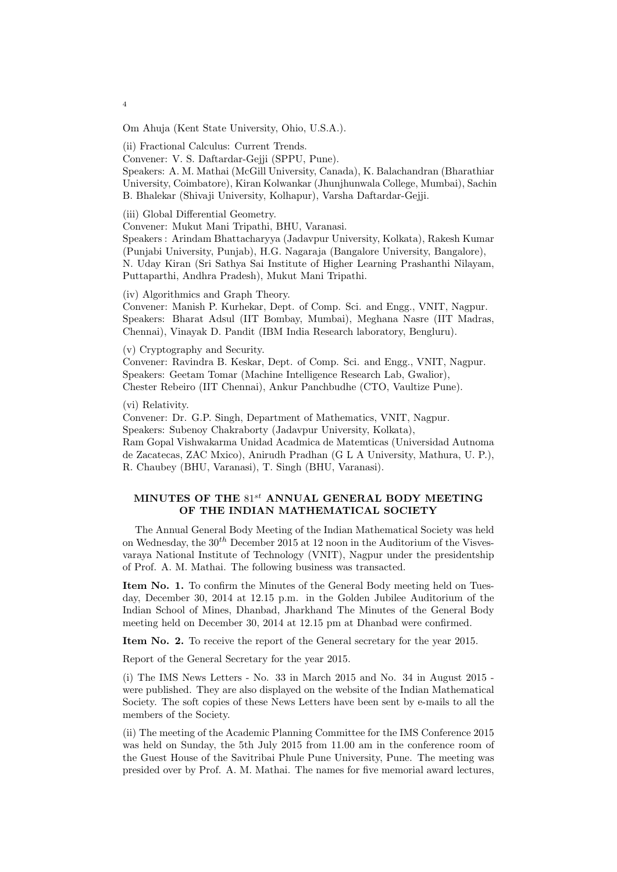Om Ahuja (Kent State University, Ohio, U.S.A.).

(ii) Fractional Calculus: Current Trends.

Convener: V. S. Daftardar-Gejji (SPPU, Pune).

Speakers: A. M. Mathai (McGill University, Canada), K. Balachandran (Bharathiar University, Coimbatore), Kiran Kolwankar (Jhunjhunwala College, Mumbai), Sachin B. Bhalekar (Shivaji University, Kolhapur), Varsha Daftardar-Gejji.

(iii) Global Differential Geometry.

Convener: Mukut Mani Tripathi, BHU, Varanasi.

Speakers : Arindam Bhattacharyya (Jadavpur University, Kolkata), Rakesh Kumar (Punjabi University, Punjab), H.G. Nagaraja (Bangalore University, Bangalore), N. Uday Kiran (Sri Sathya Sai Institute of Higher Learning Prashanthi Nilayam, Puttaparthi, Andhra Pradesh), Mukut Mani Tripathi.

(iv) Algorithmics and Graph Theory.

Convener: Manish P. Kurhekar, Dept. of Comp. Sci. and Engg., VNIT, Nagpur. Speakers: Bharat Adsul (IIT Bombay, Mumbai), Meghana Nasre (IIT Madras, Chennai), Vinayak D. Pandit (IBM India Research laboratory, Bengluru).

(v) Cryptography and Security.

Convener: Ravindra B. Keskar, Dept. of Comp. Sci. and Engg., VNIT, Nagpur. Speakers: Geetam Tomar (Machine Intelligence Research Lab, Gwalior), Chester Rebeiro (IIT Chennai), Ankur Panchbudhe (CTO, Vaultize Pune).

(vi) Relativity.

Convener: Dr. G.P. Singh, Department of Mathematics, VNIT, Nagpur. Speakers: Subenoy Chakraborty (Jadavpur University, Kolkata), Ram Gopal Vishwakarma Unidad Acadmica de Matemticas (Universidad Autnoma de Zacatecas, ZAC Mxico), Anirudh Pradhan (G L A University, Mathura, U. P.), R. Chaubey (BHU, Varanasi), T. Singh (BHU, Varanasi).

# **MINUTES OF THE** 81*st* **ANNUAL GENERAL BODY MEETING OF THE INDIAN MATHEMATICAL SOCIETY**

The Annual General Body Meeting of the Indian Mathematical Society was held on Wednesday, the 30*th* December 2015 at 12 noon in the Auditorium of the Visvesvaraya National Institute of Technology (VNIT), Nagpur under the presidentship of Prof. A. M. Mathai. The following business was transacted.

**Item No. 1.** To confirm the Minutes of the General Body meeting held on Tuesday, December 30, 2014 at 12.15 p.m. in the Golden Jubilee Auditorium of the Indian School of Mines, Dhanbad, Jharkhand The Minutes of the General Body meeting held on December 30, 2014 at 12.15 pm at Dhanbad were confirmed.

**Item No. 2.** To receive the report of the General secretary for the year 2015.

Report of the General Secretary for the year 2015.

(i) The IMS News Letters - No. 33 in March 2015 and No. 34 in August 2015 were published. They are also displayed on the website of the Indian Mathematical Society. The soft copies of these News Letters have been sent by e-mails to all the members of the Society.

(ii) The meeting of the Academic Planning Committee for the IMS Conference 2015 was held on Sunday, the 5th July 2015 from 11.00 am in the conference room of the Guest House of the Savitribai Phule Pune University, Pune. The meeting was presided over by Prof. A. M. Mathai. The names for five memorial award lectures,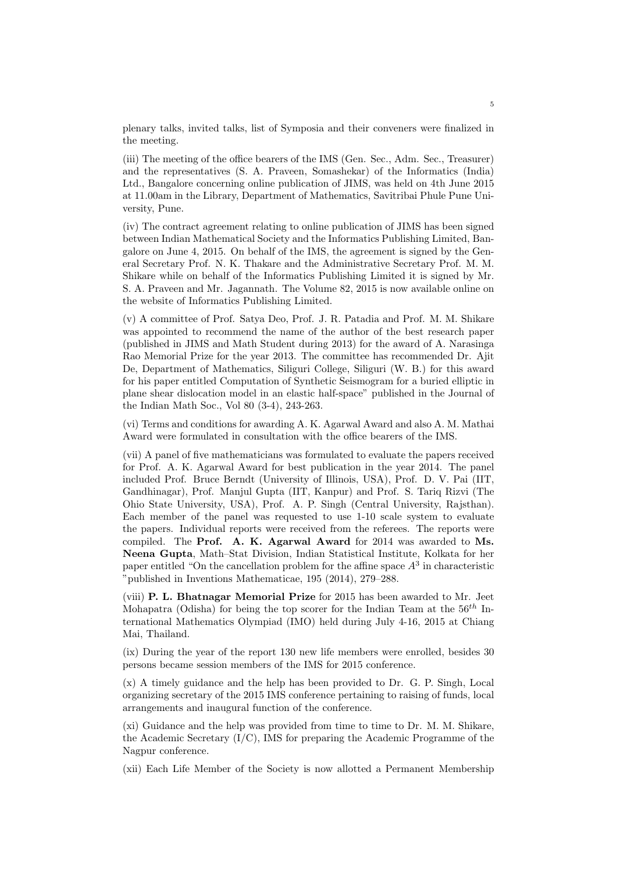plenary talks, invited talks, list of Symposia and their conveners were finalized in the meeting.

(iii) The meeting of the office bearers of the IMS (Gen. Sec., Adm. Sec., Treasurer) and the representatives (S. A. Praveen, Somashekar) of the Informatics (India) Ltd., Bangalore concerning online publication of JIMS, was held on 4th June 2015 at 11.00am in the Library, Department of Mathematics, Savitribai Phule Pune University, Pune.

(iv) The contract agreement relating to online publication of JIMS has been signed between Indian Mathematical Society and the Informatics Publishing Limited, Bangalore on June 4, 2015. On behalf of the IMS, the agreement is signed by the General Secretary Prof. N. K. Thakare and the Administrative Secretary Prof. M. M. Shikare while on behalf of the Informatics Publishing Limited it is signed by Mr. S. A. Praveen and Mr. Jagannath. The Volume 82, 2015 is now available online on the website of Informatics Publishing Limited.

(v) A committee of Prof. Satya Deo, Prof. J. R. Patadia and Prof. M. M. Shikare was appointed to recommend the name of the author of the best research paper (published in JIMS and Math Student during 2013) for the award of A. Narasinga Rao Memorial Prize for the year 2013. The committee has recommended Dr. Ajit De, Department of Mathematics, Siliguri College, Siliguri (W. B.) for this award for his paper entitled Computation of Synthetic Seismogram for a buried elliptic in plane shear dislocation model in an elastic half-space" published in the Journal of the Indian Math Soc., Vol 80 (3-4), 243-263.

(vi) Terms and conditions for awarding A. K. Agarwal Award and also A. M. Mathai Award were formulated in consultation with the office bearers of the IMS.

(vii) A panel of five mathematicians was formulated to evaluate the papers received for Prof. A. K. Agarwal Award for best publication in the year 2014. The panel included Prof. Bruce Berndt (University of Illinois, USA), Prof. D. V. Pai (IIT, Gandhinagar), Prof. Manjul Gupta (IIT, Kanpur) and Prof. S. Tariq Rizvi (The Ohio State University, USA), Prof. A. P. Singh (Central University, Rajsthan). Each member of the panel was requested to use 1-10 scale system to evaluate the papers. Individual reports were received from the referees. The reports were compiled. The **Prof. A. K. Agarwal Award** for 2014 was awarded to **Ms. Neena Gupta**, Math–Stat Division, Indian Statistical Institute, Kolkata for her paper entitled "On the cancellation problem for the affine space *A*<sup>3</sup> in characteristic "published in Inventions Mathematicae, 195 (2014), 279–288.

(viii) **P. L. Bhatnagar Memorial Prize** for 2015 has been awarded to Mr. Jeet Mohapatra (Odisha) for being the top scorer for the Indian Team at the 56*th* International Mathematics Olympiad (IMO) held during July 4-16, 2015 at Chiang Mai, Thailand.

(ix) During the year of the report 130 new life members were enrolled, besides 30 persons became session members of the IMS for 2015 conference.

(x) A timely guidance and the help has been provided to Dr. G. P. Singh, Local organizing secretary of the 2015 IMS conference pertaining to raising of funds, local arrangements and inaugural function of the conference.

(xi) Guidance and the help was provided from time to time to Dr. M. M. Shikare, the Academic Secretary (I/C), IMS for preparing the Academic Programme of the Nagpur conference.

(xii) Each Life Member of the Society is now allotted a Permanent Membership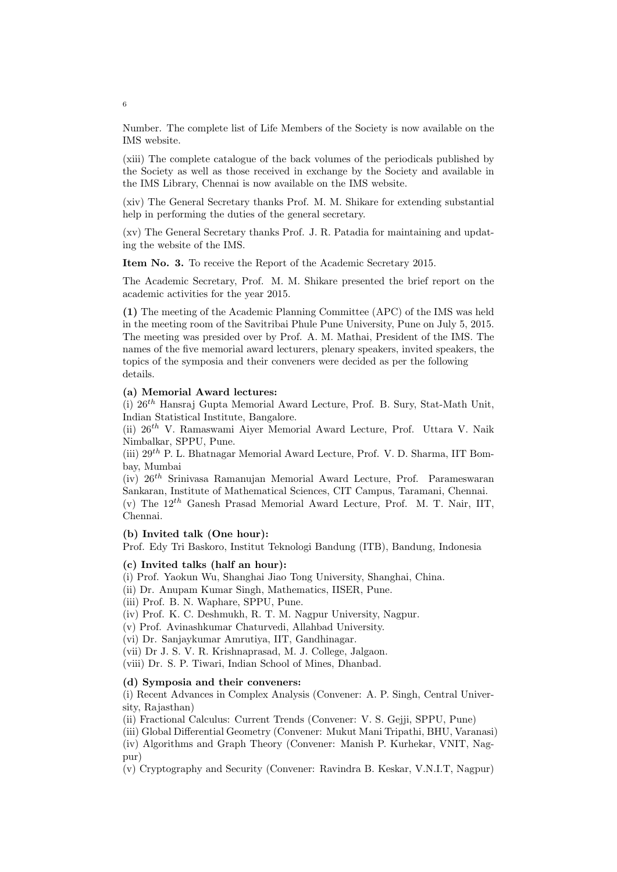Number. The complete list of Life Members of the Society is now available on the IMS website.

(xiii) The complete catalogue of the back volumes of the periodicals published by the Society as well as those received in exchange by the Society and available in the IMS Library, Chennai is now available on the IMS website.

(xiv) The General Secretary thanks Prof. M. M. Shikare for extending substantial help in performing the duties of the general secretary.

(xv) The General Secretary thanks Prof. J. R. Patadia for maintaining and updating the website of the IMS.

**Item No. 3.** To receive the Report of the Academic Secretary 2015.

The Academic Secretary, Prof. M. M. Shikare presented the brief report on the academic activities for the year 2015.

**(1)** The meeting of the Academic Planning Committee (APC) of the IMS was held in the meeting room of the Savitribai Phule Pune University, Pune on July 5, 2015. The meeting was presided over by Prof. A. M. Mathai, President of the IMS. The names of the five memorial award lecturers, plenary speakers, invited speakers, the topics of the symposia and their conveners were decided as per the following details.

### **(a) Memorial Award lectures:**

(i) 26*th* Hansraj Gupta Memorial Award Lecture, Prof. B. Sury, Stat-Math Unit, Indian Statistical Institute, Bangalore.

(ii) 26*th* V. Ramaswami Aiyer Memorial Award Lecture, Prof. Uttara V. Naik Nimbalkar, SPPU, Pune.

(iii) 29*th* P. L. Bhatnagar Memorial Award Lecture, Prof. V. D. Sharma, IIT Bombay, Mumbai

(iv) 26*th* Srinivasa Ramanujan Memorial Award Lecture, Prof. Parameswaran Sankaran, Institute of Mathematical Sciences, CIT Campus, Taramani, Chennai. (v) The 12*th* Ganesh Prasad Memorial Award Lecture, Prof. M. T. Nair, IIT, Chennai.

#### **(b) Invited talk (One hour):**

Prof. Edy Tri Baskoro, Institut Teknologi Bandung (ITB), Bandung, Indonesia

### **(c) Invited talks (half an hour):**

(i) Prof. Yaokun Wu, Shanghai Jiao Tong University, Shanghai, China.

(ii) Dr. Anupam Kumar Singh, Mathematics, IISER, Pune.

(iii) Prof. B. N. Waphare, SPPU, Pune.

(iv) Prof. K. C. Deshmukh, R. T. M. Nagpur University, Nagpur.

(v) Prof. Avinashkumar Chaturvedi, Allahbad University.

(vi) Dr. Sanjaykumar Amrutiya, IIT, Gandhinagar.

(vii) Dr J. S. V. R. Krishnaprasad, M. J. College, Jalgaon.

(viii) Dr. S. P. Tiwari, Indian School of Mines, Dhanbad.

# **(d) Symposia and their conveners:**

(i) Recent Advances in Complex Analysis (Convener: A. P. Singh, Central University, Rajasthan)

(ii) Fractional Calculus: Current Trends (Convener: V. S. Gejji, SPPU, Pune)

(iii) Global Differential Geometry (Convener: Mukut Mani Tripathi, BHU, Varanasi)

(iv) Algorithms and Graph Theory (Convener: Manish P. Kurhekar, VNIT, Nagpur)

(v) Cryptography and Security (Convener: Ravindra B. Keskar, V.N.I.T, Nagpur)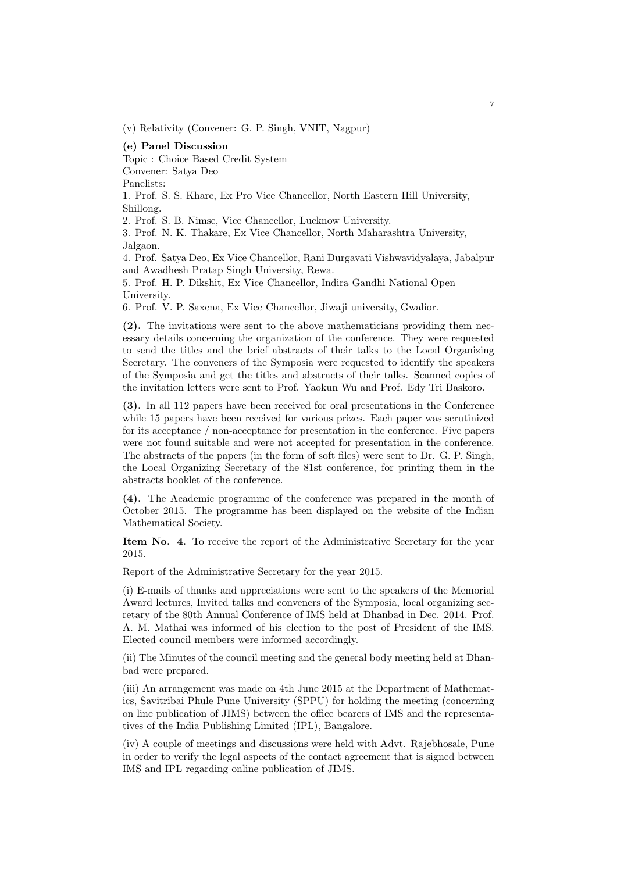(v) Relativity (Convener: G. P. Singh, VNIT, Nagpur)

**(e) Panel Discussion**

Topic : Choice Based Credit System

Convener: Satya Deo

Panelists:

1. Prof. S. S. Khare, Ex Pro Vice Chancellor, North Eastern Hill University, Shillong.

2. Prof. S. B. Nimse, Vice Chancellor, Lucknow University.

3. Prof. N. K. Thakare, Ex Vice Chancellor, North Maharashtra University, Jalgaon.

4. Prof. Satya Deo, Ex Vice Chancellor, Rani Durgavati Vishwavidyalaya, Jabalpur and Awadhesh Pratap Singh University, Rewa.

5. Prof. H. P. Dikshit, Ex Vice Chancellor, Indira Gandhi National Open University.

6. Prof. V. P. Saxena, Ex Vice Chancellor, Jiwaji university, Gwalior.

**(2).** The invitations were sent to the above mathematicians providing them necessary details concerning the organization of the conference. They were requested to send the titles and the brief abstracts of their talks to the Local Organizing Secretary. The conveners of the Symposia were requested to identify the speakers of the Symposia and get the titles and abstracts of their talks. Scanned copies of the invitation letters were sent to Prof. Yaokun Wu and Prof. Edy Tri Baskoro.

**(3).** In all 112 papers have been received for oral presentations in the Conference while 15 papers have been received for various prizes. Each paper was scrutinized for its acceptance / non-acceptance for presentation in the conference. Five papers were not found suitable and were not accepted for presentation in the conference. The abstracts of the papers (in the form of soft files) were sent to Dr. G. P. Singh, the Local Organizing Secretary of the 81st conference, for printing them in the abstracts booklet of the conference.

**(4).** The Academic programme of the conference was prepared in the month of October 2015. The programme has been displayed on the website of the Indian Mathematical Society.

**Item No. 4.** To receive the report of the Administrative Secretary for the year 2015.

Report of the Administrative Secretary for the year 2015.

(i) E-mails of thanks and appreciations were sent to the speakers of the Memorial Award lectures, Invited talks and conveners of the Symposia, local organizing secretary of the 80th Annual Conference of IMS held at Dhanbad in Dec. 2014. Prof. A. M. Mathai was informed of his election to the post of President of the IMS. Elected council members were informed accordingly.

(ii) The Minutes of the council meeting and the general body meeting held at Dhanbad were prepared.

(iii) An arrangement was made on 4th June 2015 at the Department of Mathematics, Savitribai Phule Pune University (SPPU) for holding the meeting (concerning on line publication of JIMS) between the office bearers of IMS and the representatives of the India Publishing Limited (IPL), Bangalore.

(iv) A couple of meetings and discussions were held with Advt. Rajebhosale, Pune in order to verify the legal aspects of the contact agreement that is signed between IMS and IPL regarding online publication of JIMS.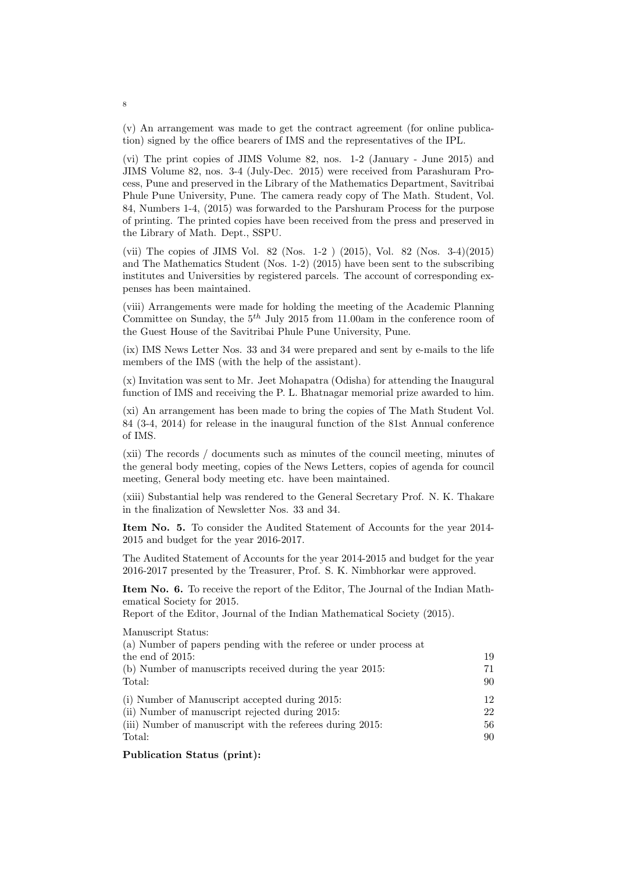(v) An arrangement was made to get the contract agreement (for online publication) signed by the office bearers of IMS and the representatives of the IPL.

(vi) The print copies of JIMS Volume 82, nos. 1-2 (January - June 2015) and JIMS Volume 82, nos. 3-4 (July-Dec. 2015) were received from Parashuram Process, Pune and preserved in the Library of the Mathematics Department, Savitribai Phule Pune University, Pune. The camera ready copy of The Math. Student, Vol. 84, Numbers 1-4, (2015) was forwarded to the Parshuram Process for the purpose of printing. The printed copies have been received from the press and preserved in the Library of Math. Dept., SSPU.

(vii) The copies of JIMS Vol. 82 (Nos. 1-2 ) (2015), Vol. 82 (Nos. 3-4)(2015) and The Mathematics Student (Nos. 1-2) (2015) have been sent to the subscribing institutes and Universities by registered parcels. The account of corresponding expenses has been maintained.

(viii) Arrangements were made for holding the meeting of the Academic Planning Committee on Sunday, the 5*th* July 2015 from 11.00am in the conference room of the Guest House of the Savitribai Phule Pune University, Pune.

(ix) IMS News Letter Nos. 33 and 34 were prepared and sent by e-mails to the life members of the IMS (with the help of the assistant).

(x) Invitation was sent to Mr. Jeet Mohapatra (Odisha) for attending the Inaugural function of IMS and receiving the P. L. Bhatnagar memorial prize awarded to him.

(xi) An arrangement has been made to bring the copies of The Math Student Vol. 84 (3-4, 2014) for release in the inaugural function of the 81st Annual conference of IMS.

(xii) The records / documents such as minutes of the council meeting, minutes of the general body meeting, copies of the News Letters, copies of agenda for council meeting, General body meeting etc. have been maintained.

(xiii) Substantial help was rendered to the General Secretary Prof. N. K. Thakare in the finalization of Newsletter Nos. 33 and 34.

**Item No. 5.** To consider the Audited Statement of Accounts for the year 2014- 2015 and budget for the year 2016-2017.

The Audited Statement of Accounts for the year 2014-2015 and budget for the year 2016-2017 presented by the Treasurer, Prof. S. K. Nimbhorkar were approved.

**Item No. 6.** To receive the report of the Editor, The Journal of the Indian Mathematical Society for 2015.

Report of the Editor, Journal of the Indian Mathematical Society (2015).

Manuscript Status:

| (a) Number of papers pending with the referee or under process at |    |
|-------------------------------------------------------------------|----|
| the end of $2015$ :                                               | 19 |
| (b) Number of manuscripts received during the year $2015$ :       | 71 |
| Total:                                                            | 90 |
| (i) Number of Manuscript accepted during 2015:                    | 12 |
| (ii) Number of manuscript rejected during 2015:                   | 22 |
| (iii) Number of manuscript with the referees during 2015:         | 56 |
| Total:                                                            | 90 |
|                                                                   |    |

### **Publication Status (print):**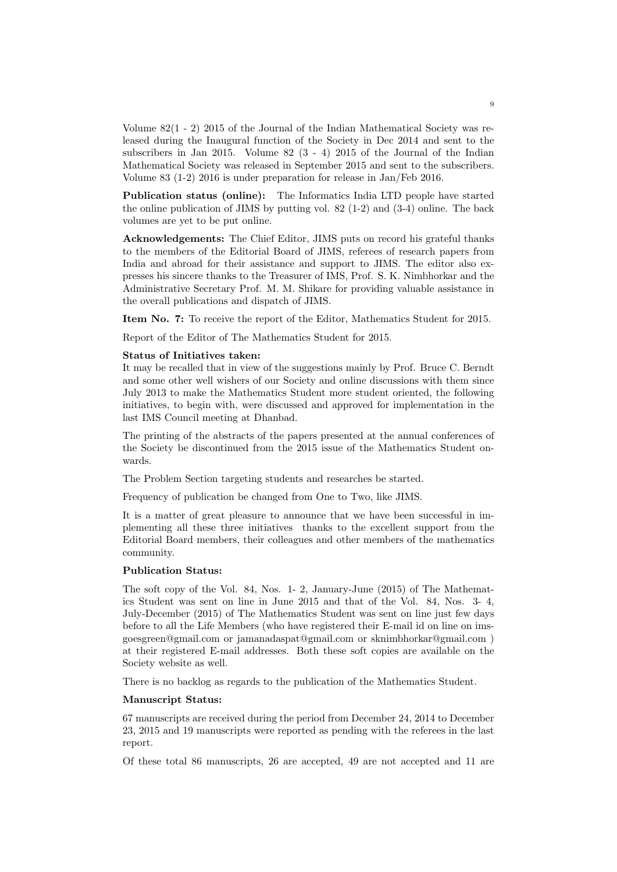Volume 82(1 - 2) 2015 of the Journal of the Indian Mathematical Society was released during the Inaugural function of the Society in Dec 2014 and sent to the subscribers in Jan 2015. Volume 82 (3 - 4) 2015 of the Journal of the Indian Mathematical Society was released in September 2015 and sent to the subscribers. Volume 83 (1-2) 2016 is under preparation for release in Jan/Feb 2016.

**Publication status (online):** The Informatics India LTD people have started the online publication of JIMS by putting vol. 82 (1-2) and (3-4) online. The back volumes are yet to be put online.

**Acknowledgements:** The Chief Editor, JIMS puts on record his grateful thanks to the members of the Editorial Board of JIMS, referees of research papers from India and abroad for their assistance and support to JIMS. The editor also expresses his sincere thanks to the Treasurer of IMS, Prof. S. K. Nimbhorkar and the Administrative Secretary Prof. M. M. Shikare for providing valuable assistance in the overall publications and dispatch of JIMS.

**Item No. 7:** To receive the report of the Editor, Mathematics Student for 2015.

Report of the Editor of The Mathematics Student for 2015.

#### **Status of Initiatives taken:**

It may be recalled that in view of the suggestions mainly by Prof. Bruce C. Berndt and some other well wishers of our Society and online discussions with them since July 2013 to make the Mathematics Student more student oriented, the following initiatives, to begin with, were discussed and approved for implementation in the last IMS Council meeting at Dhanbad.

The printing of the abstracts of the papers presented at the annual conferences of the Society be discontinued from the 2015 issue of the Mathematics Student onwards.

The Problem Section targeting students and researches be started.

Frequency of publication be changed from One to Two, like JIMS.

It is a matter of great pleasure to announce that we have been successful in implementing all these three initiatives thanks to the excellent support from the Editorial Board members, their colleagues and other members of the mathematics community.

### **Publication Status:**

The soft copy of the Vol. 84, Nos. 1- 2, January-June (2015) of The Mathematics Student was sent on line in June 2015 and that of the Vol. 84, Nos. 3- 4, July-December (2015) of The Mathematics Student was sent on line just few days before to all the Life Members (who have registered their E-mail id on line on imsgoesgreen@gmail.com or jamanadaspat@gmail.com or sknimbhorkar@gmail.com ) at their registered E-mail addresses. Both these soft copies are available on the Society website as well.

There is no backlog as regards to the publication of the Mathematics Student.

#### **Manuscript Status:**

67 manuscripts are received during the period from December 24, 2014 to December 23, 2015 and 19 manuscripts were reported as pending with the referees in the last report.

Of these total 86 manuscripts, 26 are accepted, 49 are not accepted and 11 are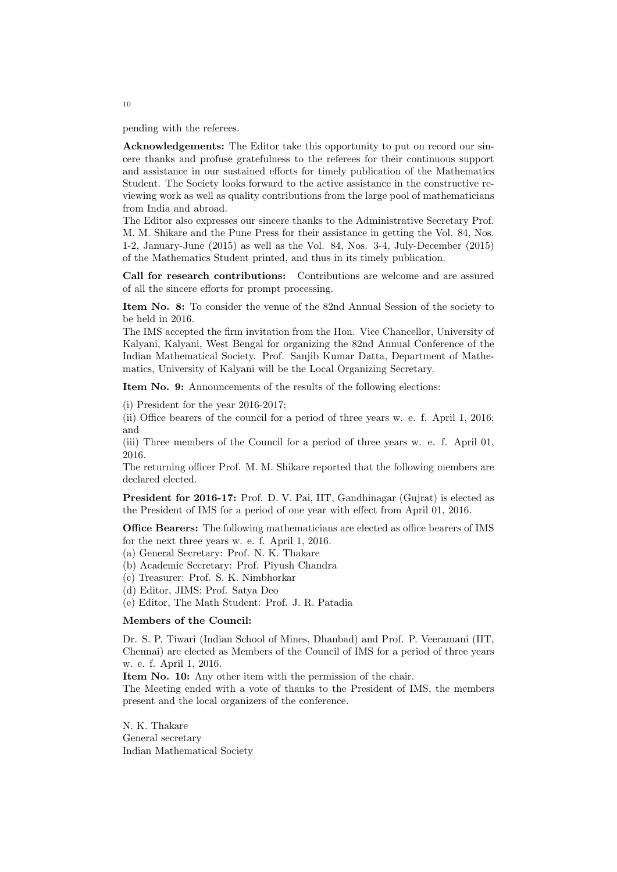pending with the referees.

**Acknowledgements:** The Editor take this opportunity to put on record our sincere thanks and profuse gratefulness to the referees for their continuous support and assistance in our sustained efforts for timely publication of the Mathematics Student. The Society looks forward to the active assistance in the constructive reviewing work as well as quality contributions from the large pool of mathematicians from India and abroad.

The Editor also expresses our sincere thanks to the Administrative Secretary Prof. M. M. Shikare and the Pune Press for their assistance in getting the Vol. 84, Nos. 1-2, January-June (2015) as well as the Vol. 84, Nos. 3-4, July-December (2015) of the Mathematics Student printed, and thus in its timely publication.

**Call for research contributions:** Contributions are welcome and are assured of all the sincere efforts for prompt processing.

**Item No. 8:** To consider the venue of the 82nd Annual Session of the society to be held in 2016.

The IMS accepted the firm invitation from the Hon. Vice Chancellor, University of Kalyani, Kalyani, West Bengal for organizing the 82nd Annual Conference of the Indian Mathematical Society. Prof. Sanjib Kumar Datta, Department of Mathematics, University of Kalyani will be the Local Organizing Secretary.

**Item No. 9:** Announcements of the results of the following elections:

(i) President for the year 2016-2017;

(ii) Office bearers of the council for a period of three years w. e. f. April 1, 2016; and

(iii) Three members of the Council for a period of three years w. e. f. April 01, 2016.

The returning officer Prof. M. M. Shikare reported that the following members are declared elected.

**President for 2016-17:** Prof. D. V. Pai, IIT, Gandhinagar (Guirat) is elected as the President of IMS for a period of one year with effect from April 01, 2016.

**Office Bearers:** The following mathematicians are elected as office bearers of IMS for the next three years w. e. f. April 1, 2016.

(a) General Secretary: Prof. N. K. Thakare

- (b) Academic Secretary: Prof. Piyush Chandra
- (c) Treasurer: Prof. S. K. Nimbhorkar
- (d) Editor, JIMS: Prof. Satya Deo
- (e) Editor, The Math Student: Prof. J. R. Patadia

#### **Members of the Council:**

Dr. S. P. Tiwari (Indian School of Mines, Dhanbad) and Prof. P. Veeramani (IIT, Chennai) are elected as Members of the Council of IMS for a period of three years w. e. f. April 1, 2016.

**Item No. 10:** Any other item with the permission of the chair.

The Meeting ended with a vote of thanks to the President of IMS, the members present and the local organizers of the conference.

N. K. Thakare General secretary Indian Mathematical Society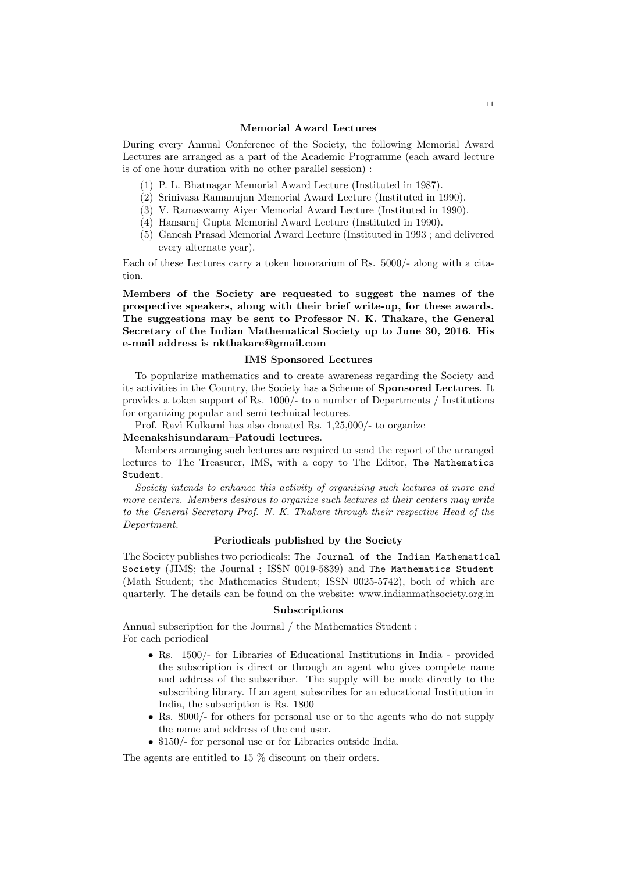### **Memorial Award Lectures**

During every Annual Conference of the Society, the following Memorial Award Lectures are arranged as a part of the Academic Programme (each award lecture is of one hour duration with no other parallel session) :

- (1) P. L. Bhatnagar Memorial Award Lecture (Instituted in 1987).
- (2) Srinivasa Ramanujan Memorial Award Lecture (Instituted in 1990).
- (3) V. Ramaswamy Aiyer Memorial Award Lecture (Instituted in 1990).
- (4) Hansaraj Gupta Memorial Award Lecture (Instituted in 1990).
- (5) Ganesh Prasad Memorial Award Lecture (Instituted in 1993 ; and delivered every alternate year).

Each of these Lectures carry a token honorarium of Rs. 5000/- along with a citation.

**Members of the Society are requested to suggest the names of the prospective speakers, along with their brief write-up, for these awards. The suggestions may be sent to Professor N. K. Thakare, the General Secretary of the Indian Mathematical Society up to June 30, 2016. His e-mail address is nkthakare@gmail.com**

### **IMS Sponsored Lectures**

To popularize mathematics and to create awareness regarding the Society and its activities in the Country, the Society has a Scheme of **Sponsored Lectures**. It provides a token support of Rs. 1000/- to a number of Departments / Institutions for organizing popular and semi technical lectures.

Prof. Ravi Kulkarni has also donated Rs. 1,25,000/- to organize

### **Meenakshisundaram–Patoudi lectures**.

Members arranging such lectures are required to send the report of the arranged lectures to The Treasurer, IMS, with a copy to The Editor, The Mathematics Student.

*Society intends to enhance this activity of organizing such lectures at more and more centers. Members desirous to organize such lectures at their centers may write to the General Secretary Prof. N. K. Thakare through their respective Head of the Department.*

#### **Periodicals published by the Society**

The Society publishes two periodicals: The Journal of the Indian Mathematical Society (JIMS; the Journal ; ISSN 0019-5839) and The Mathematics Student (Math Student; the Mathematics Student; ISSN 0025-5742), both of which are quarterly. The details can be found on the website: www.indianmathsociety.org.in

### **Subscriptions**

Annual subscription for the Journal / the Mathematics Student : For each periodical

- *•* Rs. 1500/- for Libraries of Educational Institutions in India provided the subscription is direct or through an agent who gives complete name and address of the subscriber. The supply will be made directly to the subscribing library. If an agent subscribes for an educational Institution in India, the subscription is Rs. 1800
- Rs. 8000/- for others for personal use or to the agents who do not supply the name and address of the end user.
- \$150/- for personal use or for Libraries outside India.

The agents are entitled to 15 % discount on their orders.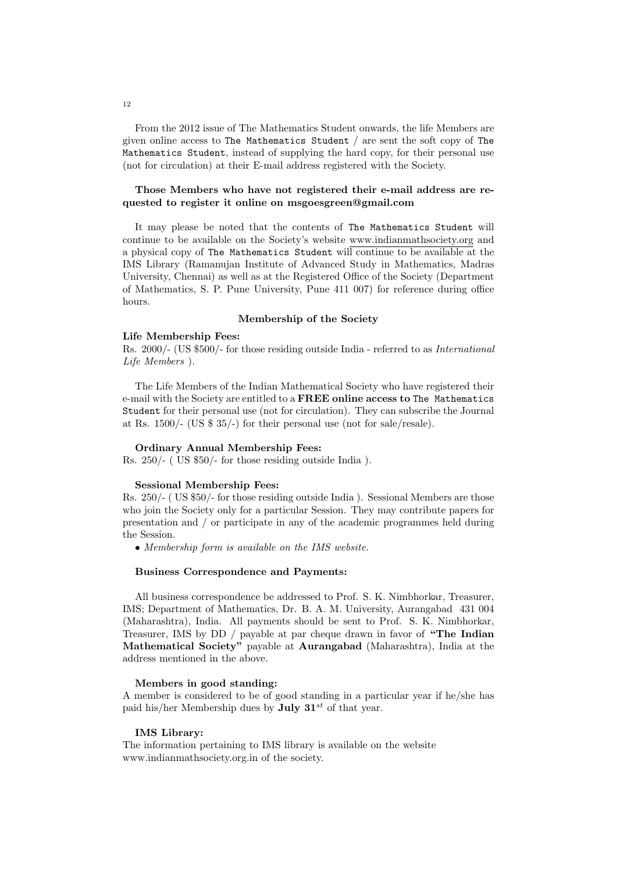From the 2012 issue of The Mathematics Student onwards, the life Members are given online access to The Mathematics Student / are sent the soft copy of The Mathematics Student, instead of supplying the hard copy, for their personal use (not for circulation) at their E-mail address registered with the Society.

# **Those Members who have not registered their e-mail address are requested to register it online on msgoesgreen@gmail.com**

It may please be noted that the contents of The Mathematics Student will continue to be available on the Society's website www.indianmathsociety.org and a physical copy of The Mathematics Student will continue to be available at the IMS Library (Ramanujan Institute of Advanced Study in Mathematics, Madras University, Chennai) as well as at the Registered Office of the Society (Department of Mathematics, S. P. Pune University, Pune 411 007) for reference during office hours.

#### **Membership of the Society**

#### **Life Membership Fees:**

Rs. 2000/- (US \$500/- for those residing outside India - referred to as *International Life Members* ).

The Life Members of the Indian Mathematical Society who have registered their e-mail with the Society are entitled to a **FREE online access to** The Mathematics Student for their personal use (not for circulation). They can subscribe the Journal at Rs. 1500/- (US \$ 35/-) for their personal use (not for sale/resale).

### **Ordinary Annual Membership Fees:**

Rs. 250/- ( US \$50/- for those residing outside India ).

#### **Sessional Membership Fees:**

Rs. 250/- ( US \$50/- for those residing outside India ). Sessional Members are those who join the Society only for a particular Session. They may contribute papers for presentation and / or participate in any of the academic programmes held during the Session.

*• Membership form is available on the IMS website.*

#### **Business Correspondence and Payments:**

All business correspondence be addressed to Prof. S. K. Nimbhorkar, Treasurer, IMS; Department of Mathematics, Dr. B. A. M. University, Aurangabad 431 004 (Maharashtra), India. All payments should be sent to Prof. S. K. Nimbhorkar, Treasurer, IMS by DD / payable at par cheque drawn in favor of **"The Indian Mathematical Society"** payable at **Aurangabad** (Maharashtra), India at the address mentioned in the above.

#### **Members in good standing:**

A member is considered to be of good standing in a particular year if he/she has paid his/her Membership dues by **July 31***st* of that year.

#### **IMS Library:**

The information pertaining to IMS library is available on the website www.indianmathsociety.org.in of the society.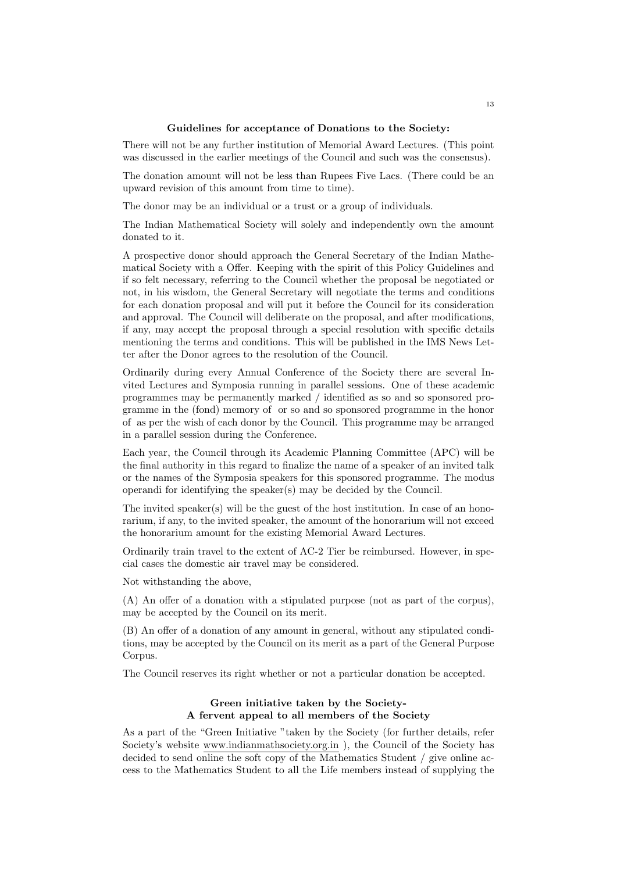#### **Guidelines for acceptance of Donations to the Society:**

There will not be any further institution of Memorial Award Lectures. (This point was discussed in the earlier meetings of the Council and such was the consensus).

The donation amount will not be less than Rupees Five Lacs. (There could be an upward revision of this amount from time to time).

The donor may be an individual or a trust or a group of individuals.

The Indian Mathematical Society will solely and independently own the amount donated to it.

A prospective donor should approach the General Secretary of the Indian Mathematical Society with a Offer. Keeping with the spirit of this Policy Guidelines and if so felt necessary, referring to the Council whether the proposal be negotiated or not, in his wisdom, the General Secretary will negotiate the terms and conditions for each donation proposal and will put it before the Council for its consideration and approval. The Council will deliberate on the proposal, and after modifications, if any, may accept the proposal through a special resolution with specific details mentioning the terms and conditions. This will be published in the IMS News Letter after the Donor agrees to the resolution of the Council.

Ordinarily during every Annual Conference of the Society there are several Invited Lectures and Symposia running in parallel sessions. One of these academic programmes may be permanently marked / identified as so and so sponsored programme in the (fond) memory of or so and so sponsored programme in the honor of as per the wish of each donor by the Council. This programme may be arranged in a parallel session during the Conference.

Each year, the Council through its Academic Planning Committee (APC) will be the final authority in this regard to finalize the name of a speaker of an invited talk or the names of the Symposia speakers for this sponsored programme. The modus operandi for identifying the speaker(s) may be decided by the Council.

The invited speaker(s) will be the guest of the host institution. In case of an honorarium, if any, to the invited speaker, the amount of the honorarium will not exceed the honorarium amount for the existing Memorial Award Lectures.

Ordinarily train travel to the extent of AC-2 Tier be reimbursed. However, in special cases the domestic air travel may be considered.

Not withstanding the above,

(A) An offer of a donation with a stipulated purpose (not as part of the corpus), may be accepted by the Council on its merit.

(B) An offer of a donation of any amount in general, without any stipulated conditions, may be accepted by the Council on its merit as a part of the General Purpose Corpus.

The Council reserves its right whether or not a particular donation be accepted.

# **Green initiative taken by the Society-A fervent appeal to all members of the Society**

As a part of the "Green Initiative "taken by the Society (for further details, refer Society's website www.indianmathsociety.org.in ), the Council of the Society has decided to send online the soft copy of the Mathematics Student / give online access to the Mathematics Student to all the Life members instead of supplying the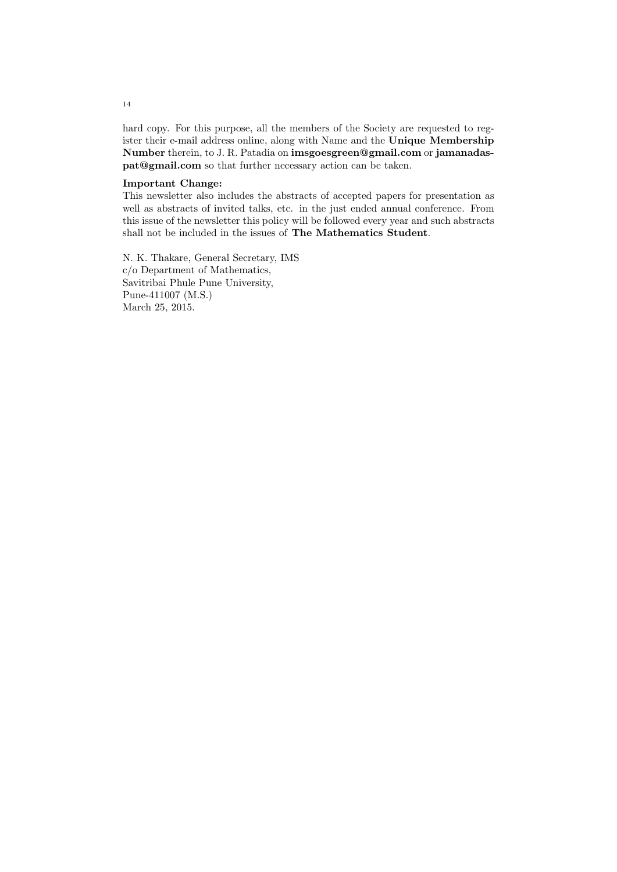hard copy. For this purpose, all the members of the Society are requested to register their e-mail address online, along with Name and the **Unique Membership Number** therein, to J. R. Patadia on **imsgoesgreen@gmail.com** or **jamanadaspat@gmail.com** so that further necessary action can be taken.

# **Important Change:**

This newsletter also includes the abstracts of accepted papers for presentation as well as abstracts of invited talks, etc. in the just ended annual conference. From this issue of the newsletter this policy will be followed every year and such abstracts shall not be included in the issues of **The Mathematics Student**.

N. K. Thakare, General Secretary, IMS c/o Department of Mathematics, Savitribai Phule Pune University, Pune-411007 (M.S.) March 25, 2015.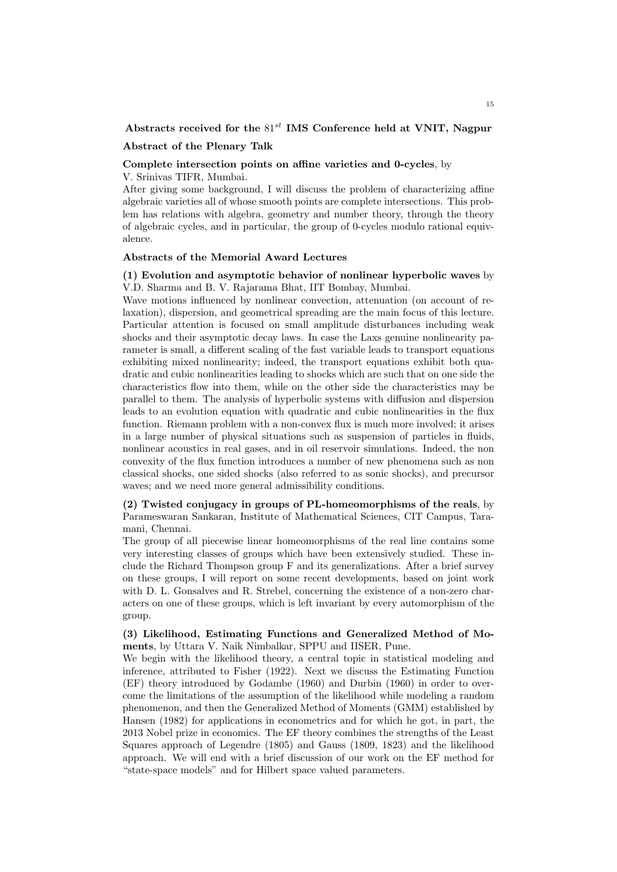### **Abstracts received for the** 81*st* **IMS Conference held at VNIT, Nagpur**

### **Abstract of the Plenary Talk**

# **Complete intersection points on affine varieties and 0-cycles**, by

V. Srinivas TIFR, Mumbai.

After giving some background, I will discuss the problem of characterizing affine algebraic varieties all of whose smooth points are complete intersections. This problem has relations with algebra, geometry and number theory, through the theory of algebraic cycles, and in particular, the group of 0-cycles modulo rational equivalence.

# **Abstracts of the Memorial Award Lectures**

# **(1) Evolution and asymptotic behavior of nonlinear hyperbolic waves** by V.D. Sharma and B. V. Rajarama Bhat, IIT Bombay, Mumbai.

Wave motions influenced by nonlinear convection, attenuation (on account of relaxation), dispersion, and geometrical spreading are the main focus of this lecture. Particular attention is focused on small amplitude disturbances including weak shocks and their asymptotic decay laws. In case the Laxs genuine nonlinearity parameter is small, a different scaling of the fast variable leads to transport equations exhibiting mixed nonlinearity; indeed, the transport equations exhibit both quadratic and cubic nonlinearities leading to shocks which are such that on one side the characteristics flow into them, while on the other side the characteristics may be parallel to them. The analysis of hyperbolic systems with diffusion and dispersion leads to an evolution equation with quadratic and cubic nonlinearities in the flux function. Riemann problem with a non-convex flux is much more involved; it arises in a large number of physical situations such as suspension of particles in fluids, nonlinear acoustics in real gases, and in oil reservoir simulations. Indeed, the non convexity of the flux function introduces a number of new phenomena such as non classical shocks, one sided shocks (also referred to as sonic shocks), and precursor waves; and we need more general admissibility conditions.

# **(2) Twisted conjugacy in groups of PL-homeomorphisms of the reals**, by Parameswaran Sankaran, Institute of Mathematical Sciences, CIT Campus, Taramani, Chennai.

The group of all piecewise linear homeomorphisms of the real line contains some very interesting classes of groups which have been extensively studied. These include the Richard Thompson group F and its generalizations. After a brief survey on these groups, I will report on some recent developments, based on joint work with D. L. Gonsalves and R. Strebel, concerning the existence of a non-zero characters on one of these groups, which is left invariant by every automorphism of the group.

# **(3) Likelihood, Estimating Functions and Generalized Method of Moments**, by Uttara V. Naik Nimbalkar, SPPU and IISER, Pune.

We begin with the likelihood theory, a central topic in statistical modeling and inference, attributed to Fisher (1922). Next we discuss the Estimating Function (EF) theory introduced by Godambe (1960) and Durbin (1960) in order to overcome the limitations of the assumption of the likelihood while modeling a random phenomenon, and then the Generalized Method of Moments (GMM) established by Hansen (1982) for applications in econometrics and for which he got, in part, the 2013 Nobel prize in economics. The EF theory combines the strengths of the Least Squares approach of Legendre (1805) and Gauss (1809, 1823) and the likelihood approach. We will end with a brief discussion of our work on the EF method for "state-space models" and for Hilbert space valued parameters.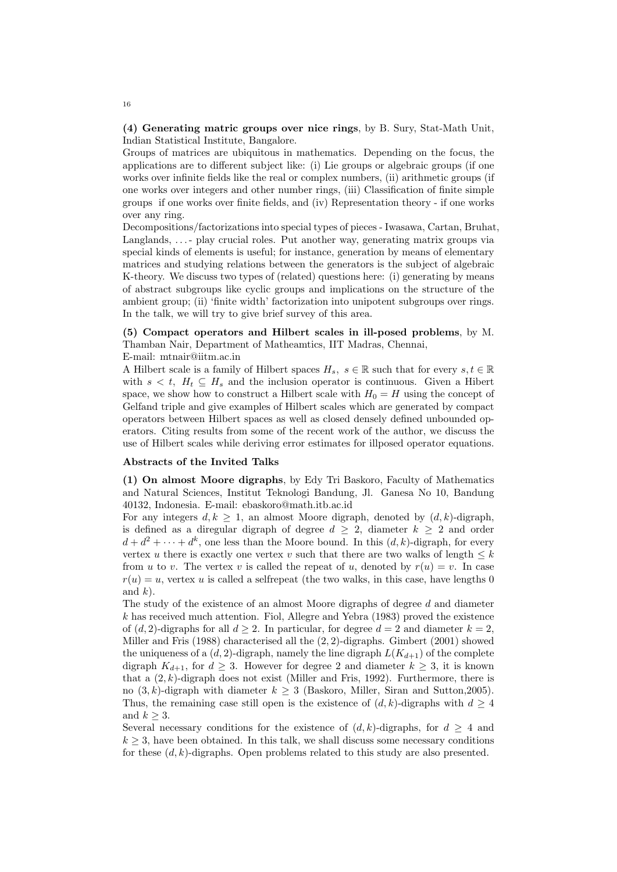**(4) Generating matric groups over nice rings**, by B. Sury, Stat-Math Unit, Indian Statistical Institute, Bangalore.

Groups of matrices are ubiquitous in mathematics. Depending on the focus, the applications are to different subject like: (i) Lie groups or algebraic groups (if one works over infinite fields like the real or complex numbers, (ii) arithmetic groups (if one works over integers and other number rings, (iii) Classification of finite simple groups if one works over finite fields, and (iv) Representation theory - if one works over any ring.

Decompositions/factorizations into special types of pieces - Iwasawa, Cartan, Bruhat, Langlands, ...- play crucial roles. Put another way, generating matrix groups via special kinds of elements is useful; for instance, generation by means of elementary matrices and studying relations between the generators is the subject of algebraic K-theory. We discuss two types of (related) questions here: (i) generating by means of abstract subgroups like cyclic groups and implications on the structure of the ambient group; (ii) 'finite width' factorization into unipotent subgroups over rings. In the talk, we will try to give brief survey of this area.

# **(5) Compact operators and Hilbert scales in ill-posed problems**, by M. Thamban Nair, Department of Matheamtics, IIT Madras, Chennai,

E-mail: mtnair@iitm.ac.in

A Hilbert scale is a family of Hilbert spaces  $H_s$ ,  $s \in \mathbb{R}$  such that for every  $s, t \in \mathbb{R}$ with  $s < t$ ,  $H_t \subseteq H_s$  and the inclusion operator is continuous. Given a Hibert space, we show how to construct a Hilbert scale with  $H_0 = H$  using the concept of Gelfand triple and give examples of Hilbert scales which are generated by compact operators between Hilbert spaces as well as closed densely defined unbounded operators. Citing results from some of the recent work of the author, we discuss the use of Hilbert scales while deriving error estimates for illposed operator equations.

### **Abstracts of the Invited Talks**

**(1) On almost Moore digraphs**, by Edy Tri Baskoro, Faculty of Mathematics and Natural Sciences, Institut Teknologi Bandung, Jl. Ganesa No 10, Bandung 40132, Indonesia. E-mail: ebaskoro@math.itb.ac.id

For any integers  $d, k \geq 1$ , an almost Moore digraph, denoted by  $(d, k)$ -digraph, is defined as a diregular digraph of degree  $d \geq 2$ , diameter  $k \geq 2$  and order  $d + d^2 + \cdots + d^k$ , one less than the Moore bound. In this  $(d, k)$ -digraph, for every vertex *u* there is exactly one vertex *v* such that there are two walks of length  $\leq k$ from *u* to *v*. The vertex *v* is called the repeat of *u*, denoted by  $r(u) = v$ . In case  $r(u) = u$ , vertex *u* is called a selfrepeat (the two walks, in this case, have lengths 0 and *k*).

The study of the existence of an almost Moore digraphs of degree *d* and diameter *k* has received much attention. Fiol, Allegre and Yebra (1983) proved the existence of  $(d, 2)$ -digraphs for all  $d \geq 2$ . In particular, for degree  $d = 2$  and diameter  $k = 2$ . Miller and Fris (1988) characterised all the (2*,* 2)-digraphs. Gimbert (2001) showed the uniqueness of a  $(d, 2)$ -digraph, namely the line digraph  $L(K_{d+1})$  of the complete digraph  $K_{d+1}$ , for  $d \geq 3$ . However for degree 2 and diameter  $k \geq 3$ , it is known that a  $(2, k)$ -digraph does not exist (Miller and Fris, 1992). Furthermore, there is no  $(3, k)$ -digraph with diameter  $k \geq 3$  (Baskoro, Miller, Siran and Sutton, 2005). Thus, the remaining case still open is the existence of  $(d, k)$ -digraphs with  $d \geq 4$ and  $k \geq 3$ .

Several necessary conditions for the existence of  $(d, k)$ -digraphs, for  $d \geq 4$  and  $k \geq 3$ , have been obtained. In this talk, we shall discuss some necessary conditions for these (*d, k*)-digraphs. Open problems related to this study are also presented.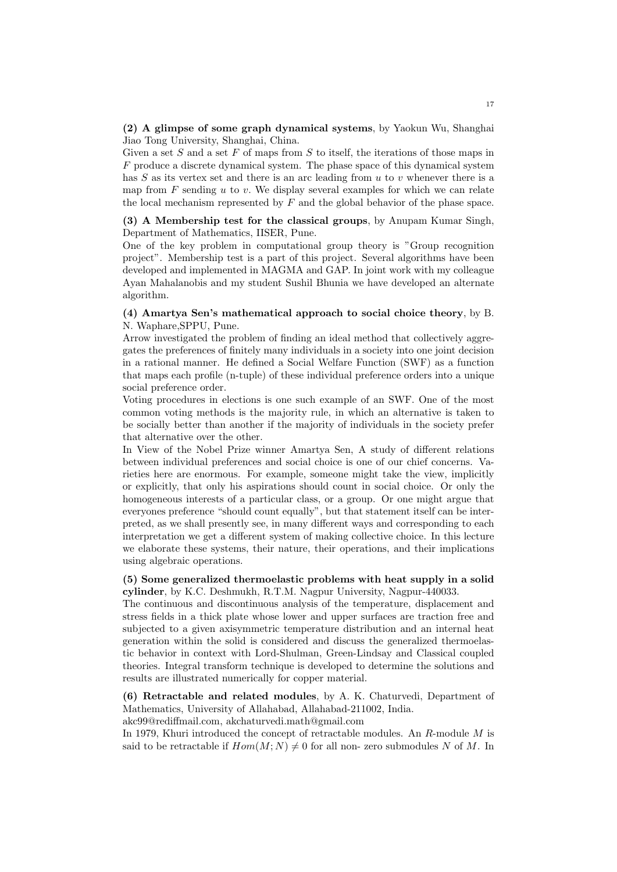# **(2) A glimpse of some graph dynamical systems**, by Yaokun Wu, Shanghai Jiao Tong University, Shanghai, China.

Given a set *S* and a set *F* of maps from *S* to itself, the iterations of those maps in *F* produce a discrete dynamical system. The phase space of this dynamical system has *S* as its vertex set and there is an arc leading from *u* to *v* whenever there is a map from *F* sending *u* to *v.* We display several examples for which we can relate the local mechanism represented by *F* and the global behavior of the phase space.

# **(3) A Membership test for the classical groups**, by Anupam Kumar Singh, Department of Mathematics, IISER, Pune.

One of the key problem in computational group theory is "Group recognition project". Membership test is a part of this project. Several algorithms have been developed and implemented in MAGMA and GAP. In joint work with my colleague Ayan Mahalanobis and my student Sushil Bhunia we have developed an alternate algorithm.

# **(4) Amartya Sen's mathematical approach to social choice theory**, by B. N. Waphare,SPPU, Pune.

Arrow investigated the problem of finding an ideal method that collectively aggregates the preferences of finitely many individuals in a society into one joint decision in a rational manner. He defined a Social Welfare Function (SWF) as a function that maps each profile (n-tuple) of these individual preference orders into a unique social preference order.

Voting procedures in elections is one such example of an SWF. One of the most common voting methods is the majority rule, in which an alternative is taken to be socially better than another if the majority of individuals in the society prefer that alternative over the other.

In View of the Nobel Prize winner Amartya Sen, A study of different relations between individual preferences and social choice is one of our chief concerns. Varieties here are enormous. For example, someone might take the view, implicitly or explicitly, that only his aspirations should count in social choice. Or only the homogeneous interests of a particular class, or a group. Or one might argue that everyones preference "should count equally", but that statement itself can be interpreted, as we shall presently see, in many different ways and corresponding to each interpretation we get a different system of making collective choice. In this lecture we elaborate these systems, their nature, their operations, and their implications using algebraic operations.

# **(5) Some generalized thermoelastic problems with heat supply in a solid cylinder**, by K.C. Deshmukh, R.T.M. Nagpur University, Nagpur-440033.

The continuous and discontinuous analysis of the temperature, displacement and stress fields in a thick plate whose lower and upper surfaces are traction free and subjected to a given axisymmetric temperature distribution and an internal heat generation within the solid is considered and discuss the generalized thermoelastic behavior in context with Lord-Shulman, Green-Lindsay and Classical coupled theories. Integral transform technique is developed to determine the solutions and results are illustrated numerically for copper material.

**(6) Retractable and related modules**, by A. K. Chaturvedi, Department of Mathematics, University of Allahabad, Allahabad-211002, India.

akc99@rediffmail.com, akchaturvedi.math@gmail.com

In 1979, Khuri introduced the concept of retractable modules. An *R*-module *M* is said to be retractable if  $Hom(M; N) \neq 0$  for all non- zero submodules N of M. In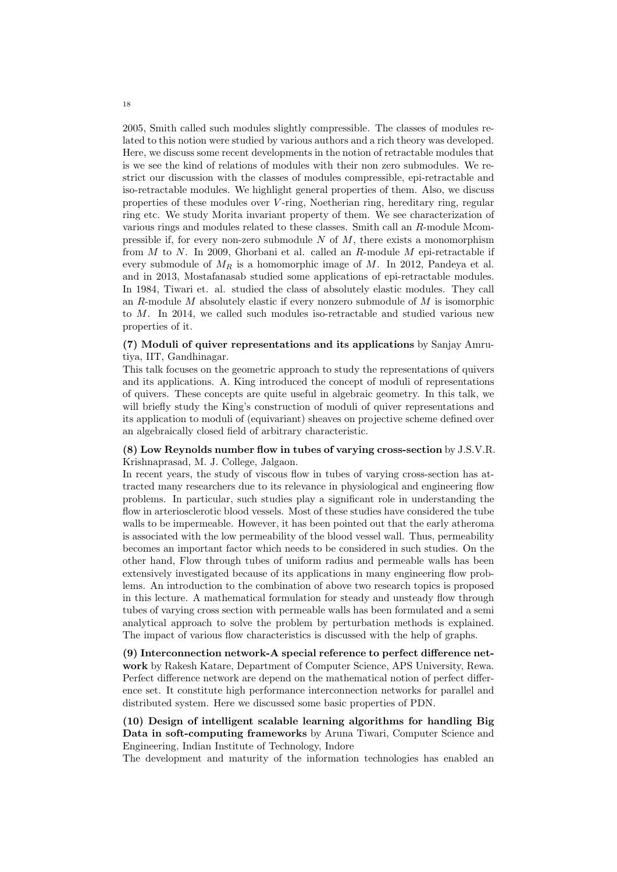2005, Smith called such modules slightly compressible. The classes of modules related to this notion were studied by various authors and a rich theory was developed. Here, we discuss some recent developments in the notion of retractable modules that is we see the kind of relations of modules with their non zero submodules. We restrict our discussion with the classes of modules compressible, epi-retractable and iso-retractable modules. We highlight general properties of them. Also, we discuss properties of these modules over *V* -ring, Noetherian ring, hereditary ring, regular ring etc. We study Morita invariant property of them. We see characterization of various rings and modules related to these classes. Smith call an *R*-module Mcompressible if, for every non-zero submodule *N* of *M*, there exists a monomorphism from *M* to *N*. In 2009, Ghorbani et al. called an *R*-module *M* epi-retractable if every submodule of  $M_R$  is a homomorphic image of  $M$ . In 2012, Pandeya et al. and in 2013, Mostafanasab studied some applications of epi-retractable modules. In 1984, Tiwari et. al. studied the class of absolutely elastic modules. They call an *R*-module *M* absolutely elastic if every nonzero submodule of *M* is isomorphic to *M*. In 2014, we called such modules iso-retractable and studied various new properties of it.

# **(7) Moduli of quiver representations and its applications** by Sanjay Amrutiya, IIT, Gandhinagar.

This talk focuses on the geometric approach to study the representations of quivers and its applications. A. King introduced the concept of moduli of representations of quivers. These concepts are quite useful in algebraic geometry. In this talk, we will briefly study the King's construction of moduli of quiver representations and its application to moduli of (equivariant) sheaves on projective scheme defined over an algebraically closed field of arbitrary characteristic.

# **(8) Low Reynolds number flow in tubes of varying cross-section** by J.S.V.R. Krishnaprasad, M. J. College, Jalgaon.

In recent years, the study of viscous flow in tubes of varying cross-section has attracted many researchers due to its relevance in physiological and engineering flow problems. In particular, such studies play a significant role in understanding the flow in arteriosclerotic blood vessels. Most of these studies have considered the tube walls to be impermeable. However, it has been pointed out that the early atheroma is associated with the low permeability of the blood vessel wall. Thus, permeability becomes an important factor which needs to be considered in such studies. On the other hand, Flow through tubes of uniform radius and permeable walls has been extensively investigated because of its applications in many engineering flow problems. An introduction to the combination of above two research topics is proposed in this lecture. A mathematical formulation for steady and unsteady flow through tubes of varying cross section with permeable walls has been formulated and a semi analytical approach to solve the problem by perturbation methods is explained. The impact of various flow characteristics is discussed with the help of graphs.

**(9) Interconnection network-A special reference to perfect difference network** by Rakesh Katare, Department of Computer Science, APS University, Rewa. Perfect difference network are depend on the mathematical notion of perfect difference set. It constitute high performance interconnection networks for parallel and distributed system. Here we discussed some basic properties of PDN.

**(10) Design of intelligent scalable learning algorithms for handling Big Data in soft-computing frameworks** by Aruna Tiwari, Computer Science and Engineering, Indian Institute of Technology, Indore

The development and maturity of the information technologies has enabled an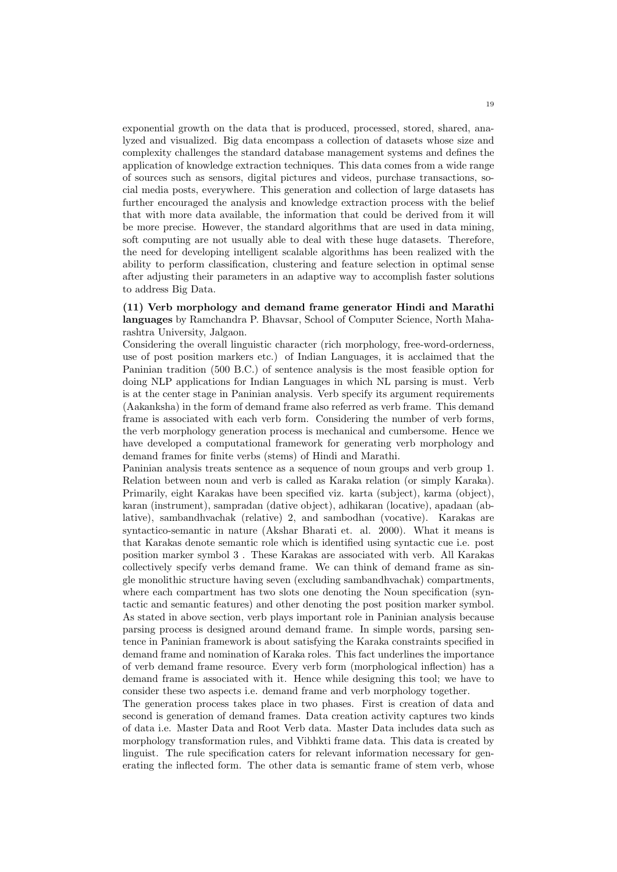exponential growth on the data that is produced, processed, stored, shared, analyzed and visualized. Big data encompass a collection of datasets whose size and complexity challenges the standard database management systems and defines the application of knowledge extraction techniques. This data comes from a wide range of sources such as sensors, digital pictures and videos, purchase transactions, social media posts, everywhere. This generation and collection of large datasets has further encouraged the analysis and knowledge extraction process with the belief that with more data available, the information that could be derived from it will be more precise. However, the standard algorithms that are used in data mining, soft computing are not usually able to deal with these huge datasets. Therefore, the need for developing intelligent scalable algorithms has been realized with the ability to perform classification, clustering and feature selection in optimal sense after adjusting their parameters in an adaptive way to accomplish faster solutions to address Big Data.

# **(11) Verb morphology and demand frame generator Hindi and Marathi languages** by Ramchandra P. Bhavsar, School of Computer Science, North Maharashtra University, Jalgaon.

Considering the overall linguistic character (rich morphology, free-word-orderness, use of post position markers etc.) of Indian Languages, it is acclaimed that the Paninian tradition (500 B.C.) of sentence analysis is the most feasible option for doing NLP applications for Indian Languages in which NL parsing is must. Verb is at the center stage in Paninian analysis. Verb specify its argument requirements (Aakanksha) in the form of demand frame also referred as verb frame. This demand frame is associated with each verb form. Considering the number of verb forms, the verb morphology generation process is mechanical and cumbersome. Hence we have developed a computational framework for generating verb morphology and demand frames for finite verbs (stems) of Hindi and Marathi.

Paninian analysis treats sentence as a sequence of noun groups and verb group 1. Relation between noun and verb is called as Karaka relation (or simply Karaka). Primarily, eight Karakas have been specified viz. karta (subject), karma (object), karan (instrument), sampradan (dative object), adhikaran (locative), apadaan (ablative), sambandhvachak (relative) 2, and sambodhan (vocative). Karakas are syntactico-semantic in nature (Akshar Bharati et. al. 2000). What it means is that Karakas denote semantic role which is identified using syntactic cue i.e. post position marker symbol 3 . These Karakas are associated with verb. All Karakas collectively specify verbs demand frame. We can think of demand frame as single monolithic structure having seven (excluding sambandhvachak) compartments, where each compartment has two slots one denoting the Noun specification (syntactic and semantic features) and other denoting the post position marker symbol. As stated in above section, verb plays important role in Paninian analysis because parsing process is designed around demand frame. In simple words, parsing sentence in Paninian framework is about satisfying the Karaka constraints specified in demand frame and nomination of Karaka roles. This fact underlines the importance of verb demand frame resource. Every verb form (morphological inflection) has a demand frame is associated with it. Hence while designing this tool; we have to consider these two aspects i.e. demand frame and verb morphology together.

The generation process takes place in two phases. First is creation of data and second is generation of demand frames. Data creation activity captures two kinds of data i.e. Master Data and Root Verb data. Master Data includes data such as morphology transformation rules, and Vibhkti frame data. This data is created by linguist. The rule specification caters for relevant information necessary for generating the inflected form. The other data is semantic frame of stem verb, whose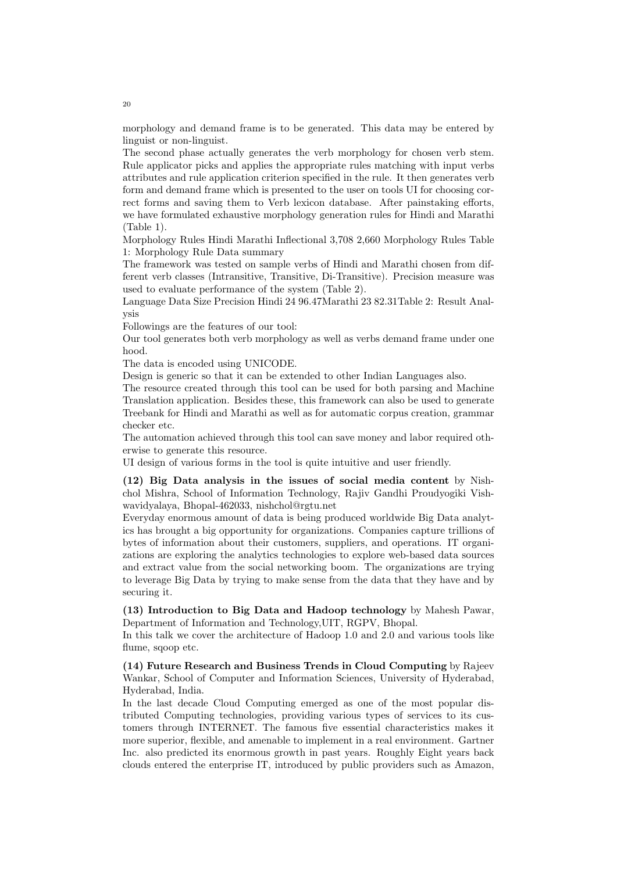morphology and demand frame is to be generated. This data may be entered by linguist or non-linguist.

The second phase actually generates the verb morphology for chosen verb stem. Rule applicator picks and applies the appropriate rules matching with input verbs attributes and rule application criterion specified in the rule. It then generates verb form and demand frame which is presented to the user on tools UI for choosing correct forms and saving them to Verb lexicon database. After painstaking efforts, we have formulated exhaustive morphology generation rules for Hindi and Marathi (Table 1).

Morphology Rules Hindi Marathi Inflectional 3,708 2,660 Morphology Rules Table 1: Morphology Rule Data summary

The framework was tested on sample verbs of Hindi and Marathi chosen from different verb classes (Intransitive, Transitive, Di-Transitive). Precision measure was used to evaluate performance of the system (Table 2).

Language Data Size Precision Hindi 24 96.47Marathi 23 82.31Table 2: Result Analysis

Followings are the features of our tool:

Our tool generates both verb morphology as well as verbs demand frame under one hood.

The data is encoded using UNICODE.

Design is generic so that it can be extended to other Indian Languages also.

The resource created through this tool can be used for both parsing and Machine Translation application. Besides these, this framework can also be used to generate Treebank for Hindi and Marathi as well as for automatic corpus creation, grammar checker etc.

The automation achieved through this tool can save money and labor required otherwise to generate this resource.

UI design of various forms in the tool is quite intuitive and user friendly.

**(12) Big Data analysis in the issues of social media content** by Nishchol Mishra, School of Information Technology, Rajiv Gandhi Proudyogiki Vishwavidyalaya, Bhopal-462033, nishchol@rgtu.net

Everyday enormous amount of data is being produced worldwide Big Data analytics has brought a big opportunity for organizations. Companies capture trillions of bytes of information about their customers, suppliers, and operations. IT organizations are exploring the analytics technologies to explore web-based data sources and extract value from the social networking boom. The organizations are trying to leverage Big Data by trying to make sense from the data that they have and by securing it.

**(13) Introduction to Big Data and Hadoop technology** by Mahesh Pawar, Department of Information and Technology,UIT, RGPV, Bhopal.

In this talk we cover the architecture of Hadoop 1.0 and 2.0 and various tools like flume, sqoop etc.

**(14) Future Research and Business Trends in Cloud Computing** by Rajeev Wankar, School of Computer and Information Sciences, University of Hyderabad, Hyderabad, India.

In the last decade Cloud Computing emerged as one of the most popular distributed Computing technologies, providing various types of services to its customers through INTERNET. The famous five essential characteristics makes it more superior, flexible, and amenable to implement in a real environment. Gartner Inc. also predicted its enormous growth in past years. Roughly Eight years back clouds entered the enterprise IT, introduced by public providers such as Amazon,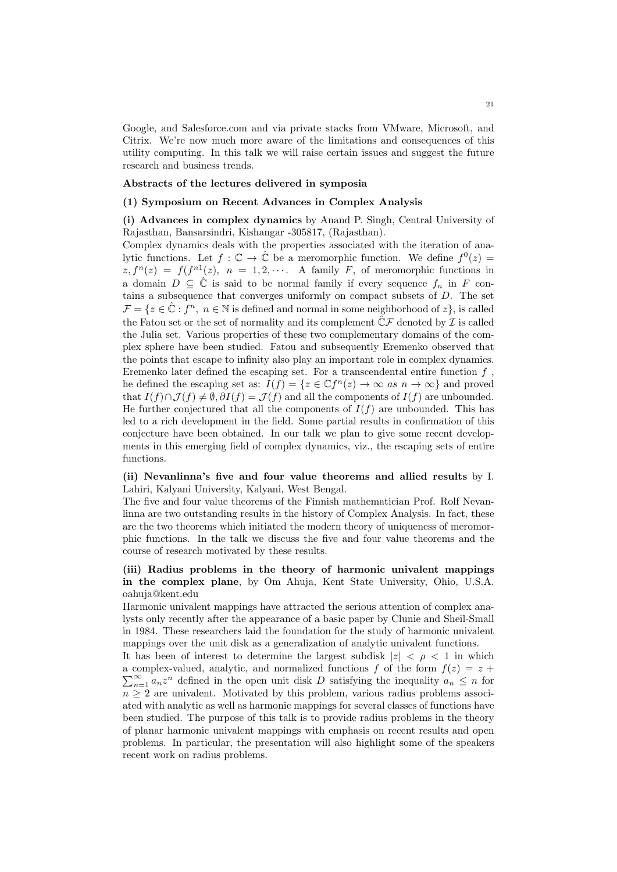Google, and Salesforce.com and via private stacks from VMware, Microsoft, and Citrix. We're now much more aware of the limitations and consequences of this utility computing. In this talk we will raise certain issues and suggest the future research and business trends.

### **Abstracts of the lectures delivered in symposia**

### **(1) Symposium on Recent Advances in Complex Analysis**

**(i) Advances in complex dynamics** by Anand P. Singh, Central University of Rajasthan, Bansarsindri, Kishangar -305817, (Rajasthan).

Complex dynamics deals with the properties associated with the iteration of analytic functions. Let  $f: \mathbb{C} \to \hat{\mathbb{C}}$  be a meromorphic function. We define  $f^0(z) =$  $z, f^{n}(z) = f(f^{n}(z), n = 1, 2, \cdots$ . A family *F*, of meromorphic functions in a domain  $D \subseteq \hat{\mathbb{C}}$  is said to be normal family if every sequence  $f_n$  in  $F$  contains a subsequence that converges uniformly on compact subsets of *D*. The set  $\mathcal{F} = \{z \in \mathbb{C} : f^n, n \in \mathbb{N} \text{ is defined and normal in some neighborhood of } z\},\$ is called the Fatou set or the set of normality and its complement  $\hat{\mathbb{C}}\mathcal{F}$  denoted by  $\mathcal{I}$  is called the Julia set. Various properties of these two complementary domains of the complex sphere have been studied. Fatou and subsequently Eremenko observed that the points that escape to infinity also play an important role in complex dynamics. Eremenko later defined the escaping set. For a transcendental entire function *f* , he defined the escaping set as:  $I(f) = \{z \in \mathbb{C}f^n(z) \to \infty \text{ as } n \to \infty\}$  and proved that  $I(f) \cap \mathcal{J}(f) \neq \emptyset$ ,  $\partial I(f) = \mathcal{J}(f)$  and all the components of  $I(f)$  are unbounded. He further conjectured that all the components of  $I(f)$  are unbounded. This has led to a rich development in the field. Some partial results in confirmation of this conjecture have been obtained. In our talk we plan to give some recent developments in this emerging field of complex dynamics, viz., the escaping sets of entire functions.

# **(ii) Nevanlinna's five and four value theorems and allied results** by I. Lahiri, Kalyani University, Kalyani, West Bengal.

The five and four value theorems of the Finnish mathematician Prof. Rolf Nevanlinna are two outstanding results in the history of Complex Analysis. In fact, these are the two theorems which initiated the modern theory of uniqueness of meromorphic functions. In the talk we discuss the five and four value theorems and the course of research motivated by these results.

# **(iii) Radius problems in the theory of harmonic univalent mappings in the complex plane**, by Om Ahuja, Kent State University, Ohio, U.S.A. oahuja@kent.edu

Harmonic univalent mappings have attracted the serious attention of complex analysts only recently after the appearance of a basic paper by Clunie and Sheil-Small in 1984. These researchers laid the foundation for the study of harmonic univalent mappings over the unit disk as a generalization of analytic univalent functions.

It has been of interest to determine the largest subdisk  $|z| < \rho < 1$  in which  $\sum_{n=1}^{\infty} a_n z^n$  defined in the open unit disk *D* satisfying the inequality  $a_n \leq n$  for a complex-valued, analytic, and normalized functions  $f$  of the form  $f(z) = z +$  $n \geq 2$  are univalent. Motivated by this problem, various radius problems associated with analytic as well as harmonic mappings for several classes of functions have been studied. The purpose of this talk is to provide radius problems in the theory of planar harmonic univalent mappings with emphasis on recent results and open problems. In particular, the presentation will also highlight some of the speakers recent work on radius problems.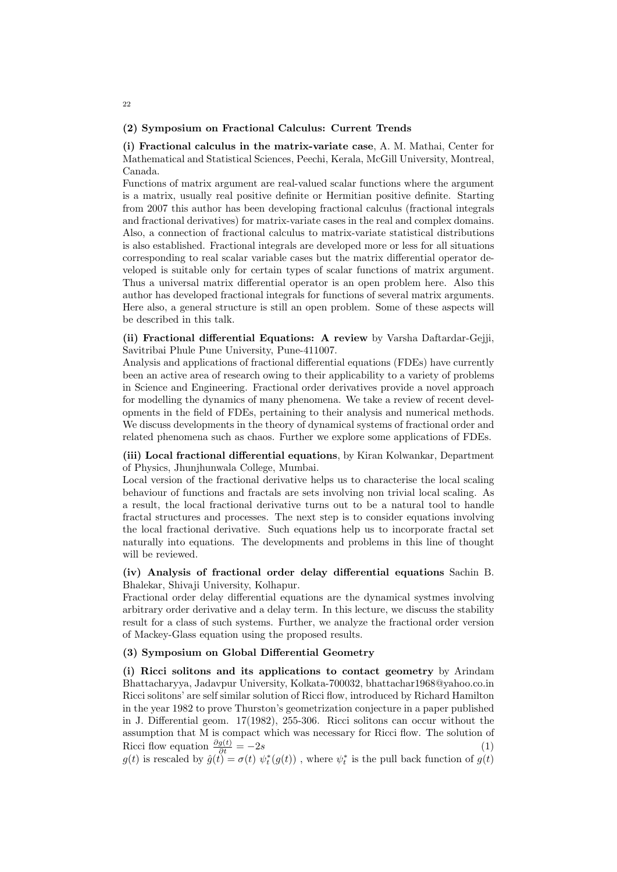### **(2) Symposium on Fractional Calculus: Current Trends**

**(i) Fractional calculus in the matrix-variate case**, A. M. Mathai, Center for Mathematical and Statistical Sciences, Peechi, Kerala, McGill University, Montreal, Canada.

Functions of matrix argument are real-valued scalar functions where the argument is a matrix, usually real positive definite or Hermitian positive definite. Starting from 2007 this author has been developing fractional calculus (fractional integrals and fractional derivatives) for matrix-variate cases in the real and complex domains. Also, a connection of fractional calculus to matrix-variate statistical distributions is also established. Fractional integrals are developed more or less for all situations corresponding to real scalar variable cases but the matrix differential operator developed is suitable only for certain types of scalar functions of matrix argument. Thus a universal matrix differential operator is an open problem here. Also this author has developed fractional integrals for functions of several matrix arguments. Here also, a general structure is still an open problem. Some of these aspects will be described in this talk.

# **(ii) Fractional differential Equations: A review** by Varsha Daftardar-Gejji, Savitribai Phule Pune University, Pune-411007.

Analysis and applications of fractional differential equations (FDEs) have currently been an active area of research owing to their applicability to a variety of problems in Science and Engineering. Fractional order derivatives provide a novel approach for modelling the dynamics of many phenomena. We take a review of recent developments in the field of FDEs, pertaining to their analysis and numerical methods. We discuss developments in the theory of dynamical systems of fractional order and related phenomena such as chaos. Further we explore some applications of FDEs.

**(iii) Local fractional differential equations**, by Kiran Kolwankar, Department of Physics, Jhunjhunwala College, Mumbai.

Local version of the fractional derivative helps us to characterise the local scaling behaviour of functions and fractals are sets involving non trivial local scaling. As a result, the local fractional derivative turns out to be a natural tool to handle fractal structures and processes. The next step is to consider equations involving the local fractional derivative. Such equations help us to incorporate fractal set naturally into equations. The developments and problems in this line of thought will be reviewed.

# **(iv) Analysis of fractional order delay differential equations** Sachin B. Bhalekar, Shivaji University, Kolhapur.

Fractional order delay differential equations are the dynamical systmes involving arbitrary order derivative and a delay term. In this lecture, we discuss the stability result for a class of such systems. Further, we analyze the fractional order version of Mackey-Glass equation using the proposed results.

### **(3) Symposium on Global Differential Geometry**

**(i) Ricci solitons and its applications to contact geometry** by Arindam Bhattacharyya, Jadavpur University, Kolkata-700032, bhattachar1968@yahoo.co.in Ricci solitons' are self similar solution of Ricci flow, introduced by Richard Hamilton in the year 1982 to prove Thurston's geometrization conjecture in a paper published in J. Differential geom. 17(1982), 255-306. Ricci solitons can occur without the assumption that M is compact which was necessary for Ricci flow. The solution of Ricci flow equation  $\frac{\partial g(t)}{\partial t} = -2s$  (1)

 $g(t)$  is rescaled by  $\hat{g}(t) = \sigma(t) \psi_t^*(g(t))$ , where  $\psi_t^*$  is the pull back function of  $g(t)$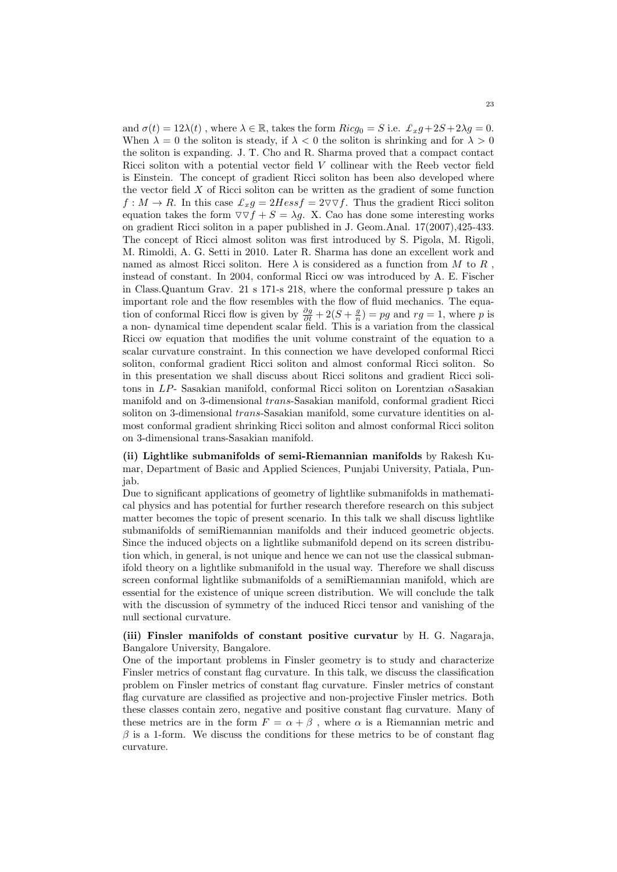and  $\sigma(t) = 12\lambda(t)$ , where  $\lambda \in \mathbb{R}$ , takes the form  $Ricg_0 = S$  i.e.  $\mathcal{L}_x g + 2S + 2\lambda g = 0$ . When  $\lambda = 0$  the soliton is steady, if  $\lambda < 0$  the soliton is shrinking and for  $\lambda > 0$ the soliton is expanding. J. T. Cho and R. Sharma proved that a compact contact Ricci soliton with a potential vector field *V* collinear with the Reeb vector field is Einstein. The concept of gradient Ricci soliton has been also developed where the vector field *X* of Ricci soliton can be written as the gradient of some function  $f: M \to R$ . In this case  $\mathcal{L}_x g = 2Hess f = 2\nabla \nabla f$ . Thus the gradient Ricci soliton equation takes the form  $\nabla \nabla f + S = \lambda g$ . X. Cao has done some interesting works on gradient Ricci soliton in a paper published in J. Geom.Anal. 17(2007),425-433. The concept of Ricci almost soliton was first introduced by S. Pigola, M. Rigoli, M. Rimoldi, A. G. Setti in 2010. Later R. Sharma has done an excellent work and named as almost Ricci soliton. Here  $\lambda$  is considered as a function from M to R, instead of constant. In 2004, conformal Ricci ow was introduced by A. E. Fischer in Class.Quantum Grav. 21 s 171-s 218, where the conformal pressure p takes an important role and the flow resembles with the flow of fluid mechanics. The equation of conformal Ricci flow is given by  $\frac{\partial g}{\partial t} + 2(S + \frac{g}{n}) = pg$  and  $rg = 1$ , where p is a non- dynamical time dependent scalar field. This is a variation from the classical Ricci ow equation that modifies the unit volume constraint of the equation to a scalar curvature constraint. In this connection we have developed conformal Ricci soliton, conformal gradient Ricci soliton and almost conformal Ricci soliton. So in this presentation we shall discuss about Ricci solitons and gradient Ricci solitons in *LP*- Sasakian manifold, conformal Ricci soliton on Lorentzian *α*Sasakian manifold and on 3-dimensional *trans*-Sasakian manifold, conformal gradient Ricci soliton on 3-dimensional *trans*-Sasakian manifold, some curvature identities on almost conformal gradient shrinking Ricci soliton and almost conformal Ricci soliton on 3-dimensional trans-Sasakian manifold.

**(ii) Lightlike submanifolds of semi-Riemannian manifolds** by Rakesh Kumar, Department of Basic and Applied Sciences, Punjabi University, Patiala, Punjab.

Due to significant applications of geometry of lightlike submanifolds in mathematical physics and has potential for further research therefore research on this subject matter becomes the topic of present scenario. In this talk we shall discuss lightlike submanifolds of semiRiemannian manifolds and their induced geometric objects. Since the induced objects on a lightlike submanifold depend on its screen distribution which, in general, is not unique and hence we can not use the classical submanifold theory on a lightlike submanifold in the usual way. Therefore we shall discuss screen conformal lightlike submanifolds of a semiRiemannian manifold, which are essential for the existence of unique screen distribution. We will conclude the talk with the discussion of symmetry of the induced Ricci tensor and vanishing of the null sectional curvature.

### **(iii) Finsler manifolds of constant positive curvatur** by H. G. Nagaraja, Bangalore University, Bangalore.

One of the important problems in Finsler geometry is to study and characterize Finsler metrics of constant flag curvature. In this talk, we discuss the classification problem on Finsler metrics of constant flag curvature. Finsler metrics of constant flag curvature are classified as projective and non-projective Finsler metrics. Both these classes contain zero, negative and positive constant flag curvature. Many of these metrics are in the form  $F = \alpha + \beta$ , where  $\alpha$  is a Riemannian metric and  $\beta$  is a 1-form. We discuss the conditions for these metrics to be of constant flag curvature.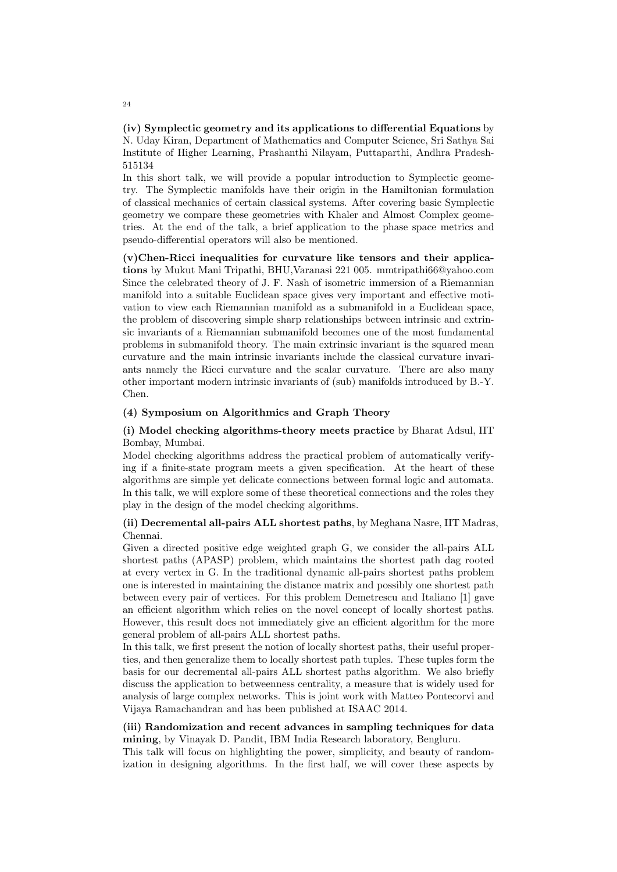**(iv) Symplectic geometry and its applications to differential Equations** by N. Uday Kiran, Department of Mathematics and Computer Science, Sri Sathya Sai Institute of Higher Learning, Prashanthi Nilayam, Puttaparthi, Andhra Pradesh-515134

In this short talk, we will provide a popular introduction to Symplectic geometry. The Symplectic manifolds have their origin in the Hamiltonian formulation of classical mechanics of certain classical systems. After covering basic Symplectic geometry we compare these geometries with Khaler and Almost Complex geometries. At the end of the talk, a brief application to the phase space metrics and pseudo-differential operators will also be mentioned.

**(v)Chen-Ricci inequalities for curvature like tensors and their applications** by Mukut Mani Tripathi, BHU,Varanasi 221 005. mmtripathi66@yahoo.com Since the celebrated theory of J. F. Nash of isometric immersion of a Riemannian manifold into a suitable Euclidean space gives very important and effective motivation to view each Riemannian manifold as a submanifold in a Euclidean space, the problem of discovering simple sharp relationships between intrinsic and extrinsic invariants of a Riemannian submanifold becomes one of the most fundamental problems in submanifold theory. The main extrinsic invariant is the squared mean curvature and the main intrinsic invariants include the classical curvature invariants namely the Ricci curvature and the scalar curvature. There are also many other important modern intrinsic invariants of (sub) manifolds introduced by B.-Y. Chen.

### **(4) Symposium on Algorithmics and Graph Theory**

**(i) Model checking algorithms-theory meets practice** by Bharat Adsul, IIT Bombay, Mumbai.

Model checking algorithms address the practical problem of automatically verifying if a finite-state program meets a given specification. At the heart of these algorithms are simple yet delicate connections between formal logic and automata. In this talk, we will explore some of these theoretical connections and the roles they play in the design of the model checking algorithms.

# **(ii) Decremental all-pairs ALL shortest paths**, by Meghana Nasre, IIT Madras, Chennai.

Given a directed positive edge weighted graph G, we consider the all-pairs ALL shortest paths (APASP) problem, which maintains the shortest path dag rooted at every vertex in G. In the traditional dynamic all-pairs shortest paths problem one is interested in maintaining the distance matrix and possibly one shortest path between every pair of vertices. For this problem Demetrescu and Italiano [1] gave an efficient algorithm which relies on the novel concept of locally shortest paths. However, this result does not immediately give an efficient algorithm for the more general problem of all-pairs ALL shortest paths.

In this talk, we first present the notion of locally shortest paths, their useful properties, and then generalize them to locally shortest path tuples. These tuples form the basis for our decremental all-pairs ALL shortest paths algorithm. We also briefly discuss the application to betweenness centrality, a measure that is widely used for analysis of large complex networks. This is joint work with Matteo Pontecorvi and Vijaya Ramachandran and has been published at ISAAC 2014.

# **(iii) Randomization and recent advances in sampling techniques for data mining**, by Vinayak D. Pandit, IBM India Research laboratory, Bengluru.

This talk will focus on highlighting the power, simplicity, and beauty of randomization in designing algorithms. In the first half, we will cover these aspects by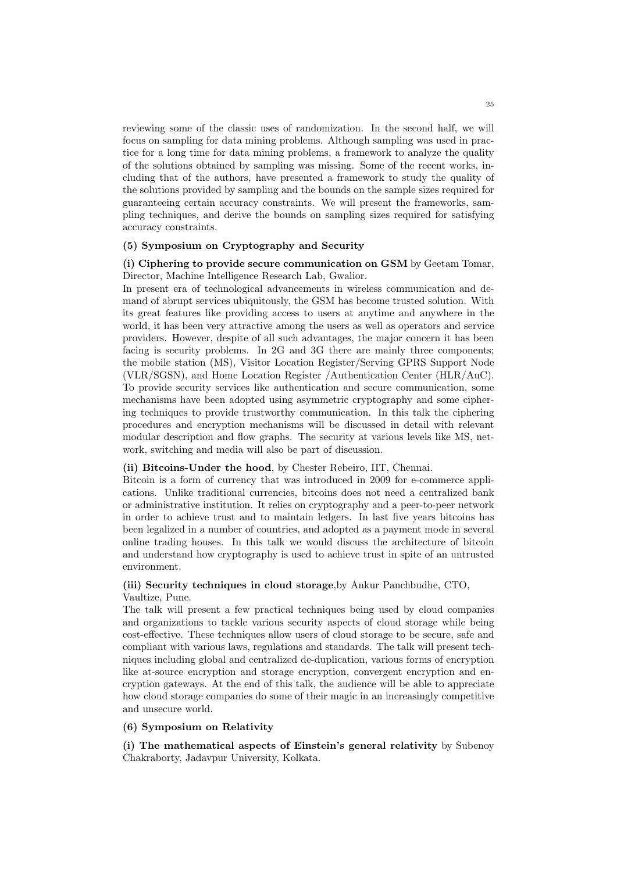reviewing some of the classic uses of randomization. In the second half, we will focus on sampling for data mining problems. Although sampling was used in practice for a long time for data mining problems, a framework to analyze the quality of the solutions obtained by sampling was missing. Some of the recent works, including that of the authors, have presented a framework to study the quality of the solutions provided by sampling and the bounds on the sample sizes required for guaranteeing certain accuracy constraints. We will present the frameworks, sampling techniques, and derive the bounds on sampling sizes required for satisfying accuracy constraints.

### **(5) Symposium on Cryptography and Security**

# **(i) Ciphering to provide secure communication on GSM** by Geetam Tomar, Director, Machine Intelligence Research Lab, Gwalior.

In present era of technological advancements in wireless communication and demand of abrupt services ubiquitously, the GSM has become trusted solution. With its great features like providing access to users at anytime and anywhere in the world, it has been very attractive among the users as well as operators and service providers. However, despite of all such advantages, the major concern it has been facing is security problems. In 2G and 3G there are mainly three components; the mobile station (MS), Visitor Location Register/Serving GPRS Support Node (VLR/SGSN), and Home Location Register /Authentication Center (HLR/AuC). To provide security services like authentication and secure communication, some mechanisms have been adopted using asymmetric cryptography and some ciphering techniques to provide trustworthy communication. In this talk the ciphering procedures and encryption mechanisms will be discussed in detail with relevant modular description and flow graphs. The security at various levels like MS, network, switching and media will also be part of discussion.

### **(ii) Bitcoins-Under the hood**, by Chester Rebeiro, IIT, Chennai.

Bitcoin is a form of currency that was introduced in 2009 for e-commerce applications. Unlike traditional currencies, bitcoins does not need a centralized bank or administrative institution. It relies on cryptography and a peer-to-peer network in order to achieve trust and to maintain ledgers. In last five years bitcoins has been legalized in a number of countries, and adopted as a payment mode in several online trading houses. In this talk we would discuss the architecture of bitcoin and understand how cryptography is used to achieve trust in spite of an untrusted environment.

# **(iii) Security techniques in cloud storage**,by Ankur Panchbudhe, CTO, Vaultize, Pune.

The talk will present a few practical techniques being used by cloud companies and organizations to tackle various security aspects of cloud storage while being cost-effective. These techniques allow users of cloud storage to be secure, safe and compliant with various laws, regulations and standards. The talk will present techniques including global and centralized de-duplication, various forms of encryption like at-source encryption and storage encryption, convergent encryption and encryption gateways. At the end of this talk, the audience will be able to appreciate how cloud storage companies do some of their magic in an increasingly competitive and unsecure world.

### **(6) Symposium on Relativity**

**(i) The mathematical aspects of Einstein's general relativity** by Subenoy Chakraborty, Jadavpur University, Kolkata.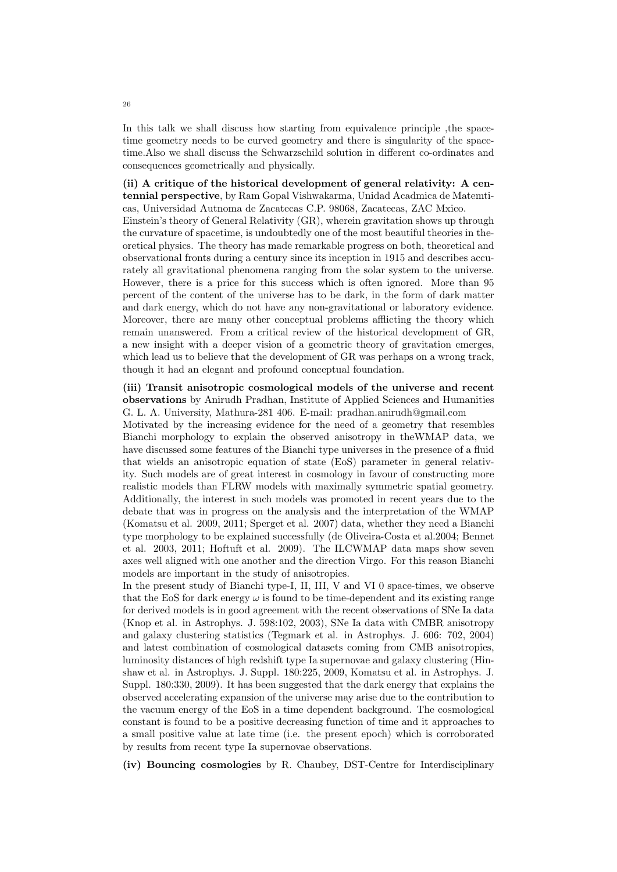In this talk we shall discuss how starting from equivalence principle ,the spacetime geometry needs to be curved geometry and there is singularity of the spacetime.Also we shall discuss the Schwarzschild solution in different co-ordinates and consequences geometrically and physically.

**(ii) A critique of the historical development of general relativity: A centennial perspective**, by Ram Gopal Vishwakarma, Unidad Acadmica de Matemticas, Universidad Autnoma de Zacatecas C.P. 98068, Zacatecas, ZAC Mxico.

Einstein's theory of General Relativity (GR), wherein gravitation shows up through the curvature of spacetime, is undoubtedly one of the most beautiful theories in theoretical physics. The theory has made remarkable progress on both, theoretical and observational fronts during a century since its inception in 1915 and describes accurately all gravitational phenomena ranging from the solar system to the universe. However, there is a price for this success which is often ignored. More than 95 percent of the content of the universe has to be dark, in the form of dark matter and dark energy, which do not have any non-gravitational or laboratory evidence. Moreover, there are many other conceptual problems afflicting the theory which remain unanswered. From a critical review of the historical development of GR, a new insight with a deeper vision of a geometric theory of gravitation emerges, which lead us to believe that the development of GR was perhaps on a wrong track, though it had an elegant and profound conceptual foundation.

**(iii) Transit anisotropic cosmological models of the universe and recent observations** by Anirudh Pradhan, Institute of Applied Sciences and Humanities G. L. A. University, Mathura-281 406. E-mail: pradhan.anirudh@gmail.com

Motivated by the increasing evidence for the need of a geometry that resembles Bianchi morphology to explain the observed anisotropy in theWMAP data, we have discussed some features of the Bianchi type universes in the presence of a fluid that wields an anisotropic equation of state (EoS) parameter in general relativity. Such models are of great interest in cosmology in favour of constructing more realistic models than FLRW models with maximally symmetric spatial geometry. Additionally, the interest in such models was promoted in recent years due to the debate that was in progress on the analysis and the interpretation of the WMAP (Komatsu et al. 2009, 2011; Sperget et al. 2007) data, whether they need a Bianchi type morphology to be explained successfully (de Oliveira-Costa et al.2004; Bennet et al. 2003, 2011; Hoftuft et al. 2009). The ILCWMAP data maps show seven axes well aligned with one another and the direction Virgo. For this reason Bianchi models are important in the study of anisotropies.

In the present study of Bianchi type-I, II, III, V and VI 0 space-times, we observe that the EoS for dark energy  $\omega$  is found to be time-dependent and its existing range for derived models is in good agreement with the recent observations of SNe Ia data (Knop et al. in Astrophys. J. 598:102, 2003), SNe Ia data with CMBR anisotropy and galaxy clustering statistics (Tegmark et al. in Astrophys. J. 606: 702, 2004) and latest combination of cosmological datasets coming from CMB anisotropies, luminosity distances of high redshift type Ia supernovae and galaxy clustering (Hinshaw et al. in Astrophys. J. Suppl. 180:225, 2009, Komatsu et al. in Astrophys. J. Suppl. 180:330, 2009). It has been suggested that the dark energy that explains the observed accelerating expansion of the universe may arise due to the contribution to the vacuum energy of the EoS in a time dependent background. The cosmological constant is found to be a positive decreasing function of time and it approaches to a small positive value at late time (i.e. the present epoch) which is corroborated by results from recent type Ia supernovae observations.

**(iv) Bouncing cosmologies** by R. Chaubey, DST-Centre for Interdisciplinary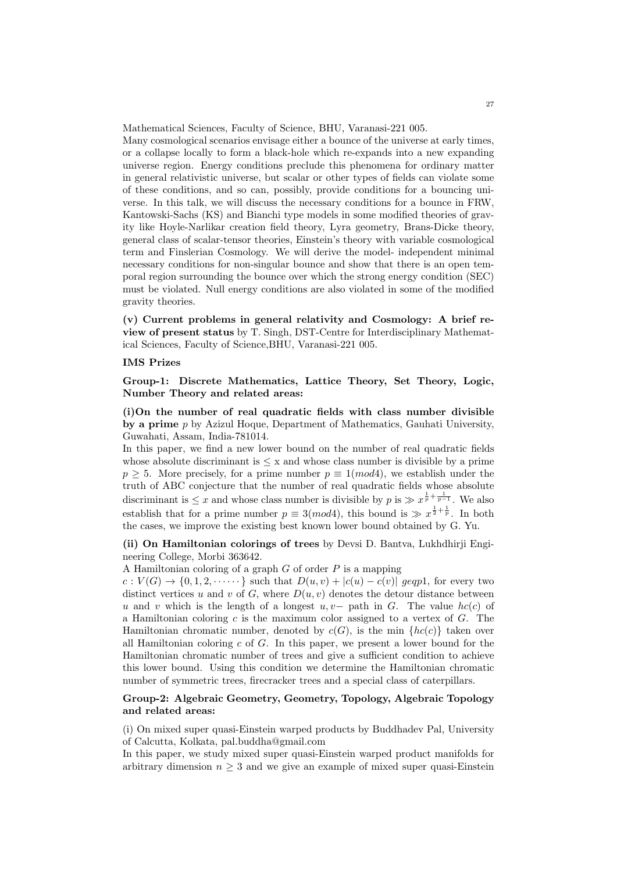Mathematical Sciences, Faculty of Science, BHU, Varanasi-221 005.

Many cosmological scenarios envisage either a bounce of the universe at early times, or a collapse locally to form a black-hole which re-expands into a new expanding universe region. Energy conditions preclude this phenomena for ordinary matter in general relativistic universe, but scalar or other types of fields can violate some of these conditions, and so can, possibly, provide conditions for a bouncing universe. In this talk, we will discuss the necessary conditions for a bounce in FRW, Kantowski-Sachs (KS) and Bianchi type models in some modified theories of gravity like Hoyle-Narlikar creation field theory, Lyra geometry, Brans-Dicke theory, general class of scalar-tensor theories, Einstein's theory with variable cosmological term and Finslerian Cosmology. We will derive the model- independent minimal necessary conditions for non-singular bounce and show that there is an open temporal region surrounding the bounce over which the strong energy condition (SEC) must be violated. Null energy conditions are also violated in some of the modified gravity theories.

**(v) Current problems in general relativity and Cosmology: A brief review of present status** by T. Singh, DST-Centre for Interdisciplinary Mathematical Sciences, Faculty of Science,BHU, Varanasi-221 005.

### **IMS Prizes**

**Group-1: Discrete Mathematics, Lattice Theory, Set Theory, Logic, Number Theory and related areas:**

**(i)On the number of real quadratic fields with class number divisible by a prime** *p* by Azizul Hoque, Department of Mathematics, Gauhati University, Guwahati, Assam, India-781014.

In this paper, we find a new lower bound on the number of real quadratic fields whose absolute discriminant is *≤* x and whose class number is divisible by a prime  $p \geq 5$ . More precisely, for a prime number  $p \equiv 1 \pmod{4}$ , we establish under the truth of ABC conjecture that the number of real quadratic fields whose absolute discriminant is  $\leq x$  and whose class number is divisible by  $p$  is  $\gg x^{\frac{1}{p} + \frac{1}{p-1}}$ . We also establish that for a prime number  $p \equiv 3 \pmod{4}$ , this bound is  $\gg x^{\frac{1}{2} + \frac{1}{p}}$ . In both the cases, we improve the existing best known lower bound obtained by G. Yu.

**(ii) On Hamiltonian colorings of trees** by Devsi D. Bantva, Lukhdhirji Engineering College, Morbi 363642.

A Hamiltonian coloring of a graph *G* of order *P* is a mapping

 $c: V(G) \rightarrow \{0, 1, 2, \cdots \}$  such that  $D(u, v) + |c(u) - c(v)|$  geqp1, for every two distinct vertices  $u$  and  $v$  of  $G$ , where  $D(u, v)$  denotes the detour distance between *u* and *v* which is the length of a longest *u, v−* path in *G*. The value *hc*(*c*) of a Hamiltonian coloring *c* is the maximum color assigned to a vertex of *G*. The Hamiltonian chromatic number, denoted by  $c(G)$ , is the min  ${hc(c)}$  taken over all Hamiltonian coloring *c* of *G*. In this paper, we present a lower bound for the Hamiltonian chromatic number of trees and give a sufficient condition to achieve this lower bound. Using this condition we determine the Hamiltonian chromatic number of symmetric trees, firecracker trees and a special class of caterpillars.

# **Group-2: Algebraic Geometry, Geometry, Topology, Algebraic Topology and related areas:**

(i) On mixed super quasi-Einstein warped products by Buddhadev Pal, University of Calcutta, Kolkata, pal.buddha@gmail.com

In this paper, we study mixed super quasi-Einstein warped product manifolds for arbitrary dimension  $n \geq 3$  and we give an example of mixed super quasi-Einstein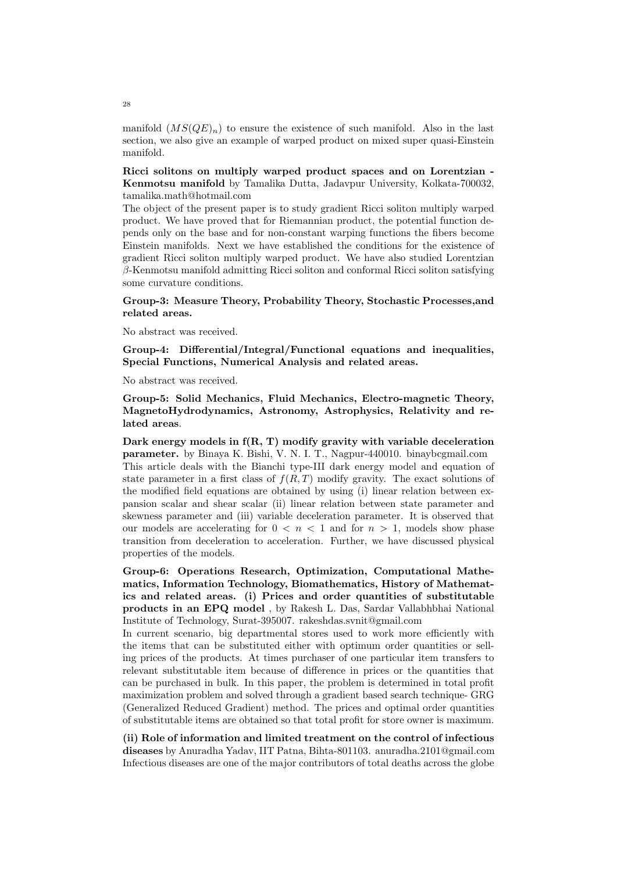manifold  $(MS(QE)<sub>n</sub>)$  to ensure the existence of such manifold. Also in the last section, we also give an example of warped product on mixed super quasi-Einstein manifold.

**Ricci solitons on multiply warped product spaces and on Lorentzian - Kenmotsu manifold** by Tamalika Dutta, Jadavpur University, Kolkata-700032, tamalika.math@hotmail.com

The object of the present paper is to study gradient Ricci soliton multiply warped product. We have proved that for Riemannian product, the potential function depends only on the base and for non-constant warping functions the fibers become Einstein manifolds. Next we have established the conditions for the existence of gradient Ricci soliton multiply warped product. We have also studied Lorentzian *β*-Kenmotsu manifold admitting Ricci soliton and conformal Ricci soliton satisfying some curvature conditions.

# **Group-3: Measure Theory, Probability Theory, Stochastic Processes,and related areas.**

No abstract was received.

**Group-4: Differential/Integral/Functional equations and inequalities, Special Functions, Numerical Analysis and related areas.**

No abstract was received.

**Group-5: Solid Mechanics, Fluid Mechanics, Electro-magnetic Theory, MagnetoHydrodynamics, Astronomy, Astrophysics, Relativity and related areas**.

**Dark energy models in f(R, T) modify gravity with variable deceleration parameter.** by Binaya K. Bishi, V. N. I. T., Nagpur-440010. binaybcgmail.com This article deals with the Bianchi type-III dark energy model and equation of state parameter in a first class of  $f(R,T)$  modify gravity. The exact solutions of the modified field equations are obtained by using (i) linear relation between expansion scalar and shear scalar (ii) linear relation between state parameter and skewness parameter and (iii) variable deceleration parameter. It is observed that our models are accelerating for  $0 \leq n \leq 1$  and for  $n > 1$ , models show phase transition from deceleration to acceleration. Further, we have discussed physical properties of the models.

**Group-6: Operations Research, Optimization, Computational Mathematics, Information Technology, Biomathematics, History of Mathematics and related areas. (i) Prices and order quantities of substitutable products in an EPQ model** , by Rakesh L. Das, Sardar Vallabhbhai National Institute of Technology, Surat-395007. rakeshdas.svnit@gmail.com

In current scenario, big departmental stores used to work more efficiently with the items that can be substituted either with optimum order quantities or selling prices of the products. At times purchaser of one particular item transfers to relevant substitutable item because of difference in prices or the quantities that can be purchased in bulk. In this paper, the problem is determined in total profit maximization problem and solved through a gradient based search technique- GRG (Generalized Reduced Gradient) method. The prices and optimal order quantities of substitutable items are obtained so that total profit for store owner is maximum.

**(ii) Role of information and limited treatment on the control of infectious diseases** by Anuradha Yadav, IIT Patna, Bihta-801103. anuradha.2101@gmail.com Infectious diseases are one of the major contributors of total deaths across the globe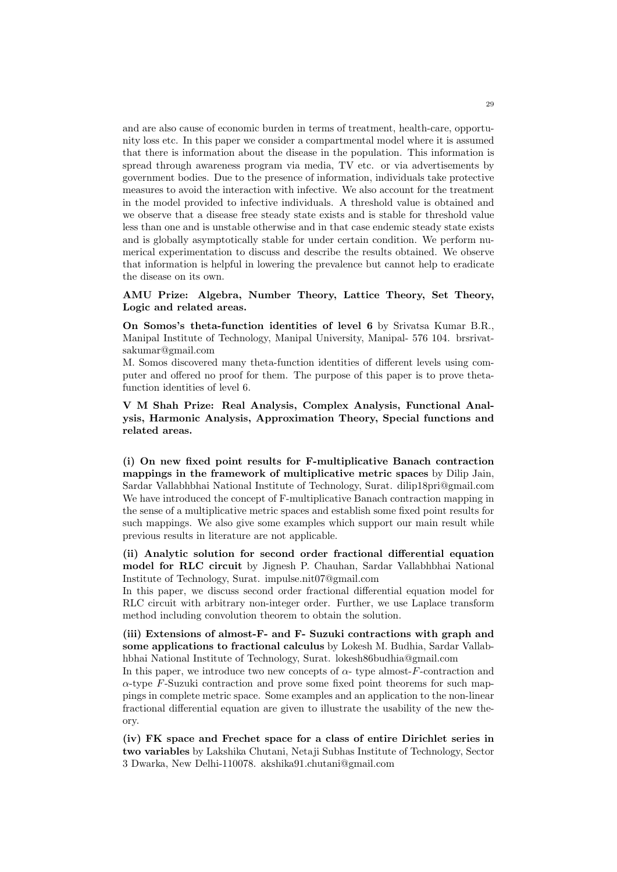and are also cause of economic burden in terms of treatment, health-care, opportunity loss etc. In this paper we consider a compartmental model where it is assumed that there is information about the disease in the population. This information is spread through awareness program via media, TV etc. or via advertisements by government bodies. Due to the presence of information, individuals take protective measures to avoid the interaction with infective. We also account for the treatment in the model provided to infective individuals. A threshold value is obtained and we observe that a disease free steady state exists and is stable for threshold value less than one and is unstable otherwise and in that case endemic steady state exists and is globally asymptotically stable for under certain condition. We perform numerical experimentation to discuss and describe the results obtained. We observe that information is helpful in lowering the prevalence but cannot help to eradicate the disease on its own.

**AMU Prize: Algebra, Number Theory, Lattice Theory, Set Theory, Logic and related areas.**

**On Somos's theta-function identities of level 6** by Srivatsa Kumar B.R., Manipal Institute of Technology, Manipal University, Manipal- 576 104. brsrivatsakumar@gmail.com

M. Somos discovered many theta-function identities of different levels using computer and offered no proof for them. The purpose of this paper is to prove thetafunction identities of level 6.

**V M Shah Prize: Real Analysis, Complex Analysis, Functional Analysis, Harmonic Analysis, Approximation Theory, Special functions and related areas.**

**(i) On new fixed point results for F-multiplicative Banach contraction mappings in the framework of multiplicative metric spaces** by Dilip Jain, Sardar Vallabhbhai National Institute of Technology, Surat. dilip18pri@gmail.com We have introduced the concept of F-multiplicative Banach contraction mapping in the sense of a multiplicative metric spaces and establish some fixed point results for such mappings. We also give some examples which support our main result while previous results in literature are not applicable.

**(ii) Analytic solution for second order fractional differential equation model for RLC circuit** by Jignesh P. Chauhan, Sardar Vallabhbhai National Institute of Technology, Surat. impulse.nit07@gmail.com

In this paper, we discuss second order fractional differential equation model for RLC circuit with arbitrary non-integer order. Further, we use Laplace transform method including convolution theorem to obtain the solution.

**(iii) Extensions of almost-F- and F- Suzuki contractions with graph and some applications to fractional calculus** by Lokesh M. Budhia, Sardar Vallabhbhai National Institute of Technology, Surat. lokesh86budhia@gmail.com

In this paper, we introduce two new concepts of *α*- type almost-*F*-contraction and *α*-type *F*-Suzuki contraction and prove some fixed point theorems for such mappings in complete metric space. Some examples and an application to the non-linear fractional differential equation are given to illustrate the usability of the new theory.

**(iv) FK space and Frechet space for a class of entire Dirichlet series in two variables** by Lakshika Chutani, Netaji Subhas Institute of Technology, Sector 3 Dwarka, New Delhi-110078. akshika91.chutani@gmail.com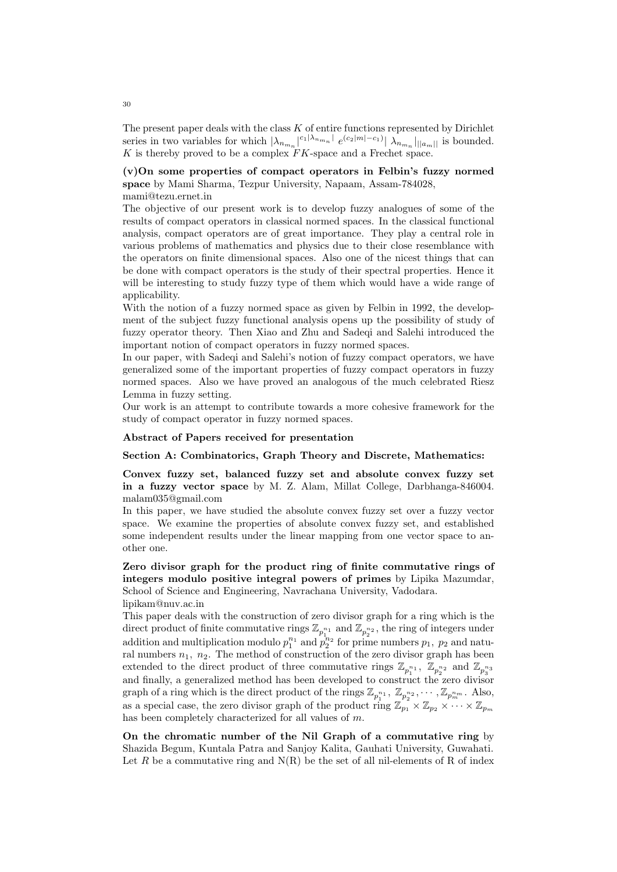The present paper deals with the class *K* of entire functions represented by Dirichlet series in two variables for which  $|\lambda_{n_{m_n}}|^{c_1 |\lambda_{n_{m_n}}|} e^{(c_2|m|-c_1)} |\lambda_{n_{m_n}}|_{||a_m||}$  is bounded.  $K$  is thereby proved to be a complex  $FK$ -space and a Frechet space.

# **(v)On some properties of compact operators in Felbin's fuzzy normed space** by Mami Sharma, Tezpur University, Napaam, Assam-784028, mami@tezu.ernet.in

The objective of our present work is to develop fuzzy analogues of some of the results of compact operators in classical normed spaces. In the classical functional analysis, compact operators are of great importance. They play a central role in various problems of mathematics and physics due to their close resemblance with the operators on finite dimensional spaces. Also one of the nicest things that can be done with compact operators is the study of their spectral properties. Hence it will be interesting to study fuzzy type of them which would have a wide range of applicability.

With the notion of a fuzzy normed space as given by Felbin in 1992, the development of the subject fuzzy functional analysis opens up the possibility of study of fuzzy operator theory. Then Xiao and Zhu and Sadeqi and Salehi introduced the important notion of compact operators in fuzzy normed spaces.

In our paper, with Sadeqi and Salehi's notion of fuzzy compact operators, we have generalized some of the important properties of fuzzy compact operators in fuzzy normed spaces. Also we have proved an analogous of the much celebrated Riesz Lemma in fuzzy setting.

Our work is an attempt to contribute towards a more cohesive framework for the study of compact operator in fuzzy normed spaces.

# **Abstract of Papers received for presentation**

**Section A: Combinatorics, Graph Theory and Discrete, Mathematics:**

**Convex fuzzy set, balanced fuzzy set and absolute convex fuzzy set in a fuzzy vector space** by M. Z. Alam, Millat College, Darbhanga-846004. malam035@gmail.com

In this paper, we have studied the absolute convex fuzzy set over a fuzzy vector space. We examine the properties of absolute convex fuzzy set, and established some independent results under the linear mapping from one vector space to another one.

**Zero divisor graph for the product ring of finite commutative rings of integers modulo positive integral powers of primes** by Lipika Mazumdar, School of Science and Engineering, Navrachana University, Vadodara. lipikam@nuv.ac.in

This paper deals with the construction of zero divisor graph for a ring which is the direct product of finite commutative rings  $\mathbb{Z}_{p_1^{n_1}}$  and  $\mathbb{Z}_{p_2^{n_2}}$ , the ring of integers under addition and multiplication modulo  $p_1^{n_1}$  and  $p_2^{n_2}$  for prime numbers  $p_1$ ,  $p_2$  and natural numbers  $n_1$ ,  $n_2$ . The method of construction of the zero divisor graph has been extended to the direct product of three commutative rings  $\mathbb{Z}_{p_1^{n_1}}$ ,  $\mathbb{Z}_{p_2^{n_2}}$  and  $\mathbb{Z}_{p_3^{n_3}}$ and finally, a generalized method has been developed to construct the zero divisor graph of a ring which is the direct product of the rings  $\mathbb{Z}_{p_1^{n_1}}, \mathbb{Z}_{p_2^{n_2}}, \cdots, \mathbb{Z}_{p_m^{n_m}}$ . Also, as a special case, the zero divisor graph of the product ring  $\mathbb{Z}_{p_1} \times \mathbb{Z}_{p_2} \times \cdots \times \mathbb{Z}_{p_m}$ has been completely characterized for all values of *m*.

**On the chromatic number of the Nil Graph of a commutative ring** by Shazida Begum, Kuntala Patra and Sanjoy Kalita, Gauhati University, Guwahati. Let R be a commutative ring and  $N(R)$  be the set of all nil-elements of R of index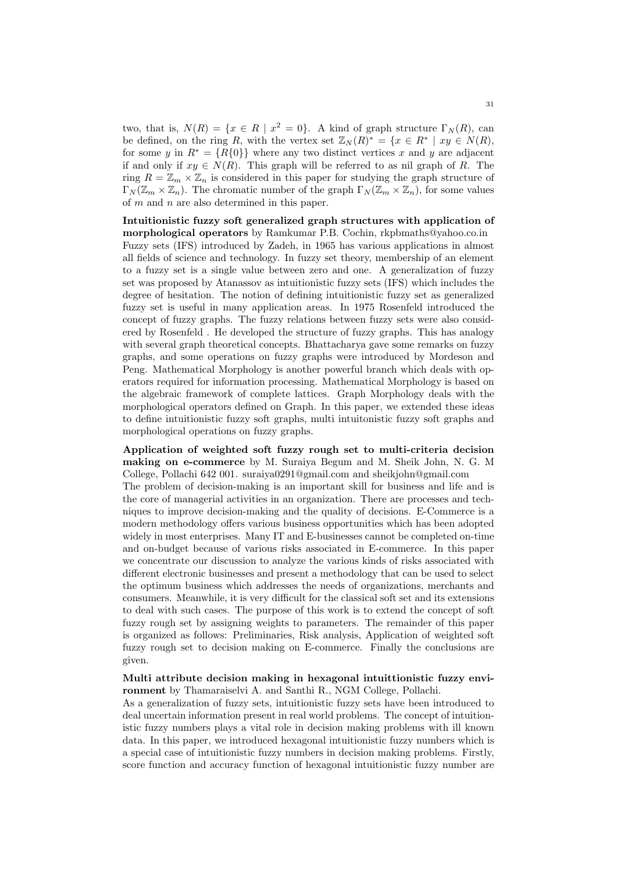two, that is,  $N(R) = \{x \in R \mid x^2 = 0\}$ . A kind of graph structure  $\Gamma_N(R)$ , can be defined, on the ring *R*, with the vertex set  $\mathbb{Z}_N(R)^* = \{x \in R^* \mid xy \in N(R),\}$ for some *y* in  $R^* = \{R\{0\}\}\$  where any two distinct vertices *x* and *y* are adjacent if and only if  $xy \in N(R)$ . This graph will be referred to as nil graph of R. The ring  $R = \mathbb{Z}_m \times \mathbb{Z}_n$  is considered in this paper for studying the graph structure of  $\Gamma_N(\mathbb{Z}_m \times \mathbb{Z}_n)$ . The chromatic number of the graph  $\Gamma_N(\mathbb{Z}_m \times \mathbb{Z}_n)$ , for some values of *m* and *n* are also determined in this paper.

# **Intuitionistic fuzzy soft generalized graph structures with application of**

**morphological operators** by Ramkumar P.B. Cochin, rkpbmaths@yahoo.co.in Fuzzy sets (IFS) introduced by Zadeh, in 1965 has various applications in almost all fields of science and technology. In fuzzy set theory, membership of an element to a fuzzy set is a single value between zero and one. A generalization of fuzzy set was proposed by Atanassov as intuitionistic fuzzy sets (IFS) which includes the degree of hesitation. The notion of defining intuitionistic fuzzy set as generalized fuzzy set is useful in many application areas. In 1975 Rosenfeld introduced the concept of fuzzy graphs. The fuzzy relations between fuzzy sets were also considered by Rosenfeld . He developed the structure of fuzzy graphs. This has analogy with several graph theoretical concepts. Bhattacharya gave some remarks on fuzzy graphs, and some operations on fuzzy graphs were introduced by Mordeson and Peng. Mathematical Morphology is another powerful branch which deals with operators required for information processing. Mathematical Morphology is based on the algebraic framework of complete lattices. Graph Morphology deals with the morphological operators defined on Graph. In this paper, we extended these ideas to define intuitionistic fuzzy soft graphs, multi intuitonistic fuzzy soft graphs and morphological operations on fuzzy graphs.

**Application of weighted soft fuzzy rough set to multi-criteria decision making on e-commerce** by M. Suraiya Begum and M. Sheik John, N. G. M College, Pollachi 642 001. suraiya0291@gmail.com and sheikjohn@gmail.com The problem of decision-making is an important skill for business and life and is the core of managerial activities in an organization. There are processes and techniques to improve decision-making and the quality of decisions. E-Commerce is a modern methodology offers various business opportunities which has been adopted widely in most enterprises. Many IT and E-businesses cannot be completed on-time and on-budget because of various risks associated in E-commerce. In this paper we concentrate our discussion to analyze the various kinds of risks associated with different electronic businesses and present a methodology that can be used to select the optimum business which addresses the needs of organizations, merchants and consumers. Meanwhile, it is very difficult for the classical soft set and its extensions to deal with such cases. The purpose of this work is to extend the concept of soft fuzzy rough set by assigning weights to parameters. The remainder of this paper is organized as follows: Preliminaries, Risk analysis, Application of weighted soft fuzzy rough set to decision making on E-commerce. Finally the conclusions are given.

### **Multi attribute decision making in hexagonal intuittionistic fuzzy environment** by Thamaraiselvi A. and Santhi R., NGM College, Pollachi.

As a generalization of fuzzy sets, intuitionistic fuzzy sets have been introduced to deal uncertain information present in real world problems. The concept of intuitionistic fuzzy numbers plays a vital role in decision making problems with ill known data. In this paper, we introduced hexagonal intuitionistic fuzzy numbers which is a special case of intuitionistic fuzzy numbers in decision making problems. Firstly, score function and accuracy function of hexagonal intuitionistic fuzzy number are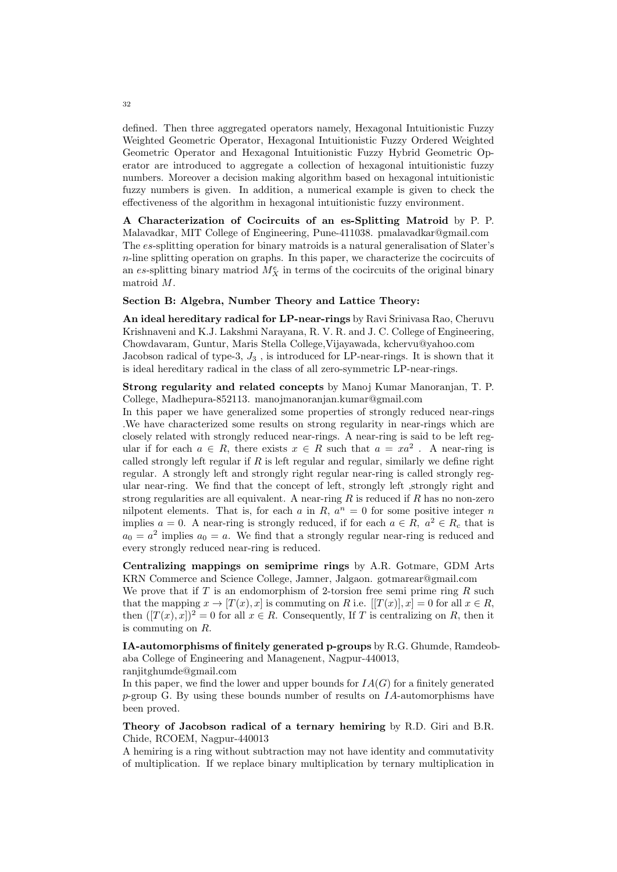defined. Then three aggregated operators namely, Hexagonal Intuitionistic Fuzzy Weighted Geometric Operator, Hexagonal Intuitionistic Fuzzy Ordered Weighted Geometric Operator and Hexagonal Intuitionistic Fuzzy Hybrid Geometric Operator are introduced to aggregate a collection of hexagonal intuitionistic fuzzy numbers. Moreover a decision making algorithm based on hexagonal intuitionistic fuzzy numbers is given. In addition, a numerical example is given to check the effectiveness of the algorithm in hexagonal intuitionistic fuzzy environment.

**A Characterization of Cocircuits of an es-Splitting Matroid** by P. P. Malavadkar, MIT College of Engineering, Pune-411038. pmalavadkar@gmail.com The *es*-splitting operation for binary matroids is a natural generalisation of Slater's *n*-line splitting operation on graphs. In this paper, we characterize the cocircuits of an *es*-splitting binary matriod  $M_X^e$  in terms of the cocircuits of the original binary matroid *M*.

### **Section B: Algebra, Number Theory and Lattice Theory:**

**An ideal hereditary radical for LP-near-rings** by Ravi Srinivasa Rao, Cheruvu Krishnaveni and K.J. Lakshmi Narayana, R. V. R. and J. C. College of Engineering, Chowdavaram, Guntur, Maris Stella College,Vijayawada, kchervu@yahoo.com Jacobson radical of type-3, *J*<sup>3</sup> , is introduced for LP-near-rings. It is shown that it is ideal hereditary radical in the class of all zero-symmetric LP-near-rings.

**Strong regularity and related concepts** by Manoj Kumar Manoranjan, T. P. College, Madhepura-852113. manojmanoranjan.kumar@gmail.com

In this paper we have generalized some properties of strongly reduced near-rings .We have characterized some results on strong regularity in near-rings which are closely related with strongly reduced near-rings. A near-ring is said to be left regular if for each  $a \in R$ , there exists  $x \in R$  such that  $a = xa^2$ . A near-ring is called strongly left regular if *R* is left regular and regular, similarly we define right regular. A strongly left and strongly right regular near-ring is called strongly regular near-ring. We find that the concept of left, strongly left ,strongly right and strong regularities are all equivalent. A near-ring *R* is reduced if *R* has no non-zero nilpotent elements. That is, for each  $a$  in  $R$ ,  $a^n = 0$  for some positive integer  $n$ implies  $a = 0$ . A near-ring is strongly reduced, if for each  $a \in R$ ,  $a^2 \in R_c$  that is  $a_0 = a^2$  implies  $a_0 = a$ . We find that a strongly regular near-ring is reduced and every strongly reduced near-ring is reduced.

**Centralizing mappings on semiprime rings** by A.R. Gotmare, GDM Arts KRN Commerce and Science College, Jamner, Jalgaon. gotmarear@gmail.com We prove that if *T* is an endomorphism of 2-torsion free semi prime ring *R* such that the mapping  $x \to [T(x), x]$  is commuting on *R* i.e.  $[[T(x)], x] = 0$  for all  $x \in R$ , then  $([T(x), x])^2 = 0$  for all  $x \in R$ . Consequently, If T is centralizing on R, then it is commuting on *R*.

**IA-automorphisms of finitely generated p-groups** by R.G. Ghumde, Ramdeobaba College of Engineering and Managenent, Nagpur-440013, ranjitghumde@gmail.com

In this paper, we find the lower and upper bounds for  $IA(G)$  for a finitely generated *p*-group G. By using these bounds number of results on *IA*-automorphisms have been proved.

# **Theory of Jacobson radical of a ternary hemiring** by R.D. Giri and B.R. Chide, RCOEM, Nagpur-440013

A hemiring is a ring without subtraction may not have identity and commutativity of multiplication. If we replace binary multiplication by ternary multiplication in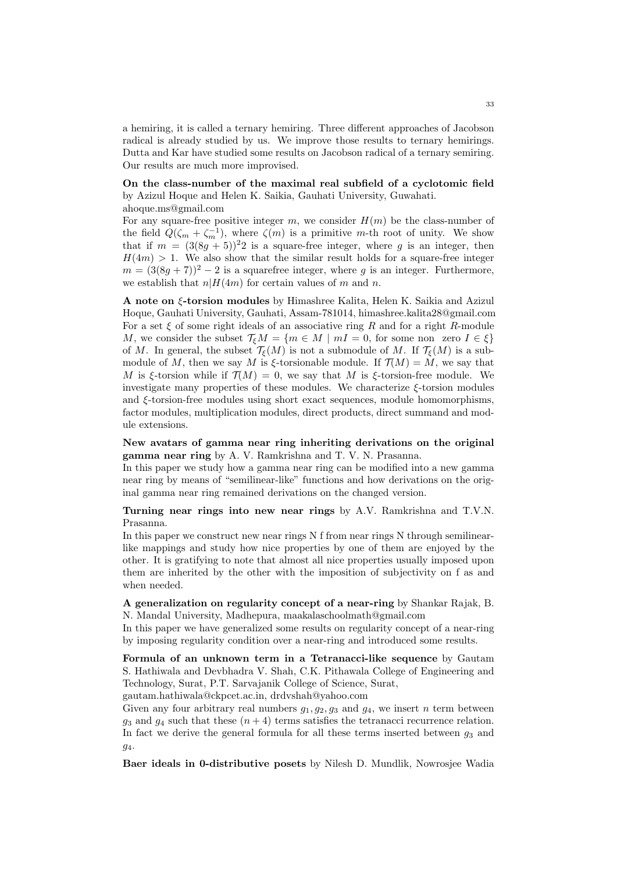a hemiring, it is called a ternary hemiring. Three different approaches of Jacobson radical is already studied by us. We improve those results to ternary hemirings. Dutta and Kar have studied some results on Jacobson radical of a ternary semiring. Our results are much more improvised.

# **On the class-number of the maximal real subfield of a cyclotomic field** by Azizul Hoque and Helen K. Saikia, Gauhati University, Guwahati.

ahoque.ms@gmail.com

For any square-free positive integer  $m$ , we consider  $H(m)$  be the class-number of the field  $Q(\zeta_m + \zeta_m^{-1})$ , where  $\zeta(m)$  is a primitive *m*-th root of unity. We show that if  $m = (3(8g + 5))^22$  is a square-free integer, where g is an integer, then  $H(4m) > 1$ . We also show that the similar result holds for a square-free integer  $m = (3(8q + 7))^2 - 2$  is a squarefree integer, where *g* is an integer. Furthermore, we establish that  $n|H(4m)$  for certain values of m and n.

**A note on** *ξ***-torsion modules** by Himashree Kalita, Helen K. Saikia and Azizul Hoque, Gauhati University, Gauhati, Assam-781014, himashree.kalita28@gmail.com For a set *ξ* of some right ideals of an associative ring *R* and for a right *R*-module *M*, we consider the subset  $\mathcal{T}_{\xi}M = \{m \in M \mid mI = 0, \text{ for some non-zero } I \in \xi\}$ of *M*. In general, the subset  $\mathcal{T}_{\xi}(M)$  is not a submodule of *M*. If  $\mathcal{T}_{\xi}(M)$  is a submodule of *M*, then we say *M* is  $\xi$ -torsionable module. If  $\mathcal{T}(M) = M$ , we say that *M* is *ξ*-torsion while if  $\mathcal{T}(M) = 0$ , we say that *M* is *ξ*-torsion-free module. We investigate many properties of these modules. We characterize *ξ*-torsion modules and *ξ*-torsion-free modules using short exact sequences, module homomorphisms, factor modules, multiplication modules, direct products, direct summand and module extensions.

**New avatars of gamma near ring inheriting derivations on the original gamma near ring** by A. V. Ramkrishna and T. V. N. Prasanna.

In this paper we study how a gamma near ring can be modified into a new gamma near ring by means of "semilinear-like" functions and how derivations on the original gamma near ring remained derivations on the changed version.

**Turning near rings into new near rings** by A.V. Ramkrishna and T.V.N. Prasanna.

In this paper we construct new near rings N f from near rings N through semilinearlike mappings and study how nice properties by one of them are enjoyed by the other. It is gratifying to note that almost all nice properties usually imposed upon them are inherited by the other with the imposition of subjectivity on f as and when needed.

**A generalization on regularity concept of a near-ring** by Shankar Rajak, B. N. Mandal University, Madhepura, maakalaschoolmath@gmail.com

In this paper we have generalized some results on regularity concept of a near-ring by imposing regularity condition over a near-ring and introduced some results.

**Formula of an unknown term in a Tetranacci-like sequence** by Gautam S. Hathiwala and Devbhadra V. Shah, C.K. Pithawala College of Engineering and Technology, Surat, P.T. Sarvajanik College of Science, Surat,

gautam.hathiwala@ckpcet.ac.in, drdvshah@yahoo.com

Given any four arbitrary real numbers  $q_1, q_2, q_3$  and  $q_4$ , we insert *n* term between  $g_3$  and  $g_4$  such that these  $(n+4)$  terms satisfies the tetranacci recurrence relation. In fact we derive the general formula for all these terms inserted between  $q_3$  and *g*4.

**Baer ideals in 0-distributive posets** by Nilesh D. Mundlik, Nowrosjee Wadia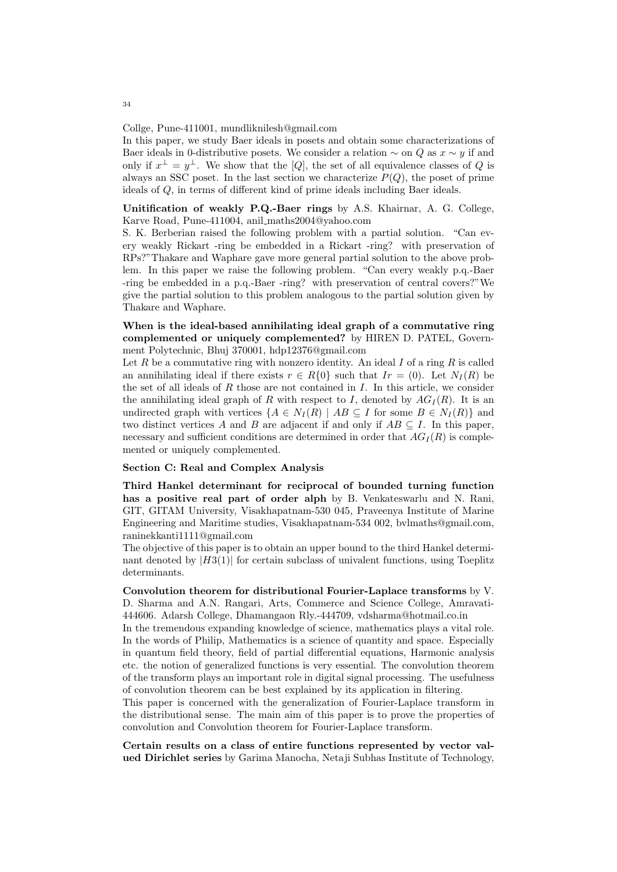Collge, Pune-411001, mundliknilesh@gmail.com

In this paper, we study Baer ideals in posets and obtain some characterizations of Baer ideals in 0-distributive posets. We consider a relation  $\sim$  on *Q* as  $x \sim y$  if and only if  $x^{\perp} = y^{\perp}$ . We show that the [*Q*], the set of all equivalence classes of *Q* is always an SSC poset. In the last section we characterize  $P(Q)$ , the poset of prime ideals of *Q*, in terms of different kind of prime ideals including Baer ideals.

**Unitification of weakly P.Q.-Baer rings** by A.S. Khairnar, A. G. College, Karve Road, Pune-411004, anil maths2004@yahoo.com

S. K. Berberian raised the following problem with a partial solution. "Can every weakly Rickart -ring be embedded in a Rickart -ring? with preservation of RPs?"Thakare and Waphare gave more general partial solution to the above problem. In this paper we raise the following problem. "Can every weakly p.q.-Baer -ring be embedded in a p.q.-Baer -ring? with preservation of central covers?"We give the partial solution to this problem analogous to the partial solution given by Thakare and Waphare.

# **When is the ideal-based annihilating ideal graph of a commutative ring complemented or uniquely complemented?** by HIREN D. PATEL, Government Polytechnic, Bhuj 370001, hdp12376@gmail.com

Let *R* be a commutative ring with nonzero identity. An ideal *I* of a ring *R* is called an annihilating ideal if there exists  $r \in R\{0\}$  such that  $Ir = (0)$ . Let  $N_I(R)$  be the set of all ideals of *R* those are not contained in *I*. In this article, we consider the annihilating ideal graph of *R* with respect to *I*, denoted by  $AG_I(R)$ . It is an undirected graph with vertices  ${A \in N_I(R) \mid AB \subseteq I}$  for some  $B \in N_I(R)$  and two distinct vertices *A* and *B* are adjacent if and only if  $AB \subseteq I$ . In this paper, necessary and sufficient conditions are determined in order that  $AG_I(R)$  is complemented or uniquely complemented.

### **Section C: Real and Complex Analysis**

**Third Hankel determinant for reciprocal of bounded turning function has a positive real part of order alph** by B. Venkateswarlu and N. Rani, GIT, GITAM University, Visakhapatnam-530 045, Praveenya Institute of Marine Engineering and Maritime studies, Visakhapatnam-534 002, bvlmaths@gmail.com, raninekkanti1111@gmail.com

The objective of this paper is to obtain an upper bound to the third Hankel determinant denoted by  $|H3(1)|$  for certain subclass of univalent functions, using Toeplitz determinants.

**Convolution theorem for distributional Fourier-Laplace transforms** by V. D. Sharma and A.N. Rangari, Arts, Commerce and Science College, Amravati-444606. Adarsh College, Dhamangaon Rly.-444709, vdsharma@hotmail.co.in

In the tremendous expanding knowledge of science, mathematics plays a vital role. In the words of Philip, Mathematics is a science of quantity and space. Especially in quantum field theory, field of partial differential equations, Harmonic analysis etc. the notion of generalized functions is very essential. The convolution theorem of the transform plays an important role in digital signal processing. The usefulness of convolution theorem can be best explained by its application in filtering.

This paper is concerned with the generalization of Fourier-Laplace transform in the distributional sense. The main aim of this paper is to prove the properties of convolution and Convolution theorem for Fourier-Laplace transform.

**Certain results on a class of entire functions represented by vector valued Dirichlet series** by Garima Manocha, Netaji Subhas Institute of Technology,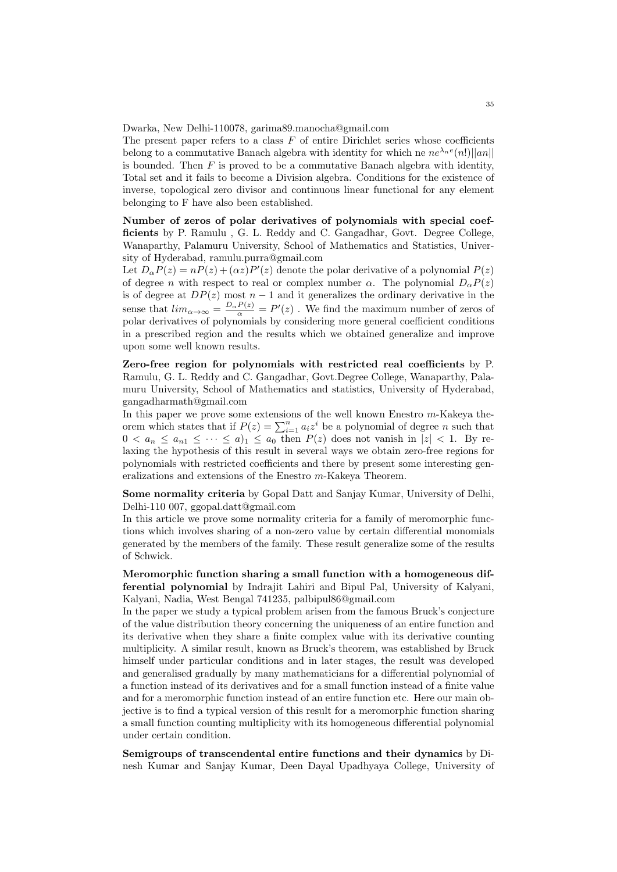Dwarka, New Delhi-110078, garima89.manocha@gmail.com

The present paper refers to a class *F* of entire Dirichlet series whose coefficients belong to a commutative Banach algebra with identity for which ne  $ne^{\lambda_n e}(n!)||an||$ is bounded. Then  $F$  is proved to be a commutative Banach algebra with identity, Total set and it fails to become a Division algebra. Conditions for the existence of inverse, topological zero divisor and continuous linear functional for any element belonging to F have also been established.

**Number of zeros of polar derivatives of polynomials with special coefficients** by P. Ramulu , G. L. Reddy and C. Gangadhar, Govt. Degree College, Wanaparthy, Palamuru University, School of Mathematics and Statistics, University of Hyderabad, ramulu.purra@gmail.com

Let  $D_{\alpha}P(z) = nP(z) + (\alpha z)P'(z)$  denote the polar derivative of a polynomial  $P(z)$ of degree *n* with respect to real or complex number  $\alpha$ . The polynomial  $D_{\alpha}P(z)$ is of degree at  $DP(z)$  most  $n-1$  and it generalizes the ordinary derivative in the sense that  $\lim_{\alpha \to \infty} \frac{p_{\alpha}P(z)}{q} = P'(z)$ . We find the maximum number of zeros of polar derivatives of polynomials by considering more general coefficient conditions in a prescribed region and the results which we obtained generalize and improve upon some well known results.

**Zero-free region for polynomials with restricted real coefficients** by P. Ramulu, G. L. Reddy and C. Gangadhar, Govt.Degree College, Wanaparthy, Palamuru University, School of Mathematics and statistics, University of Hyderabad, gangadharmath@gmail.com

In this paper we prove some extensions of the well known Enestro *m*-Kakeya theorem which states that if  $P(z) = \sum_{i=1}^{n} a_i z^i$  be a polynomial of degree *n* such that  $0 < a_n \leq a_{n1} \leq \cdots \leq a_{n1} \leq a_0$  then  $P(z)$  does not vanish in  $|z| < 1$ . By relaxing the hypothesis of this result in several ways we obtain zero-free regions for polynomials with restricted coefficients and there by present some interesting generalizations and extensions of the Enestro *m*-Kakeya Theorem.

**Some normality criteria** by Gopal Datt and Sanjay Kumar, University of Delhi, Delhi-110 007, ggopal.datt@gmail.com

In this article we prove some normality criteria for a family of meromorphic functions which involves sharing of a non-zero value by certain differential monomials generated by the members of the family. These result generalize some of the results of Schwick.

**Meromorphic function sharing a small function with a homogeneous differential polynomial** by Indrajit Lahiri and Bipul Pal, University of Kalyani, Kalyani, Nadia, West Bengal 741235, palbipul86@gmail.com

In the paper we study a typical problem arisen from the famous Bruck's conjecture of the value distribution theory concerning the uniqueness of an entire function and its derivative when they share a finite complex value with its derivative counting multiplicity. A similar result, known as Bruck's theorem, was established by Bruck himself under particular conditions and in later stages, the result was developed and generalised gradually by many mathematicians for a differential polynomial of a function instead of its derivatives and for a small function instead of a finite value and for a meromorphic function instead of an entire function etc. Here our main objective is to find a typical version of this result for a meromorphic function sharing a small function counting multiplicity with its homogeneous differential polynomial under certain condition.

**Semigroups of transcendental entire functions and their dynamics** by Dinesh Kumar and Sanjay Kumar, Deen Dayal Upadhyaya College, University of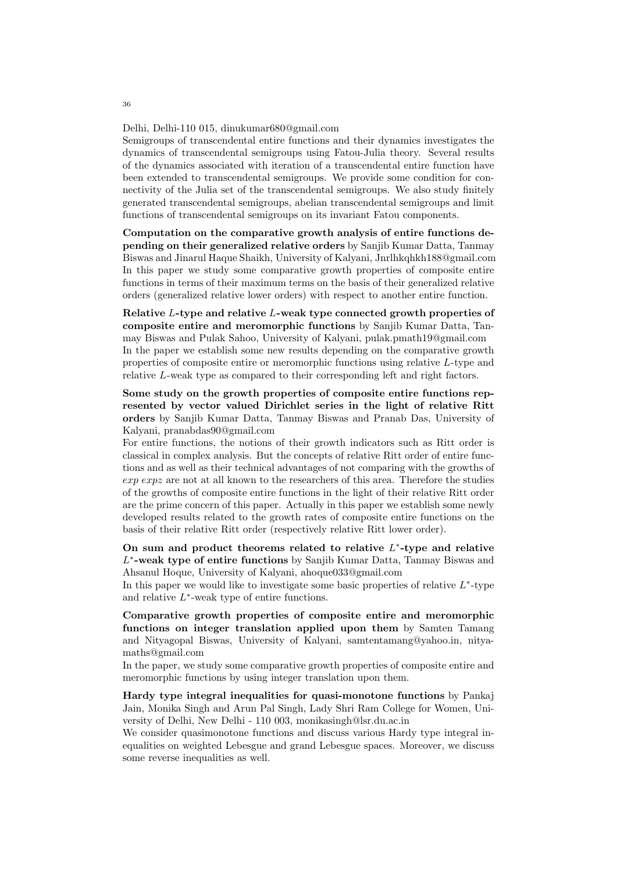#### Delhi, Delhi-110 015, dinukumar680@gmail.com

Semigroups of transcendental entire functions and their dynamics investigates the dynamics of transcendental semigroups using Fatou-Julia theory. Several results of the dynamics associated with iteration of a transcendental entire function have been extended to transcendental semigroups. We provide some condition for connectivity of the Julia set of the transcendental semigroups. We also study finitely generated transcendental semigroups, abelian transcendental semigroups and limit functions of transcendental semigroups on its invariant Fatou components.

**Computation on the comparative growth analysis of entire functions depending on their generalized relative orders** by Sanjib Kumar Datta, Tanmay Biswas and Jinarul Haque Shaikh, University of Kalyani, Jnrlhkqhkh188@gmail.com In this paper we study some comparative growth properties of composite entire functions in terms of their maximum terms on the basis of their generalized relative orders (generalized relative lower orders) with respect to another entire function.

**Relative** *L***-type and relative** *L***-weak type connected growth properties of composite entire and meromorphic functions** by Sanjib Kumar Datta, Tanmay Biswas and Pulak Sahoo, University of Kalyani, pulak.pmath19@gmail.com In the paper we establish some new results depending on the comparative growth properties of composite entire or meromorphic functions using relative *L*-type and relative *L*-weak type as compared to their corresponding left and right factors.

**Some study on the growth properties of composite entire functions represented by vector valued Dirichlet series in the light of relative Ritt orders** by Sanjib Kumar Datta, Tanmay Biswas and Pranab Das, University of Kalyani, pranabdas90@gmail.com

For entire functions, the notions of their growth indicators such as Ritt order is classical in complex analysis. But the concepts of relative Ritt order of entire functions and as well as their technical advantages of not comparing with the growths of *exp expz* are not at all known to the researchers of this area. Therefore the studies of the growths of composite entire functions in the light of their relative Ritt order are the prime concern of this paper. Actually in this paper we establish some newly developed results related to the growth rates of composite entire functions on the basis of their relative Ritt order (respectively relative Ritt lower order).

**On sum and product theorems related to relative** *L ∗* **-type and relative** *L ∗* **-weak type of entire functions** by Sanjib Kumar Datta, Tanmay Biswas and Ahsanul Hoque, University of Kalyani, ahoque033@gmail.com

In this paper we would like to investigate some basic properties of relative *L ∗* -type and relative *L ∗* -weak type of entire functions.

**Comparative growth properties of composite entire and meromorphic functions on integer translation applied upon them** by Samten Tamang and Nityagopal Biswas, University of Kalyani, samtentamang@yahoo.in, nityamaths@gmail.com

In the paper, we study some comparative growth properties of composite entire and meromorphic functions by using integer translation upon them.

**Hardy type integral inequalities for quasi-monotone functions** by Pankaj Jain, Monika Singh and Arun Pal Singh, Lady Shri Ram College for Women, University of Delhi, New Delhi - 110 003, monikasingh@lsr.du.ac.in

We consider quasimonotone functions and discuss various Hardy type integral inequalities on weighted Lebesgue and grand Lebesgue spaces. Moreover, we discuss some reverse inequalities as well.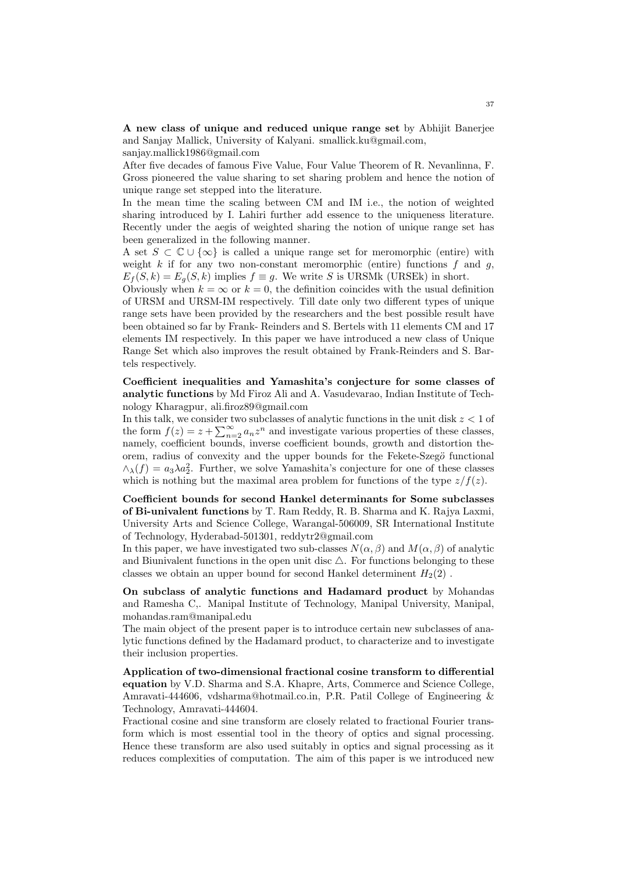**A new class of unique and reduced unique range set** by Abhijit Banerjee and Sanjay Mallick, University of Kalyani. smallick.ku@gmail.com,

sanjay.mallick1986@gmail.com

After five decades of famous Five Value, Four Value Theorem of R. Nevanlinna, F. Gross pioneered the value sharing to set sharing problem and hence the notion of unique range set stepped into the literature.

In the mean time the scaling between CM and IM i.e., the notion of weighted sharing introduced by I. Lahiri further add essence to the uniqueness literature. Recently under the aegis of weighted sharing the notion of unique range set has been generalized in the following manner.

A set *S ⊂* C *∪ {∞}* is called a unique range set for meromorphic (entire) with weight  $k$  if for any two non-constant meromorphic (entire) functions  $f$  and  $g$ ,  $E_f(S, k) = E_g(S, k)$  implies  $f \equiv g$ . We write *S* is URSMk (URSEk) in short.

Obviously when  $k = \infty$  or  $k = 0$ , the definition coincides with the usual definition of URSM and URSM-IM respectively. Till date only two different types of unique range sets have been provided by the researchers and the best possible result have been obtained so far by Frank- Reinders and S. Bertels with 11 elements CM and 17 elements IM respectively. In this paper we have introduced a new class of Unique Range Set which also improves the result obtained by Frank-Reinders and S. Bartels respectively.

**Coefficient inequalities and Yamashita's conjecture for some classes of analytic functions** by Md Firoz Ali and A. Vasudevarao, Indian Institute of Technology Kharagpur, ali.firoz89@gmail.com

In this talk, we consider two subclasses of analytic functions in the unit disk *z <* 1 of the form  $f(z) = z + \sum_{n=2}^{\infty} a_n z^n$  and investigate various properties of these classes, namely, coefficient bounds, inverse coefficient bounds, growth and distortion theorem, radius of convexity and the upper bounds for the Fekete-Szeg $\ddot{o}$  functional  $\wedge_{\lambda}(f) = a_3 \lambda a_2^2$ . Further, we solve Yamashita's conjecture for one of these classes which is nothing but the maximal area problem for functions of the type  $z/f(z)$ .

**Coefficient bounds for second Hankel determinants for Some subclasses of Bi-univalent functions** by T. Ram Reddy, R. B. Sharma and K. Rajya Laxmi, University Arts and Science College, Warangal-506009, SR International Institute of Technology, Hyderabad-501301, reddytr2@gmail.com

In this paper, we have investigated two sub-classes  $N(\alpha, \beta)$  and  $M(\alpha, \beta)$  of analytic and Biunivalent functions in the open unit disc  $\triangle$ . For functions belonging to these classes we obtain an upper bound for second Hankel determinent  $H_2(2)$ .

**On subclass of analytic functions and Hadamard product** by Mohandas and Ramesha C,. Manipal Institute of Technology, Manipal University, Manipal, mohandas.ram@manipal.edu

The main object of the present paper is to introduce certain new subclasses of analytic functions defined by the Hadamard product, to characterize and to investigate their inclusion properties.

**Application of two-dimensional fractional cosine transform to differential equation** by V.D. Sharma and S.A. Khapre, Arts, Commerce and Science College, Amravati-444606, vdsharma@hotmail.co.in, P.R. Patil College of Engineering & Technology, Amravati-444604.

Fractional cosine and sine transform are closely related to fractional Fourier transform which is most essential tool in the theory of optics and signal processing. Hence these transform are also used suitably in optics and signal processing as it reduces complexities of computation. The aim of this paper is we introduced new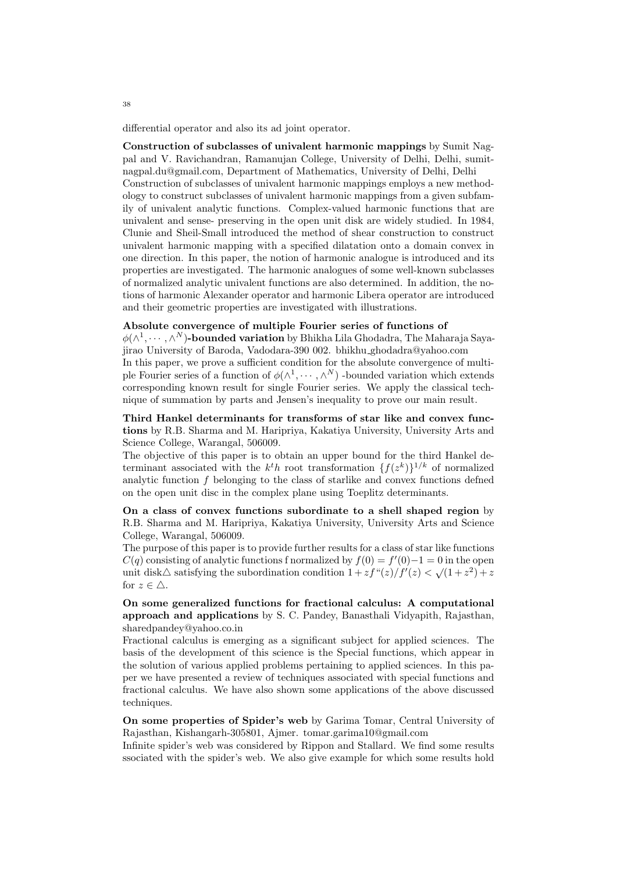differential operator and also its ad joint operator.

**Construction of subclasses of univalent harmonic mappings** by Sumit Nagpal and V. Ravichandran, Ramanujan College, University of Delhi, Delhi, sumitnagpal.du@gmail.com, Department of Mathematics, University of Delhi, Delhi Construction of subclasses of univalent harmonic mappings employs a new methodology to construct subclasses of univalent harmonic mappings from a given subfamily of univalent analytic functions. Complex-valued harmonic functions that are univalent and sense- preserving in the open unit disk are widely studied. In 1984, Clunie and Sheil-Small introduced the method of shear construction to construct univalent harmonic mapping with a specified dilatation onto a domain convex in one direction. In this paper, the notion of harmonic analogue is introduced and its properties are investigated. The harmonic analogues of some well-known subclasses of normalized analytic univalent functions are also determined. In addition, the notions of harmonic Alexander operator and harmonic Libera operator are introduced and their geometric properties are investigated with illustrations.

### **Absolute convergence of multiple Fourier series of functions of**

*ϕ*(*∧* 1 *, · · · , ∧ <sup>N</sup>* )**-bounded variation** by Bhikha Lila Ghodadra, The Maharaja Sayajirao University of Baroda, Vadodara-390 002. bhikhu ghodadra@yahoo.com In this paper, we prove a sufficient condition for the absolute convergence of multiple Fourier series of a function of  $\phi(\wedge^1, \dots, \wedge^N)$  -bounded variation which extends corresponding known result for single Fourier series. We apply the classical technique of summation by parts and Jensen's inequality to prove our main result.

**Third Hankel determinants for transforms of star like and convex functions** by R.B. Sharma and M. Haripriya, Kakatiya University, University Arts and Science College, Warangal, 506009.

The objective of this paper is to obtain an upper bound for the third Hankel determinant associated with the  $k<sup>t</sup>h$  root transformation  $\{f(z<sup>k</sup>)\}^{1/k}$  of normalized analytic function *f* belonging to the class of starlike and convex functions defned on the open unit disc in the complex plane using Toeplitz determinants.

**On a class of convex functions subordinate to a shell shaped region** by R.B. Sharma and M. Haripriya, Kakatiya University, University Arts and Science College, Warangal, 506009.

The purpose of this paper is to provide further results for a class of star like functions  $C(q)$  consisting of analytic functions f normalized by  $f(0) = f'(0) - 1 = 0$  in the open unit disk $\triangle$  satisfying the subordination condition  $1 + z f''(z)/f'(z) < \sqrt{(1+z^2)} + z$ for  $z \in \triangle$ .

**On some generalized functions for fractional calculus: A computational approach and applications** by S. C. Pandey, Banasthali Vidyapith, Rajasthan, sharedpandey@yahoo.co.in

Fractional calculus is emerging as a significant subject for applied sciences. The basis of the development of this science is the Special functions, which appear in the solution of various applied problems pertaining to applied sciences. In this paper we have presented a review of techniques associated with special functions and fractional calculus. We have also shown some applications of the above discussed techniques.

**On some properties of Spider's web** by Garima Tomar, Central University of Rajasthan, Kishangarh-305801, Ajmer. tomar.garima10@gmail.com

Infinite spider's web was considered by Rippon and Stallard. We find some results ssociated with the spider's web. We also give example for which some results hold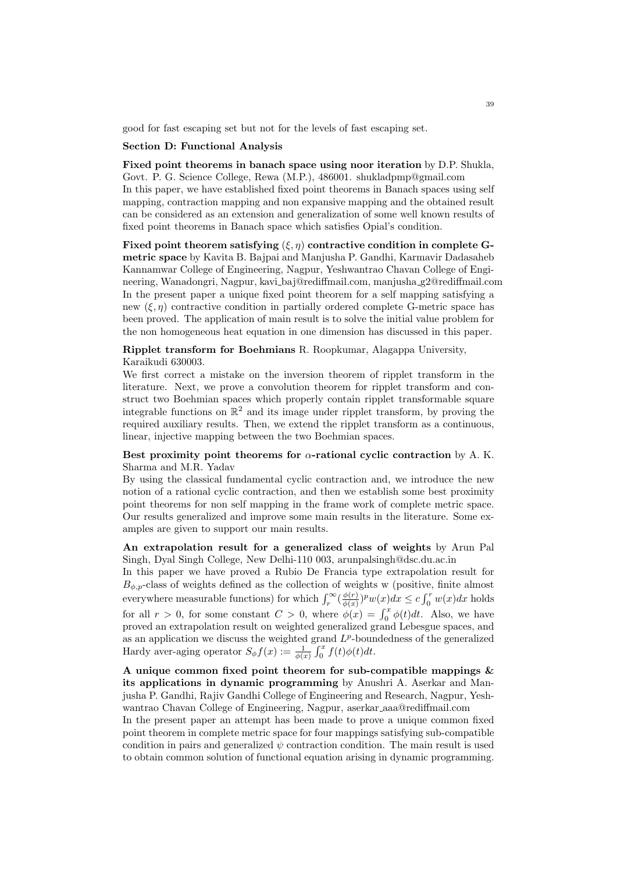good for fast escaping set but not for the levels of fast escaping set.

### **Section D: Functional Analysis**

**Fixed point theorems in banach space using noor iteration** by D.P. Shukla, Govt. P. G. Science College, Rewa (M.P.), 486001. shukladpmp@gmail.com In this paper, we have established fixed point theorems in Banach spaces using self mapping, contraction mapping and non expansive mapping and the obtained result can be considered as an extension and generalization of some well known results of fixed point theorems in Banach space which satisfies Opial's condition.

**Fixed point theorem satisfying**  $(\xi, \eta)$  contractive condition in complete G**metric space** by Kavita B. Bajpai and Manjusha P. Gandhi, Karmavir Dadasaheb Kannamwar College of Engineering, Nagpur, Yeshwantrao Chavan College of Engineering, Wanadongri, Nagpur, kavi baj@rediffmail.com, manjusha g2@rediffmail.com In the present paper a unique fixed point theorem for a self mapping satisfying a new  $(\xi, \eta)$  contractive condition in partially ordered complete G-metric space has been proved. The application of main result is to solve the initial value problem for the non homogeneous heat equation in one dimension has discussed in this paper.

# **Ripplet transform for Boehmians** R. Roopkumar, Alagappa University, Karaikudi 630003.

We first correct a mistake on the inversion theorem of ripplet transform in the literature. Next, we prove a convolution theorem for ripplet transform and construct two Boehmian spaces which properly contain ripplet transformable square integrable functions on  $\mathbb{R}^2$  and its image under ripplet transform, by proving the required auxiliary results. Then, we extend the ripplet transform as a continuous, linear, injective mapping between the two Boehmian spaces.

# **Best proximity point theorems for** *α***-rational cyclic contraction** by A. K. Sharma and M.R. Yadav

By using the classical fundamental cyclic contraction and, we introduce the new notion of a rational cyclic contraction, and then we establish some best proximity point theorems for non self mapping in the frame work of complete metric space. Our results generalized and improve some main results in the literature. Some examples are given to support our main results.

# **An extrapolation result for a generalized class of weights** by Arun Pal Singh, Dyal Singh College, New Delhi-110 003, arunpalsingh@dsc.du.ac.in

In this paper we have proved a Rubio De Francia type extrapolation result for  $B_{\phi,p}$ -class of weights defined as the collection of weights w (positive, finite almost everywhere measurable functions) for which  $\int_r^{\infty} \left(\frac{\phi(r)}{\phi(x)}\right)$  $\frac{\phi(r)}{\phi(x)})^p w(x) dx \leq c \int_0^r w(x) dx$  holds for all  $r > 0$ , for some constant  $C > 0$ , where  $\phi(x) = \int_0^x \phi(t) dt$ . Also, we have proved an extrapolation result on weighted generalized grand Lebesgue spaces, and as an application we discuss the weighted grand  $L^p$ -boundedness of the generalized Hardy aver-aging operator  $S_{\phi} f(x) := \frac{1}{\phi(x)} \int_0^x f(t) \phi(t) dt$ .

**A unique common fixed point theorem for sub-compatible mappings & its applications in dynamic programming** by Anushri A. Aserkar and Manjusha P. Gandhi, Rajiv Gandhi College of Engineering and Research, Nagpur, Yeshwantrao Chavan College of Engineering, Nagpur, aserkar aaa@rediffmail.com

In the present paper an attempt has been made to prove a unique common fixed point theorem in complete metric space for four mappings satisfying sub-compatible condition in pairs and generalized  $\psi$  contraction condition. The main result is used to obtain common solution of functional equation arising in dynamic programming.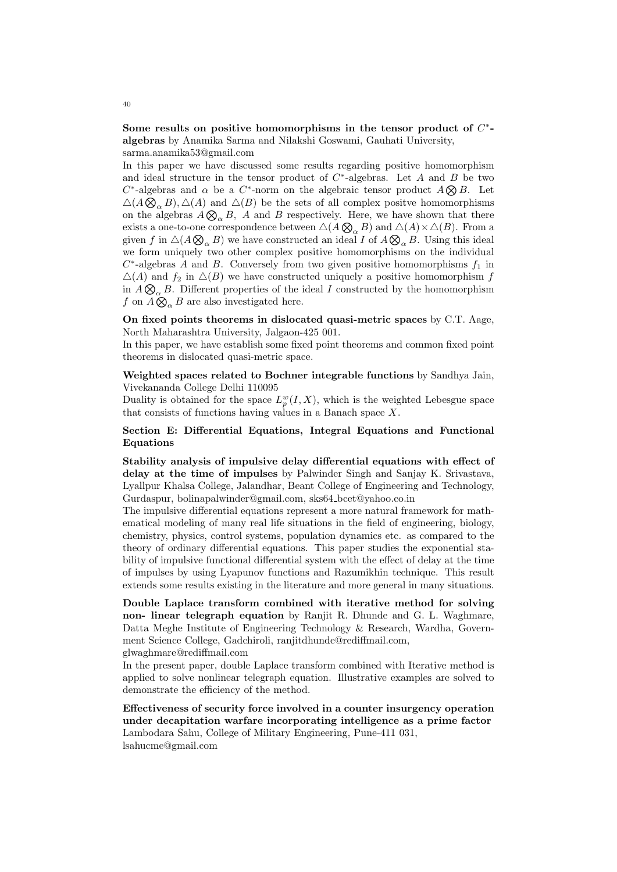**Some results on positive homomorphisms in the tensor product of** *C ∗*  **algebras** by Anamika Sarma and Nilakshi Goswami, Gauhati University, sarma.anamika53@gmail.com

In this paper we have discussed some results regarding positive homomorphism and ideal structure in the tensor product of *C ∗* -algebras. Let *A* and *B* be two  $C^*$ -algebras and  $\alpha$  be a  $C^*$ -norm on the algebraic tensor product  $A \otimes B$ . Let  $\triangle(A \bigotimes_{\alpha} B)$ ,  $\triangle(A)$  and  $\triangle(B)$  be the sets of all complex positve homomorphisms on the algebras  $A \otimes_{\alpha} B$ , A and B respectively. Here, we have shown that there exists a one-to-one correspondence between  $\triangle(A \bigotimes_{\alpha} B)$  and  $\triangle(A) \times \triangle(B)$ . From a given *f* in  $\Delta(A \otimes_{\alpha} B)$  we have constructed an ideal *I* of  $A \otimes_{\alpha} B$ . Using this ideal we form uniquely two other complex positive homomorphisms on the individual *C ∗* -algebras *A* and *B*. Conversely from two given positive homomorphisms *f*<sup>1</sup> in  $\Delta(A)$  and  $f_2$  in  $\Delta(B)$  we have constructed uniquely a positive homomorphism *f* in  $A \otimes_{\alpha} B$ . Different properties of the ideal *I* constructed by the homomorphism *f* on  $\widetilde{A} \overset{\sim}{\otimes}_{\alpha} B$  are also investigated here.

**On fixed points theorems in dislocated quasi-metric spaces** by C.T. Aage, North Maharashtra University, Jalgaon-425 001.

In this paper, we have establish some fixed point theorems and common fixed point theorems in dislocated quasi-metric space.

**Weighted spaces related to Bochner integrable functions** by Sandhya Jain, Vivekananda College Delhi 110095

Duality is obtained for the space  $L_p^w(I, X)$ , which is the weighted Lebesgue space that consists of functions having values in a Banach space *X*.

# **Section E: Differential Equations, Integral Equations and Functional Equations**

**Stability analysis of impulsive delay differential equations with effect of delay at the time of impulses** by Palwinder Singh and Sanjay K. Srivastava, Lyallpur Khalsa College, Jalandhar, Beant College of Engineering and Technology, Gurdaspur, bolinapalwinder@gmail.com, sks64\_bcet@yahoo.co.in

The impulsive differential equations represent a more natural framework for mathematical modeling of many real life situations in the field of engineering, biology, chemistry, physics, control systems, population dynamics etc. as compared to the theory of ordinary differential equations. This paper studies the exponential stability of impulsive functional differential system with the effect of delay at the time of impulses by using Lyapunov functions and Razumikhin technique. This result extends some results existing in the literature and more general in many situations.

**Double Laplace transform combined with iterative method for solving non- linear telegraph equation** by Ranjit R. Dhunde and G. L. Waghmare, Datta Meghe Institute of Engineering Technology & Research, Wardha, Government Science College, Gadchiroli, ranjitdhunde@rediffmail.com, glwaghmare@rediffmail.com

In the present paper, double Laplace transform combined with Iterative method is applied to solve nonlinear telegraph equation. Illustrative examples are solved to demonstrate the efficiency of the method.

**Effectiveness of security force involved in a counter insurgency operation under decapitation warfare incorporating intelligence as a prime factor** Lambodara Sahu, College of Military Engineering, Pune-411 031, lsahucme@gmail.com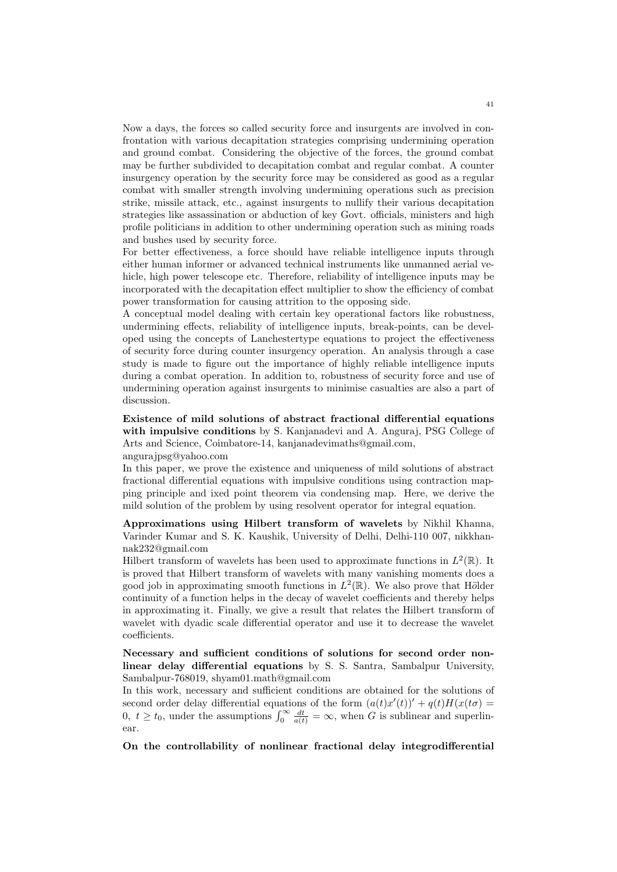Now a days, the forces so called security force and insurgents are involved in confrontation with various decapitation strategies comprising undermining operation and ground combat. Considering the objective of the forces, the ground combat may be further subdivided to decapitation combat and regular combat. A counter insurgency operation by the security force may be considered as good as a regular combat with smaller strength involving undermining operations such as precision strike, missile attack, etc., against insurgents to nullify their various decapitation strategies like assassination or abduction of key Govt. officials, ministers and high profile politicians in addition to other undermining operation such as mining roads and bushes used by security force.

For better effectiveness, a force should have reliable intelligence inputs through either human informer or advanced technical instruments like unmanned aerial vehicle, high power telescope etc. Therefore, reliability of intelligence inputs may be incorporated with the decapitation effect multiplier to show the efficiency of combat power transformation for causing attrition to the opposing side.

A conceptual model dealing with certain key operational factors like robustness, undermining effects, reliability of intelligence inputs, break-points, can be developed using the concepts of Lanchestertype equations to project the effectiveness of security force during counter insurgency operation. An analysis through a case study is made to figure out the importance of highly reliable intelligence inputs during a combat operation. In addition to, robustness of security force and use of undermining operation against insurgents to minimise casualties are also a part of discussion.

**Existence of mild solutions of abstract fractional differential equations with impulsive conditions** by S. Kanjanadevi and A. Anguraj, PSG College of Arts and Science, Coimbatore-14, kanjanadevimaths@gmail.com, angurajpsg@yahoo.com

In this paper, we prove the existence and uniqueness of mild solutions of abstract fractional differential equations with impulsive conditions using contraction mapping principle and ixed point theorem via condensing map. Here, we derive the mild solution of the problem by using resolvent operator for integral equation.

**Approximations using Hilbert transform of wavelets** by Nikhil Khanna, Varinder Kumar and S. K. Kaushik, University of Delhi, Delhi-110 007, nikkhannak232@gmail.com

Hilbert transform of wavelets has been used to approximate functions in  $L^2(\mathbb{R})$ . It is proved that Hilbert transform of wavelets with many vanishing moments does a good job in approximating smooth functions in  $L^2(\mathbb{R})$ . We also prove that Hölder continuity of a function helps in the decay of wavelet coefficients and thereby helps in approximating it. Finally, we give a result that relates the Hilbert transform of wavelet with dyadic scale differential operator and use it to decrease the wavelet coefficients.

**Necessary and sufficient conditions of solutions for second order nonlinear delay differential equations** by S. S. Santra, Sambalpur University, Sambalpur-768019, shyam01.math@gmail.com

In this work, necessary and sufficient conditions are obtained for the solutions of second order delay differential equations of the form  $(a(t)x'(t))' + q(t)H(x(t\sigma))$ 0,  $t \ge t_0$ , under the assumptions  $\int_0^\infty \frac{dt}{a(t)} = \infty$ , when *G* is sublinear and superlinear.

**On the controllability of nonlinear fractional delay integrodifferential**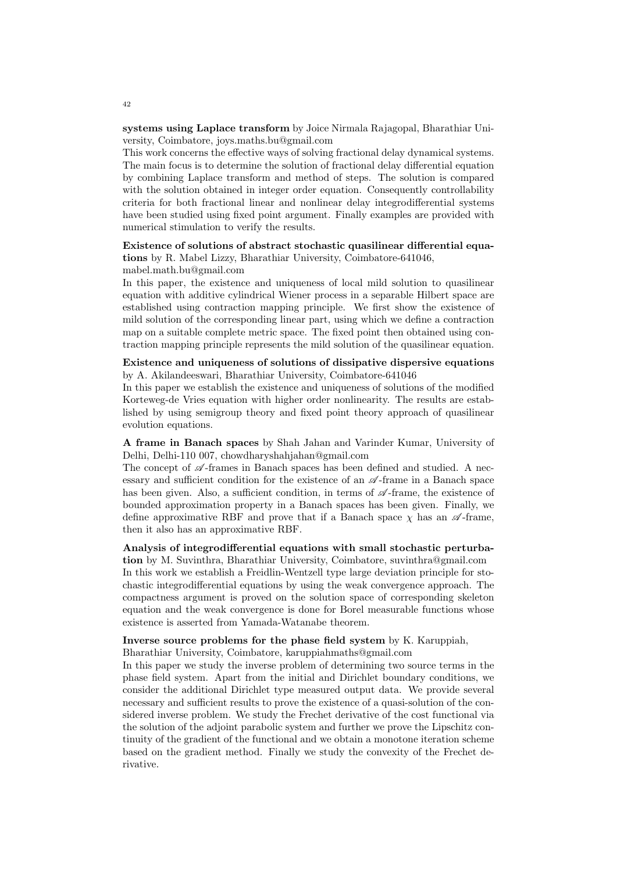**systems using Laplace transform** by Joice Nirmala Rajagopal, Bharathiar University, Coimbatore, joys.maths.bu@gmail.com

This work concerns the effective ways of solving fractional delay dynamical systems. The main focus is to determine the solution of fractional delay differential equation by combining Laplace transform and method of steps. The solution is compared with the solution obtained in integer order equation. Consequently controllability criteria for both fractional linear and nonlinear delay integrodifferential systems have been studied using fixed point argument. Finally examples are provided with numerical stimulation to verify the results.

**Existence of solutions of abstract stochastic quasilinear differential equations** by R. Mabel Lizzy, Bharathiar University, Coimbatore-641046, mabel.math.bu@gmail.com

In this paper, the existence and uniqueness of local mild solution to quasilinear equation with additive cylindrical Wiener process in a separable Hilbert space are established using contraction mapping principle. We first show the existence of mild solution of the corresponding linear part, using which we define a contraction map on a suitable complete metric space. The fixed point then obtained using contraction mapping principle represents the mild solution of the quasilinear equation.

### **Existence and uniqueness of solutions of dissipative dispersive equations** by A. Akilandeeswari, Bharathiar University, Coimbatore-641046

In this paper we establish the existence and uniqueness of solutions of the modified Korteweg-de Vries equation with higher order nonlinearity. The results are established by using semigroup theory and fixed point theory approach of quasilinear evolution equations.

**A frame in Banach spaces** by Shah Jahan and Varinder Kumar, University of Delhi, Delhi-110 007, chowdharyshahjahan@gmail.com

The concept of  $\mathscr A$ -frames in Banach spaces has been defined and studied. A necessary and sufficient condition for the existence of an *A* -frame in a Banach space has been given. Also, a sufficient condition, in terms of  $\mathscr A$ -frame, the existence of bounded approximation property in a Banach spaces has been given. Finally, we define approximative RBF and prove that if a Banach space  $\chi$  has an  $\mathscr{A}$ -frame, then it also has an approximative RBF.

**Analysis of integrodifferential equations with small stochastic perturbation** by M. Suvinthra, Bharathiar University, Coimbatore, suvinthra@gmail.com In this work we establish a Freidlin-Wentzell type large deviation principle for stochastic integrodifferential equations by using the weak convergence approach. The compactness argument is proved on the solution space of corresponding skeleton equation and the weak convergence is done for Borel measurable functions whose existence is asserted from Yamada-Watanabe theorem.

# **Inverse source problems for the phase field system** by K. Karuppiah,

Bharathiar University, Coimbatore, karuppiahmaths@gmail.com

In this paper we study the inverse problem of determining two source terms in the phase field system. Apart from the initial and Dirichlet boundary conditions, we consider the additional Dirichlet type measured output data. We provide several necessary and sufficient results to prove the existence of a quasi-solution of the considered inverse problem. We study the Frechet derivative of the cost functional via the solution of the adjoint parabolic system and further we prove the Lipschitz continuity of the gradient of the functional and we obtain a monotone iteration scheme based on the gradient method. Finally we study the convexity of the Frechet derivative.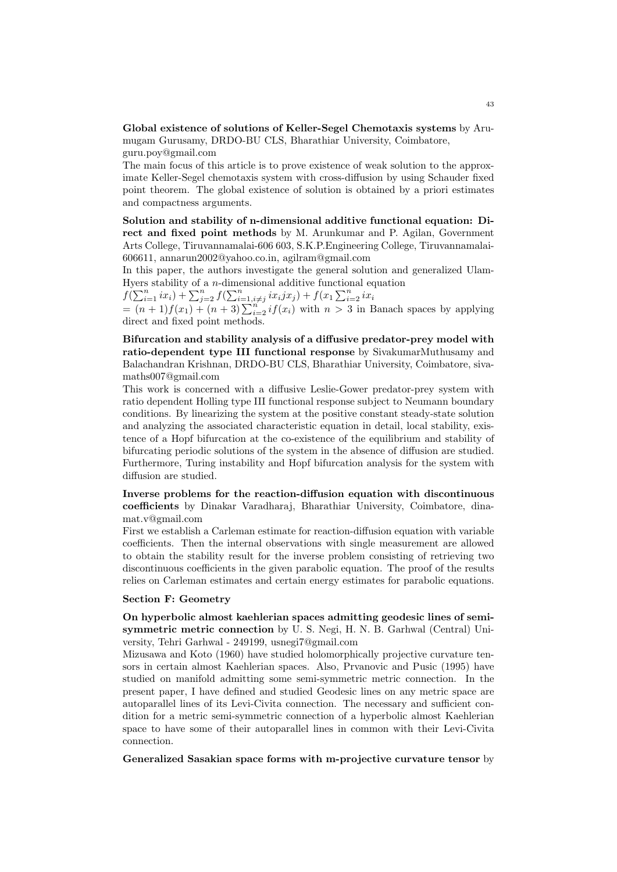**Global existence of solutions of Keller-Segel Chemotaxis systems** by Arumugam Gurusamy, DRDO-BU CLS, Bharathiar University, Coimbatore,

guru.poy@gmail.com

The main focus of this article is to prove existence of weak solution to the approximate Keller-Segel chemotaxis system with cross-diffusion by using Schauder fixed point theorem. The global existence of solution is obtained by a priori estimates and compactness arguments.

**Solution and stability of n-dimensional additive functional equation: Direct and fixed point methods** by M. Arunkumar and P. Agilan, Government Arts College, Tiruvannamalai-606 603, S.K.P.Engineering College, Tiruvannamalai-606611, annarun2002@yahoo.co.in, agilram@gmail.com

In this paper, the authors investigate the general solution and generalized Ulam-Hyers stability of a *n*-dimensional additive functional equation

 $f(\sum_{i=1}^n ix_i) + \sum_{j=2}^n f(\sum_{i=1, i\neq j}^n ix_i j x_j) + f(x_1 \sum_{i=2}^n ix_i j x_j)$ 

 $=(n+1)f(x_1) + (n+3)\sum_{i=2}^{n}if(x_i)$  with  $n > 3$  in Banach spaces by applying direct and fixed point methods.

**Bifurcation and stability analysis of a diffusive predator-prey model with ratio-dependent type III functional response** by SivakumarMuthusamy and Balachandran Krishnan, DRDO-BU CLS, Bharathiar University, Coimbatore, sivamaths007@gmail.com

This work is concerned with a diffusive Leslie-Gower predator-prey system with ratio dependent Holling type III functional response subject to Neumann boundary conditions. By linearizing the system at the positive constant steady-state solution and analyzing the associated characteristic equation in detail, local stability, existence of a Hopf bifurcation at the co-existence of the equilibrium and stability of bifurcating periodic solutions of the system in the absence of diffusion are studied. Furthermore, Turing instability and Hopf bifurcation analysis for the system with diffusion are studied.

**Inverse problems for the reaction-diffusion equation with discontinuous coefficients** by Dinakar Varadharaj, Bharathiar University, Coimbatore, dinamat.v@gmail.com

First we establish a Carleman estimate for reaction-diffusion equation with variable coefficients. Then the internal observations with single measurement are allowed to obtain the stability result for the inverse problem consisting of retrieving two discontinuous coefficients in the given parabolic equation. The proof of the results relies on Carleman estimates and certain energy estimates for parabolic equations.

### **Section F: Geometry**

**On hyperbolic almost kaehlerian spaces admitting geodesic lines of semisymmetric metric connection** by U. S. Negi, H. N. B. Garhwal (Central) University, Tehri Garhwal - 249199, usnegi7@gmail.com

Mizusawa and Koto (1960) have studied holomorphically projective curvature tensors in certain almost Kaehlerian spaces. Also, Prvanovic and Pusic (1995) have studied on manifold admitting some semi-symmetric metric connection. In the present paper, I have defined and studied Geodesic lines on any metric space are autoparallel lines of its Levi-Civita connection. The necessary and sufficient condition for a metric semi-symmetric connection of a hyperbolic almost Kaehlerian space to have some of their autoparallel lines in common with their Levi-Civita connection.

**Generalized Sasakian space forms with m-projective curvature tensor** by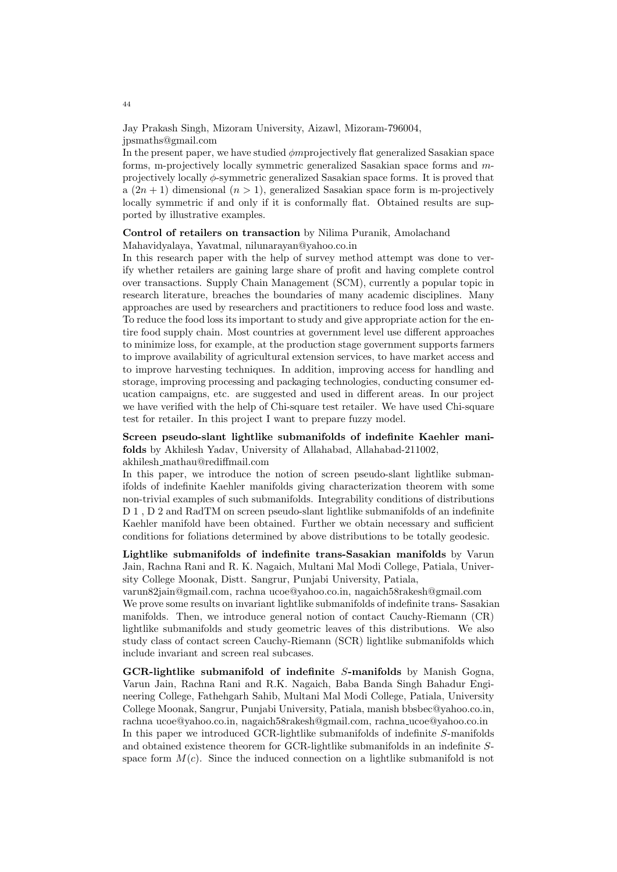Jay Prakash Singh, Mizoram University, Aizawl, Mizoram-796004, jpsmaths@gmail.com

In the present paper, we have studied *ϕm*projectively flat generalized Sasakian space forms, m-projectively locally symmetric generalized Sasakian space forms and *m*projectively locally *ϕ*-symmetric generalized Sasakian space forms. It is proved that a  $(2n + 1)$  dimensional  $(n > 1)$ , generalized Sasakian space form is m-projectively locally symmetric if and only if it is conformally flat. Obtained results are supported by illustrative examples.

# **Control of retailers on transaction** by Nilima Puranik, Amolachand Mahavidyalaya, Yavatmal, nilunarayan@yahoo.co.in

In this research paper with the help of survey method attempt was done to verify whether retailers are gaining large share of profit and having complete control over transactions. Supply Chain Management (SCM), currently a popular topic in research literature, breaches the boundaries of many academic disciplines. Many approaches are used by researchers and practitioners to reduce food loss and waste. To reduce the food loss its important to study and give appropriate action for the entire food supply chain. Most countries at government level use different approaches to minimize loss, for example, at the production stage government supports farmers to improve availability of agricultural extension services, to have market access and to improve harvesting techniques. In addition, improving access for handling and storage, improving processing and packaging technologies, conducting consumer education campaigns, etc. are suggested and used in different areas. In our project we have verified with the help of Chi-square test retailer. We have used Chi-square test for retailer. In this project I want to prepare fuzzy model.

# **Screen pseudo-slant lightlike submanifolds of indefinite Kaehler manifolds** by Akhilesh Yadav, University of Allahabad, Allahabad-211002,

akhilesh mathau@rediffmail.com

In this paper, we introduce the notion of screen pseudo-slant lightlike submanifolds of indefinite Kaehler manifolds giving characterization theorem with some non-trivial examples of such submanifolds. Integrability conditions of distributions D 1, D 2 and RadTM on screen pseudo-slant lightlike submanifolds of an indefinite Kaehler manifold have been obtained. Further we obtain necessary and sufficient conditions for foliations determined by above distributions to be totally geodesic.

**Lightlike submanifolds of indefinite trans-Sasakian manifolds** by Varun Jain, Rachna Rani and R. K. Nagaich, Multani Mal Modi College, Patiala, University College Moonak, Distt. Sangrur, Punjabi University, Patiala,

varun82jain@gmail.com, rachna ucoe@yahoo.co.in, nagaich58rakesh@gmail.com We prove some results on invariant lightlike submanifolds of indefinite trans- Sasakian manifolds. Then, we introduce general notion of contact Cauchy-Riemann (CR) lightlike submanifolds and study geometric leaves of this distributions. We also study class of contact screen Cauchy-Riemann (SCR) lightlike submanifolds which include invariant and screen real subcases.

**GCR-lightlike submanifold of indefinite** *S***-manifolds** by Manish Gogna, Varun Jain, Rachna Rani and R.K. Nagaich, Baba Banda Singh Bahadur Engineering College, Fathehgarh Sahib, Multani Mal Modi College, Patiala, University College Moonak, Sangrur, Punjabi University, Patiala, manish bbsbec@yahoo.co.in, rachna ucoe@yahoo.co.in, nagaich58rakesh@gmail.com, rachna ucoe@yahoo.co.in In this paper we introduced GCR-lightlike submanifolds of indefinite *S*-manifolds and obtained existence theorem for GCR-lightlike submanifolds in an indefinite *S*space form  $M(c)$ . Since the induced connection on a lightlike submanifold is not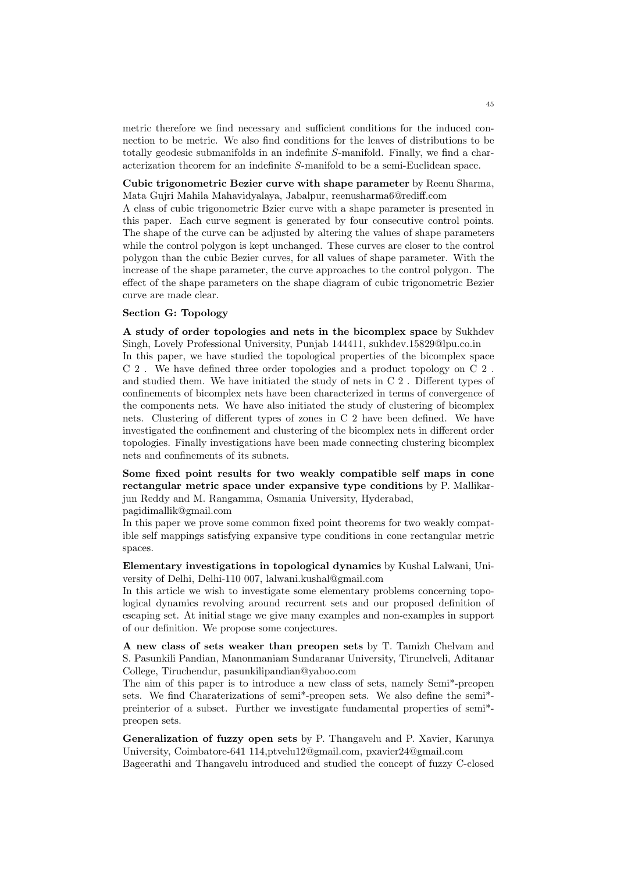metric therefore we find necessary and sufficient conditions for the induced connection to be metric. We also find conditions for the leaves of distributions to be totally geodesic submanifolds in an indefinite *S*-manifold. Finally, we find a characterization theorem for an indefinite *S*-manifold to be a semi-Euclidean space.

**Cubic trigonometric Bezier curve with shape parameter** by Reenu Sharma, Mata Gujri Mahila Mahavidyalaya, Jabalpur, reenusharma6@rediff.com

A class of cubic trigonometric Bzier curve with a shape parameter is presented in this paper. Each curve segment is generated by four consecutive control points. The shape of the curve can be adjusted by altering the values of shape parameters while the control polygon is kept unchanged. These curves are closer to the control polygon than the cubic Bezier curves, for all values of shape parameter. With the increase of the shape parameter, the curve approaches to the control polygon. The effect of the shape parameters on the shape diagram of cubic trigonometric Bezier curve are made clear.

### **Section G: Topology**

**A study of order topologies and nets in the bicomplex space** by Sukhdev Singh, Lovely Professional University, Punjab 144411, sukhdev.15829@lpu.co.in

In this paper, we have studied the topological properties of the bicomplex space C 2 . We have defined three order topologies and a product topology on C 2 . and studied them. We have initiated the study of nets in C 2 . Different types of confinements of bicomplex nets have been characterized in terms of convergence of the components nets. We have also initiated the study of clustering of bicomplex nets. Clustering of different types of zones in C 2 have been defined. We have investigated the confinement and clustering of the bicomplex nets in different order topologies. Finally investigations have been made connecting clustering bicomplex nets and confinements of its subnets.

**Some fixed point results for two weakly compatible self maps in cone rectangular metric space under expansive type conditions** by P. Mallikarjun Reddy and M. Rangamma, Osmania University, Hyderabad,

pagidimallik@gmail.com

In this paper we prove some common fixed point theorems for two weakly compatible self mappings satisfying expansive type conditions in cone rectangular metric spaces.

**Elementary investigations in topological dynamics** by Kushal Lalwani, University of Delhi, Delhi-110 007, lalwani.kushal@gmail.com

In this article we wish to investigate some elementary problems concerning topological dynamics revolving around recurrent sets and our proposed definition of escaping set. At initial stage we give many examples and non-examples in support of our definition. We propose some conjectures.

**A new class of sets weaker than preopen sets** by T. Tamizh Chelvam and S. Pasunkili Pandian, Manonmaniam Sundaranar University, Tirunelveli, Aditanar College, Tiruchendur, pasunkilipandian@yahoo.com

The aim of this paper is to introduce a new class of sets, namely Semi\*-preopen sets. We find Charaterizations of semi\*-preopen sets. We also define the semi\* preinterior of a subset. Further we investigate fundamental properties of semi\* preopen sets.

**Generalization of fuzzy open sets** by P. Thangavelu and P. Xavier, Karunya University, Coimbatore-641 114,ptvelu12@gmail.com, pxavier24@gmail.com Bageerathi and Thangavelu introduced and studied the concept of fuzzy C-closed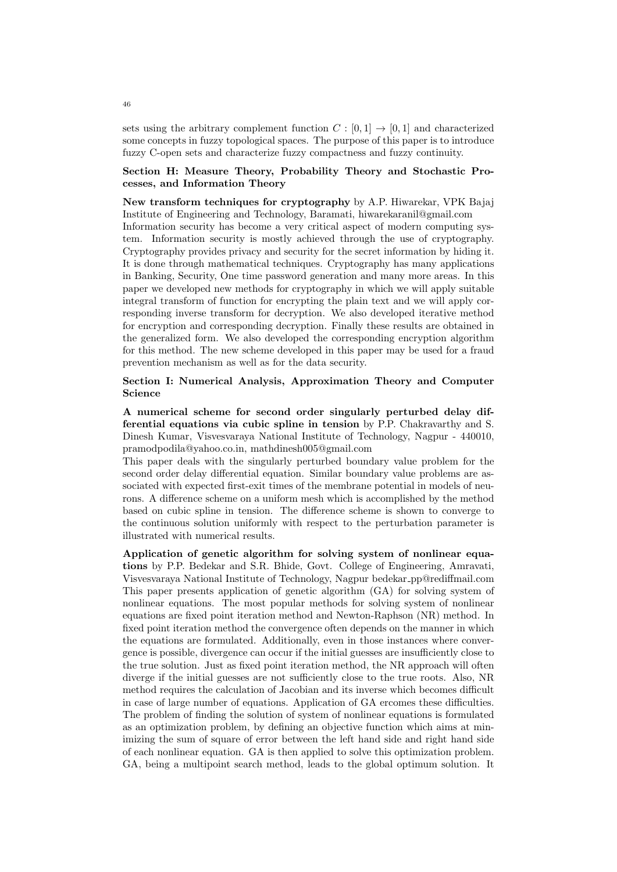sets using the arbitrary complement function  $C : [0,1] \rightarrow [0,1]$  and characterized some concepts in fuzzy topological spaces. The purpose of this paper is to introduce fuzzy C-open sets and characterize fuzzy compactness and fuzzy continuity.

# **Section H: Measure Theory, Probability Theory and Stochastic Processes, and Information Theory**

**New transform techniques for cryptography** by A.P. Hiwarekar, VPK Bajaj Institute of Engineering and Technology, Baramati, hiwarekaranil@gmail.com

Information security has become a very critical aspect of modern computing system. Information security is mostly achieved through the use of cryptography. Cryptography provides privacy and security for the secret information by hiding it. It is done through mathematical techniques. Cryptography has many applications in Banking, Security, One time password generation and many more areas. In this paper we developed new methods for cryptography in which we will apply suitable integral transform of function for encrypting the plain text and we will apply corresponding inverse transform for decryption. We also developed iterative method for encryption and corresponding decryption. Finally these results are obtained in the generalized form. We also developed the corresponding encryption algorithm for this method. The new scheme developed in this paper may be used for a fraud prevention mechanism as well as for the data security.

# **Section I: Numerical Analysis, Approximation Theory and Computer Science**

**A numerical scheme for second order singularly perturbed delay differential equations via cubic spline in tension** by P.P. Chakravarthy and S. Dinesh Kumar, Visvesvaraya National Institute of Technology, Nagpur - 440010, pramodpodila@yahoo.co.in, mathdinesh005@gmail.com

This paper deals with the singularly perturbed boundary value problem for the second order delay differential equation. Similar boundary value problems are associated with expected first-exit times of the membrane potential in models of neurons. A difference scheme on a uniform mesh which is accomplished by the method based on cubic spline in tension. The difference scheme is shown to converge to the continuous solution uniformly with respect to the perturbation parameter is illustrated with numerical results.

**Application of genetic algorithm for solving system of nonlinear equations** by P.P. Bedekar and S.R. Bhide, Govt. College of Engineering, Amravati, Visvesvaraya National Institute of Technology, Nagpur bedekar pp@rediffmail.com This paper presents application of genetic algorithm (GA) for solving system of nonlinear equations. The most popular methods for solving system of nonlinear equations are fixed point iteration method and Newton-Raphson (NR) method. In fixed point iteration method the convergence often depends on the manner in which the equations are formulated. Additionally, even in those instances where convergence is possible, divergence can occur if the initial guesses are insufficiently close to the true solution. Just as fixed point iteration method, the NR approach will often diverge if the initial guesses are not sufficiently close to the true roots. Also, NR method requires the calculation of Jacobian and its inverse which becomes difficult in case of large number of equations. Application of GA ercomes these difficulties. The problem of finding the solution of system of nonlinear equations is formulated as an optimization problem, by defining an objective function which aims at minimizing the sum of square of error between the left hand side and right hand side of each nonlinear equation. GA is then applied to solve this optimization problem. GA, being a multipoint search method, leads to the global optimum solution. It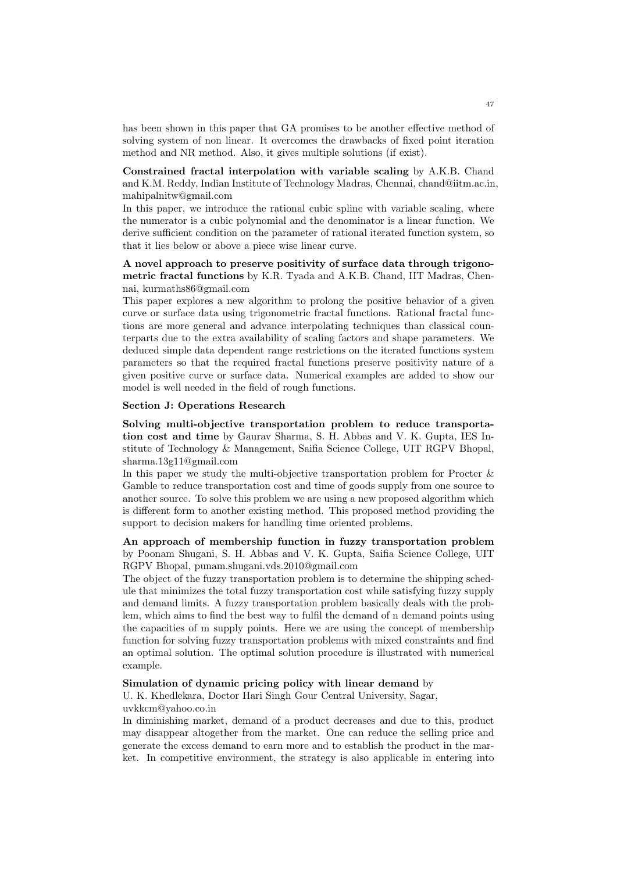has been shown in this paper that GA promises to be another effective method of solving system of non linear. It overcomes the drawbacks of fixed point iteration method and NR method. Also, it gives multiple solutions (if exist).

**Constrained fractal interpolation with variable scaling** by A.K.B. Chand and K.M. Reddy, Indian Institute of Technology Madras, Chennai, chand@iitm.ac.in, mahipalnitw@gmail.com

In this paper, we introduce the rational cubic spline with variable scaling, where the numerator is a cubic polynomial and the denominator is a linear function. We derive sufficient condition on the parameter of rational iterated function system, so that it lies below or above a piece wise linear curve.

# **A novel approach to preserve positivity of surface data through trigonometric fractal functions** by K.R. Tyada and A.K.B. Chand, IIT Madras, Chennai, kurmaths86@gmail.com

This paper explores a new algorithm to prolong the positive behavior of a given curve or surface data using trigonometric fractal functions. Rational fractal functions are more general and advance interpolating techniques than classical counterparts due to the extra availability of scaling factors and shape parameters. We deduced simple data dependent range restrictions on the iterated functions system parameters so that the required fractal functions preserve positivity nature of a given positive curve or surface data. Numerical examples are added to show our model is well needed in the field of rough functions.

#### **Section J: Operations Research**

**Solving multi-objective transportation problem to reduce transportation cost and time** by Gaurav Sharma, S. H. Abbas and V. K. Gupta, IES Institute of Technology & Management, Saifia Science College, UIT RGPV Bhopal, sharma.13g11@gmail.com

In this paper we study the multi-objective transportation problem for Procter  $\&$ Gamble to reduce transportation cost and time of goods supply from one source to another source. To solve this problem we are using a new proposed algorithm which is different form to another existing method. This proposed method providing the support to decision makers for handling time oriented problems.

# **An approach of membership function in fuzzy transportation problem** by Poonam Shugani, S. H. Abbas and V. K. Gupta, Saifia Science College, UIT RGPV Bhopal, punam.shugani.vds.2010@gmail.com

The object of the fuzzy transportation problem is to determine the shipping schedule that minimizes the total fuzzy transportation cost while satisfying fuzzy supply and demand limits. A fuzzy transportation problem basically deals with the problem, which aims to find the best way to fulfil the demand of n demand points using the capacities of m supply points. Here we are using the concept of membership function for solving fuzzy transportation problems with mixed constraints and find an optimal solution. The optimal solution procedure is illustrated with numerical example.

### **Simulation of dynamic pricing policy with linear demand** by

U. K. Khedlekara, Doctor Hari Singh Gour Central University, Sagar, uvkkcm@yahoo.co.in

In diminishing market, demand of a product decreases and due to this, product may disappear altogether from the market. One can reduce the selling price and generate the excess demand to earn more and to establish the product in the market. In competitive environment, the strategy is also applicable in entering into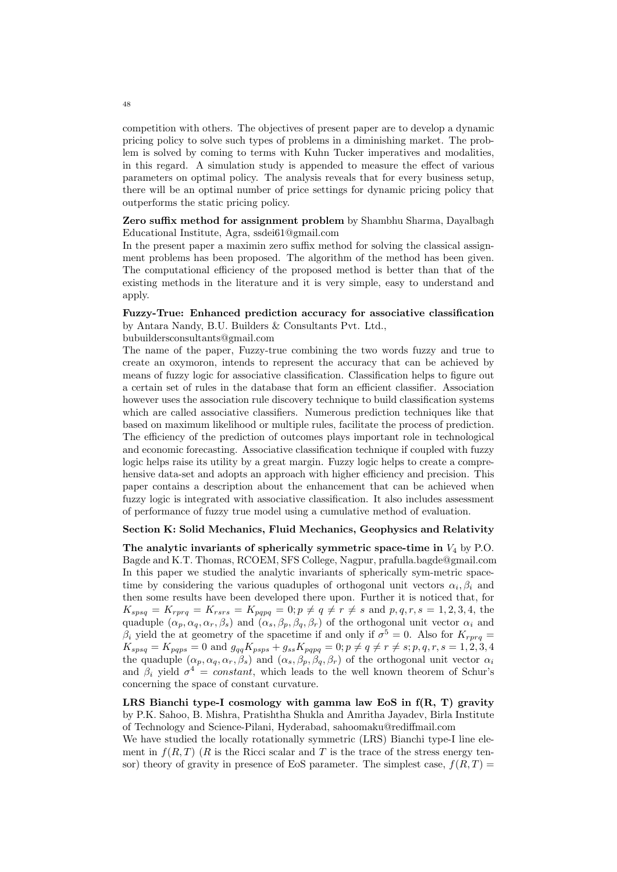competition with others. The objectives of present paper are to develop a dynamic pricing policy to solve such types of problems in a diminishing market. The problem is solved by coming to terms with Kuhn Tucker imperatives and modalities, in this regard. A simulation study is appended to measure the effect of various parameters on optimal policy. The analysis reveals that for every business setup, there will be an optimal number of price settings for dynamic pricing policy that outperforms the static pricing policy.

# **Zero suffix method for assignment problem** by Shambhu Sharma, Dayalbagh Educational Institute, Agra, ssdei61@gmail.com

In the present paper a maximin zero suffix method for solving the classical assignment problems has been proposed. The algorithm of the method has been given. The computational efficiency of the proposed method is better than that of the existing methods in the literature and it is very simple, easy to understand and apply.

# **Fuzzy-True: Enhanced prediction accuracy for associative classification** by Antara Nandy, B.U. Builders & Consultants Pvt. Ltd.,

bubuildersconsultants@gmail.com

The name of the paper, Fuzzy-true combining the two words fuzzy and true to create an oxymoron, intends to represent the accuracy that can be achieved by means of fuzzy logic for associative classification. Classification helps to figure out a certain set of rules in the database that form an efficient classifier. Association however uses the association rule discovery technique to build classification systems which are called associative classifiers. Numerous prediction techniques like that based on maximum likelihood or multiple rules, facilitate the process of prediction. The efficiency of the prediction of outcomes plays important role in technological and economic forecasting. Associative classification technique if coupled with fuzzy logic helps raise its utility by a great margin. Fuzzy logic helps to create a comprehensive data-set and adopts an approach with higher efficiency and precision. This paper contains a description about the enhancement that can be achieved when fuzzy logic is integrated with associative classification. It also includes assessment of performance of fuzzy true model using a cumulative method of evaluation.

# **Section K: Solid Mechanics, Fluid Mechanics, Geophysics and Relativity**

**The analytic invariants of spherically symmetric space-time in** *V*<sup>4</sup> by P.O. Bagde and K.T. Thomas, RCOEM, SFS College, Nagpur, prafulla.bagde@gmail.com In this paper we studied the analytic invariants of spherically sym-metric spacetime by considering the various quaduples of orthogonal unit vectors  $\alpha_i, \beta_i$  and then some results have been developed there upon. Further it is noticed that, for  $K_{spsq} = K_{rprq} = K_{rsrs} = K_{pqpq} = 0; p \neq q \neq r \neq s$  and  $p, q, r, s = 1, 2, 3, 4$ , the quaduple  $(\alpha_p, \alpha_q, \alpha_r, \beta_s)$  and  $(\alpha_s, \beta_p, \beta_q, \beta_r)$  of the orthogonal unit vector  $\alpha_i$  and  $\beta_i$  yield the at geometry of the spacetime if and only if  $\sigma^5 = 0$ . Also for  $K_{rprq} =$  $K_{spsq} = K_{pqps} = 0$  and  $g_{qq}K_{psps} + g_{ss}K_{pqpq} = 0; p \neq q \neq r \neq s; p, q, r, s = 1, 2, 3, 4$ the quaduple  $(\alpha_p, \alpha_q, \alpha_r, \beta_s)$  and  $(\alpha_s, \beta_p, \beta_q, \beta_r)$  of the orthogonal unit vector  $\alpha_i$ and  $\beta_i$  yield  $\sigma^4 = constant$ , which leads to the well known theorem of Schur's concerning the space of constant curvature.

**LRS Bianchi type-I cosmology with gamma law EoS in f(R, T) gravity** by P.K. Sahoo, B. Mishra, Pratishtha Shukla and Amritha Jayadev, Birla Institute of Technology and Science-Pilani, Hyderabad, sahoomaku@rediffmail.com

We have studied the locally rotationally symmetric (LRS) Bianchi type-I line element in  $f(R, T)$  ( $R$  is the Ricci scalar and  $T$  is the trace of the stress energy tensor) theory of gravity in presence of EoS parameter. The simplest case,  $f(R,T)$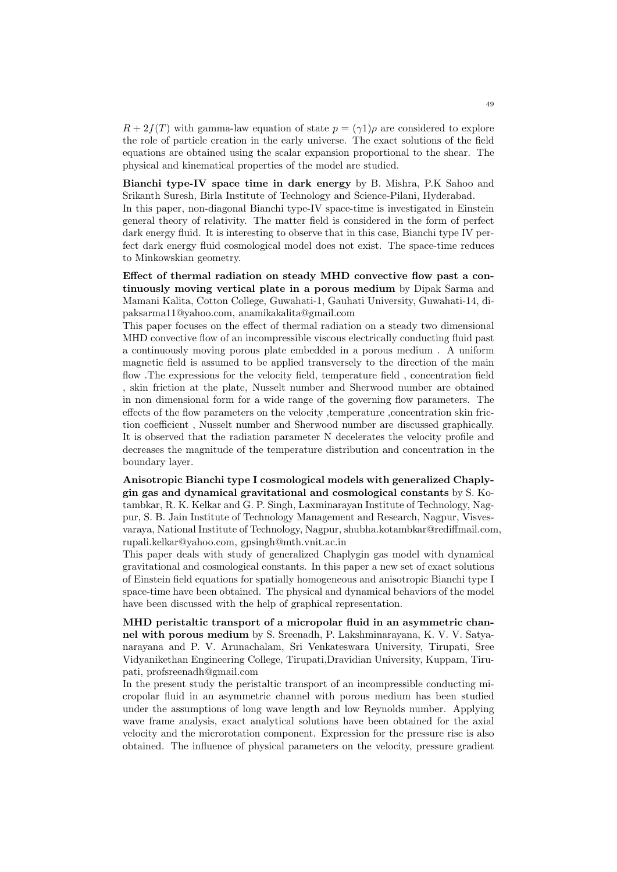$R + 2f(T)$  with gamma-law equation of state  $p = (\gamma 1)\rho$  are considered to explore the role of particle creation in the early universe. The exact solutions of the field equations are obtained using the scalar expansion proportional to the shear. The physical and kinematical properties of the model are studied.

**Bianchi type-IV space time in dark energy** by B. Mishra, P.K Sahoo and Srikanth Suresh, Birla Institute of Technology and Science-Pilani, Hyderabad.

In this paper, non-diagonal Bianchi type-IV space-time is investigated in Einstein general theory of relativity. The matter field is considered in the form of perfect dark energy fluid. It is interesting to observe that in this case, Bianchi type IV perfect dark energy fluid cosmological model does not exist. The space-time reduces to Minkowskian geometry.

**Effect of thermal radiation on steady MHD convective flow past a continuously moving vertical plate in a porous medium** by Dipak Sarma and Mamani Kalita, Cotton College, Guwahati-1, Gauhati University, Guwahati-14, dipaksarma11@yahoo.com, anamikakalita@gmail.com

This paper focuses on the effect of thermal radiation on a steady two dimensional MHD convective flow of an incompressible viscous electrically conducting fluid past a continuously moving porous plate embedded in a porous medium . A uniform magnetic field is assumed to be applied transversely to the direction of the main flow .The expressions for the velocity field, temperature field , concentration field , skin friction at the plate, Nusselt number and Sherwood number are obtained in non dimensional form for a wide range of the governing flow parameters. The effects of the flow parameters on the velocity ,temperature ,concentration skin friction coefficient , Nusselt number and Sherwood number are discussed graphically. It is observed that the radiation parameter N decelerates the velocity profile and decreases the magnitude of the temperature distribution and concentration in the boundary layer.

**Anisotropic Bianchi type I cosmological models with generalized Chaplygin gas and dynamical gravitational and cosmological constants** by S. Kotambkar, R. K. Kelkar and G. P. Singh, Laxminarayan Institute of Technology, Nagpur, S. B. Jain Institute of Technology Management and Research, Nagpur, Visvesvaraya, National Institute of Technology, Nagpur, shubha.kotambkar@rediffmail.com, rupali.kelkar@yahoo.com, gpsingh@mth.vnit.ac.in

This paper deals with study of generalized Chaplygin gas model with dynamical gravitational and cosmological constants. In this paper a new set of exact solutions of Einstein field equations for spatially homogeneous and anisotropic Bianchi type I space-time have been obtained. The physical and dynamical behaviors of the model have been discussed with the help of graphical representation.

**MHD peristaltic transport of a micropolar fluid in an asymmetric channel with porous medium** by S. Sreenadh, P. Lakshminarayana, K. V. V. Satyanarayana and P. V. Arunachalam, Sri Venkateswara University, Tirupati, Sree Vidyanikethan Engineering College, Tirupati,Dravidian University, Kuppam, Tirupati, profsreenadh@gmail.com

In the present study the peristaltic transport of an incompressible conducting micropolar fluid in an asymmetric channel with porous medium has been studied under the assumptions of long wave length and low Reynolds number. Applying wave frame analysis, exact analytical solutions have been obtained for the axial velocity and the microrotation component. Expression for the pressure rise is also obtained. The influence of physical parameters on the velocity, pressure gradient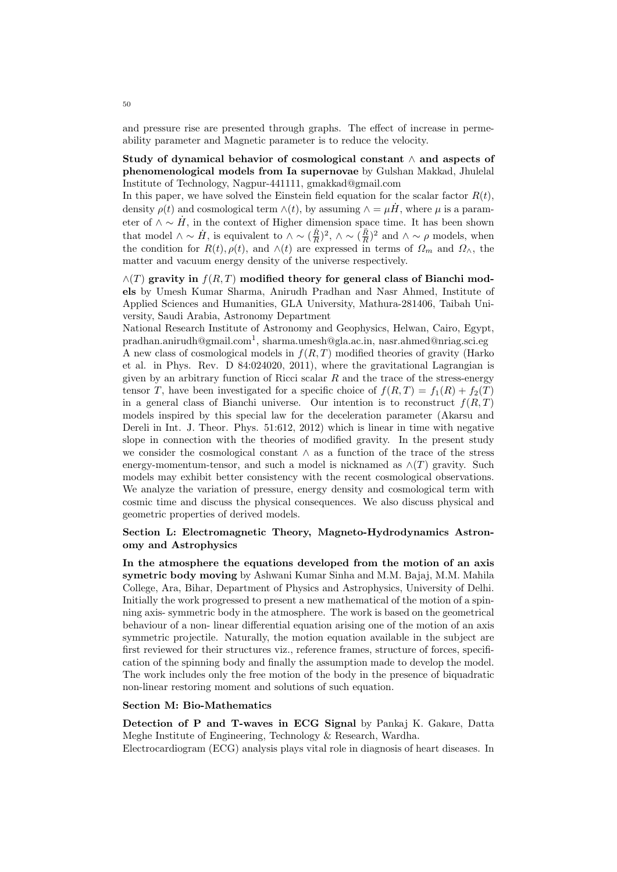and pressure rise are presented through graphs. The effect of increase in permeability parameter and Magnetic parameter is to reduce the velocity.

**Study of dynamical behavior of cosmological constant** *∧* **and aspects of phenomenological models from Ia supernovae** by Gulshan Makkad, Jhulelal Institute of Technology, Nagpur-441111, gmakkad@gmail.com

In this paper, we have solved the Einstein field equation for the scalar factor  $R(t)$ , density  $\rho(t)$  and cosmological term  $\wedge(t)$ , by assuming  $\wedge = \mu \dot{H}$ , where  $\mu$  is a parameter of  $\wedge \sim \dot{H}$ , in the context of Higher dimension space time. It has been shown that model  $\wedge \sim H$ , is equivalent to  $\wedge \sim (\frac{\dot{R}}{R})^2$ ,  $\wedge \sim (\frac{\ddot{R}}{R})^2$  and  $\wedge \sim \rho$  models, when the condition for  $R(t)$ ,  $\rho(t)$ , and  $\wedge$ (*t*) are expressed in terms of  $\Omega_m$  and  $\Omega_\wedge$ , the matter and vacuum energy density of the universe respectively.

*∧*(*T*) **gravity in** *f*(*R, T*) **modified theory for general class of Bianchi models** by Umesh Kumar Sharma, Anirudh Pradhan and Nasr Ahmed, Institute of Applied Sciences and Humanities, GLA University, Mathura-281406, Taibah University, Saudi Arabia, Astronomy Department

National Research Institute of Astronomy and Geophysics, Helwan, Cairo, Egypt,  $p$ radhan.anirudh@gmail.com<sup>1</sup>, sharma.umesh@gla.ac.in, nasr.ahmed@nriag.sci.eg A new class of cosmological models in *f*(*R, T*) modified theories of gravity (Harko et al. in Phys. Rev. D 84:024020, 2011), where the gravitational Lagrangian is given by an arbitrary function of Ricci scalar *R* and the trace of the stress-energy tensor *T*, have been investigated for a specific choice of  $f(R,T) = f_1(R) + f_2(T)$ in a general class of Bianchi universe. Our intention is to reconstruct  $f(R,T)$ models inspired by this special law for the deceleration parameter (Akarsu and Dereli in Int. J. Theor. Phys. 51:612, 2012) which is linear in time with negative slope in connection with the theories of modified gravity. In the present study we consider the cosmological constant *∧* as a function of the trace of the stress energy-momentum-tensor, and such a model is nicknamed as  $\land$ (*T*) gravity. Such models may exhibit better consistency with the recent cosmological observations. We analyze the variation of pressure, energy density and cosmological term with cosmic time and discuss the physical consequences. We also discuss physical and geometric properties of derived models.

# **Section L: Electromagnetic Theory, Magneto-Hydrodynamics Astronomy and Astrophysics**

**In the atmosphere the equations developed from the motion of an axis symetric body moving** by Ashwani Kumar Sinha and M.M. Bajaj, M.M. Mahila College, Ara, Bihar, Department of Physics and Astrophysics, University of Delhi. Initially the work progressed to present a new mathematical of the motion of a spinning axis- symmetric body in the atmosphere. The work is based on the geometrical behaviour of a non- linear differential equation arising one of the motion of an axis symmetric projectile. Naturally, the motion equation available in the subject are first reviewed for their structures viz., reference frames, structure of forces, specification of the spinning body and finally the assumption made to develop the model. The work includes only the free motion of the body in the presence of biquadratic non-linear restoring moment and solutions of such equation.

#### **Section M: Bio-Mathematics**

**Detection of P and T-waves in ECG Signal** by Pankaj K. Gakare, Datta Meghe Institute of Engineering, Technology & Research, Wardha. Electrocardiogram (ECG) analysis plays vital role in diagnosis of heart diseases. In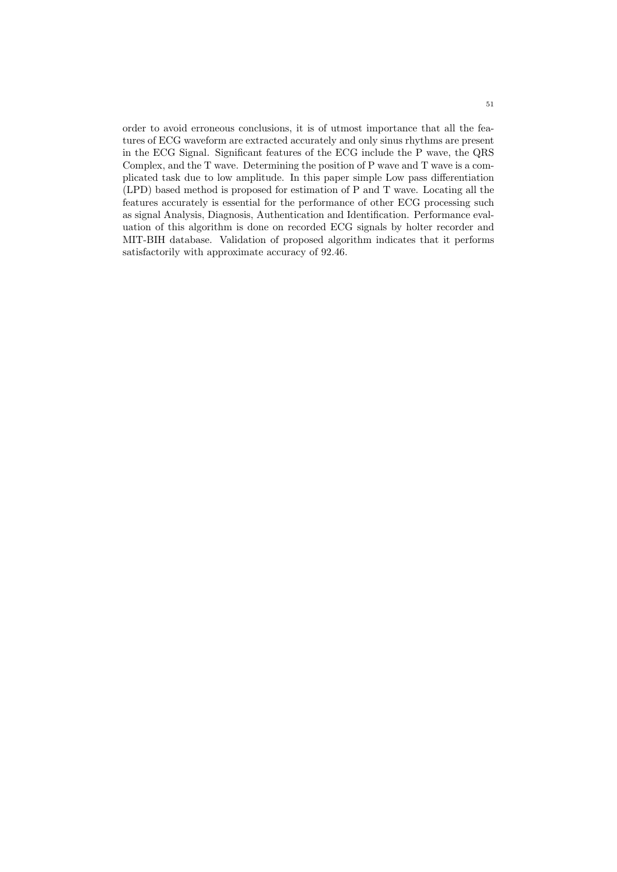order to avoid erroneous conclusions, it is of utmost importance that all the features of ECG waveform are extracted accurately and only sinus rhythms are present in the ECG Signal. Significant features of the ECG include the P wave, the QRS Complex, and the T wave. Determining the position of P wave and T wave is a complicated task due to low amplitude. In this paper simple Low pass differentiation (LPD) based method is proposed for estimation of P and T wave. Locating all the features accurately is essential for the performance of other ECG processing such as signal Analysis, Diagnosis, Authentication and Identification. Performance evaluation of this algorithm is done on recorded ECG signals by holter recorder and MIT-BIH database. Validation of proposed algorithm indicates that it performs satisfactorily with approximate accuracy of 92.46.